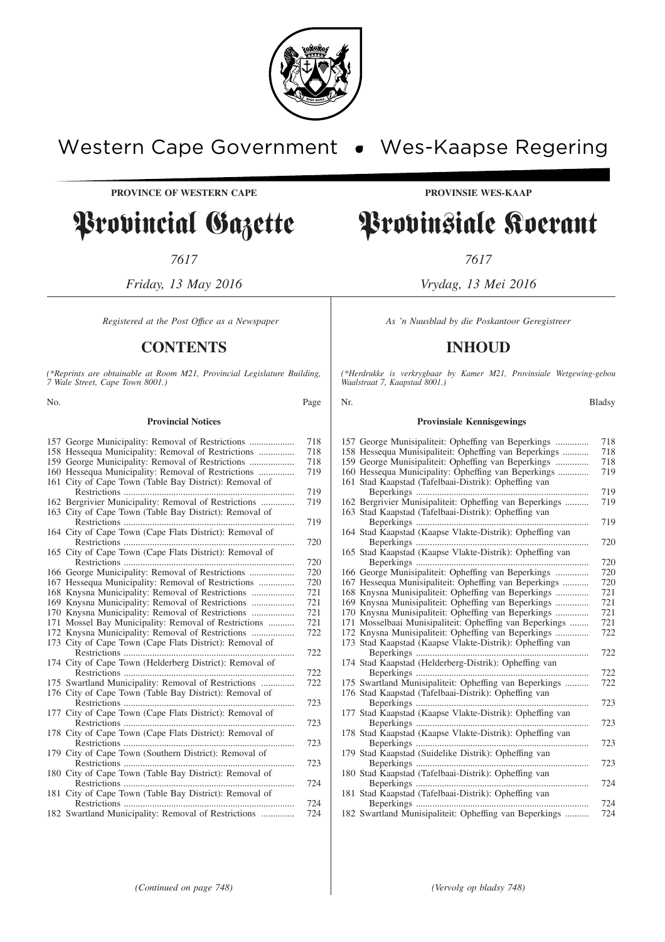

## Western Cape Government . Wes-Kaapse Regering

**PROVINCE OF WESTERN CAPE PROVINSIE WES-KAAP**

# Provincial Gazette Provinsiale Koerant

*7617 7617*

*Friday, 13 May 2016 Vrydag, 13 Mei 2016*

*Registered at the Post Office as a Newspaper* As 'n Nuusblad by die Poskantoor Geregistreer

## **CONTENTS INHOUD**

*(\*Reprints are obtainable at Room M21, Provincial Legislature Building, 7 Wale Street, Cape Town 8001.)*

#### **Provincial Notices**

| 157 George Municipality: Removal of Restrictions        | 718 |
|---------------------------------------------------------|-----|
| 158 Hessequa Municipality: Removal of Restrictions      | 718 |
| 159 George Municipality: Removal of Restrictions        | 718 |
| 160 Hessequa Municipality: Removal of Restrictions      | 719 |
| 161 City of Cape Town (Table Bay District): Removal of  |     |
|                                                         | 719 |
| 162 Bergrivier Municipality: Removal of Restrictions    | 719 |
| 163 City of Cape Town (Table Bay District): Removal of  |     |
|                                                         | 719 |
| 164 City of Cape Town (Cape Flats District): Removal of |     |
|                                                         | 720 |
| 165 City of Cape Town (Cape Flats District): Removal of |     |
|                                                         | 720 |
| 166 George Municipality: Removal of Restrictions        | 720 |
| 167 Hessequa Municipality: Removal of Restrictions      | 720 |
|                                                         | 721 |
|                                                         | 721 |
| 170 Knysna Municipality: Removal of Restrictions        | 721 |
| 171 Mossel Bay Municipality: Removal of Restrictions    | 721 |
| 172 Knysna Municipality: Removal of Restrictions        | 722 |
| 173 City of Cape Town (Cape Flats District): Removal of |     |
|                                                         | 722 |
| 174 City of Cape Town (Helderberg District): Removal of |     |
|                                                         | 722 |
| 175 Swartland Municipality: Removal of Restrictions     | 722 |
| 176 City of Cape Town (Table Bay District): Removal of  |     |
|                                                         | 723 |
| 177 City of Cape Town (Cape Flats District): Removal of |     |
|                                                         | 723 |
| 178 City of Cape Town (Cape Flats District): Removal of |     |
|                                                         | 723 |
| 179 City of Cape Town (Southern District): Removal of   |     |
|                                                         | 723 |
| 180 City of Cape Town (Table Bay District): Removal of  |     |
|                                                         | 724 |
| 181 City of Cape Town (Table Bay District): Removal of  |     |
|                                                         | 724 |
| 182 Swartland Municipality: Removal of Restrictions     | 724 |

*(\*Herdrukke is verkrygbaar by Kamer M21, Provinsiale Wetgewing-gebou Waalstraat 7, Kaapstad 8001.)*

| No. |                                                                                                                                                                  | Page       | Nr.                                                                                                                                                                | <b>Bladsy</b> |
|-----|------------------------------------------------------------------------------------------------------------------------------------------------------------------|------------|--------------------------------------------------------------------------------------------------------------------------------------------------------------------|---------------|
|     | <b>Provincial Notices</b>                                                                                                                                        |            | <b>Provinsiale Kennisgewings</b>                                                                                                                                   |               |
|     | 157 George Municipality: Removal of Restrictions<br>158 Hessequa Municipality: Removal of Restrictions                                                           | 718<br>718 | 157 George Munisipaliteit: Opheffing van Beperkings<br>158 Hessequa Munisipaliteit: Opheffing van Beperkings                                                       | 718<br>718    |
|     | 159 George Municipality: Removal of Restrictions<br>160 Hessequa Municipality: Removal of Restrictions<br>161 City of Cape Town (Table Bay District): Removal of | 718<br>719 | 159 George Munisipaliteit: Opheffing van Beperkings<br>160 Hessequa Municipality: Opheffing van Beperkings<br>161 Stad Kaapstad (Tafelbaai-Distrik): Opheffing van | 718<br>719    |
|     |                                                                                                                                                                  | 719        |                                                                                                                                                                    | 719           |
|     | 162 Bergrivier Municipality: Removal of Restrictions                                                                                                             | 719        | 162 Bergrivier Munisipaliteit: Opheffing van Beperkings                                                                                                            | 719           |
|     | 163 City of Cape Town (Table Bay District): Removal of<br>164 City of Cape Town (Cape Flats District): Removal of                                                | 719        | 163 Stad Kaapstad (Tafelbaai-Distrik): Opheffing van<br>164 Stad Kaapstad (Kaapse Vlakte-Distrik): Opheffing van                                                   | 719           |
|     |                                                                                                                                                                  | 720        |                                                                                                                                                                    | 720           |
|     | 165 City of Cape Town (Cape Flats District): Removal of                                                                                                          | 720        | 165 Stad Kaapstad (Kaapse Vlakte-Distrik): Opheffing van                                                                                                           | 720           |
|     | 166 George Municipality: Removal of Restrictions                                                                                                                 | 720<br>720 | 166 George Munisipaliteit: Opheffing van Beperkings<br>167 Hessequa Munisipaliteit: Opheffing van Beperkings                                                       | 720<br>720    |
|     | 167 Hessequa Municipality: Removal of Restrictions                                                                                                               | 721        | 168 Knysna Munisipaliteit: Opheffing van Beperkings                                                                                                                | 721           |
|     |                                                                                                                                                                  | 721        | 169 Knysna Munisipaliteit: Opheffing van Beperkings                                                                                                                | 721           |
|     | 170 Knysna Municipality: Removal of Restrictions                                                                                                                 | 721<br>721 | 170 Knysna Munisipaliteit: Opheffing van Beperkings                                                                                                                | 721           |
|     | 171 Mossel Bay Municipality: Removal of Restrictions<br>172 Knysna Municipality: Removal of Restrictions                                                         | 722        | 171 Mosselbaai Munisipaliteit: Opheffing van Beperkings<br>172 Knysna Munisipaliteit: Opheffing van Beperkings                                                     | 721<br>722    |
|     | 173 City of Cape Town (Cape Flats District): Removal of                                                                                                          | 722        | 173 Stad Kaapstad (Kaapse Vlakte-Distrik): Opheffing van                                                                                                           | 722           |
|     | 174 City of Cape Town (Helderberg District): Removal of                                                                                                          |            | 174 Stad Kaapstad (Helderberg-Distrik): Opheffing van                                                                                                              |               |
|     | 175 Swartland Municipality: Removal of Restrictions                                                                                                              | 722<br>722 | 175 Swartland Munisipaliteit: Opheffing van Beperkings                                                                                                             | 722<br>722    |
|     | 176 City of Cape Town (Table Bay District): Removal of                                                                                                           |            | 176 Stad Kaapstad (Tafelbaai-Distrik): Opheffing van                                                                                                               |               |
|     |                                                                                                                                                                  | 723        |                                                                                                                                                                    | 723           |
|     | 177 City of Cape Town (Cape Flats District): Removal of                                                                                                          | 723        | 177 Stad Kaapstad (Kaapse Vlakte-Distrik): Opheffing van                                                                                                           | 723           |
|     | 178 City of Cape Town (Cape Flats District): Removal of                                                                                                          | 723        | 178 Stad Kaapstad (Kaapse Vlakte-Distrik): Opheffing van                                                                                                           |               |
|     | 179 City of Cape Town (Southern District): Removal of                                                                                                            |            | 179 Stad Kaapstad (Suidelike Distrik): Opheffing van                                                                                                               | 723           |
|     |                                                                                                                                                                  | 723        |                                                                                                                                                                    | 723           |
|     | 180 City of Cape Town (Table Bay District): Removal of                                                                                                           | 724        | 180 Stad Kaapstad (Tafelbaai-Distrik): Opheffing van                                                                                                               | 724           |
|     | 181 City of Cape Town (Table Bay District): Removal of                                                                                                           |            | 181 Stad Kaapstad (Tafelbaai-Distrik): Opheffing van                                                                                                               |               |
|     |                                                                                                                                                                  | 724        |                                                                                                                                                                    | 724           |

182 Swartland Munisipaliteit: Opheffing van Beperkings .......... 724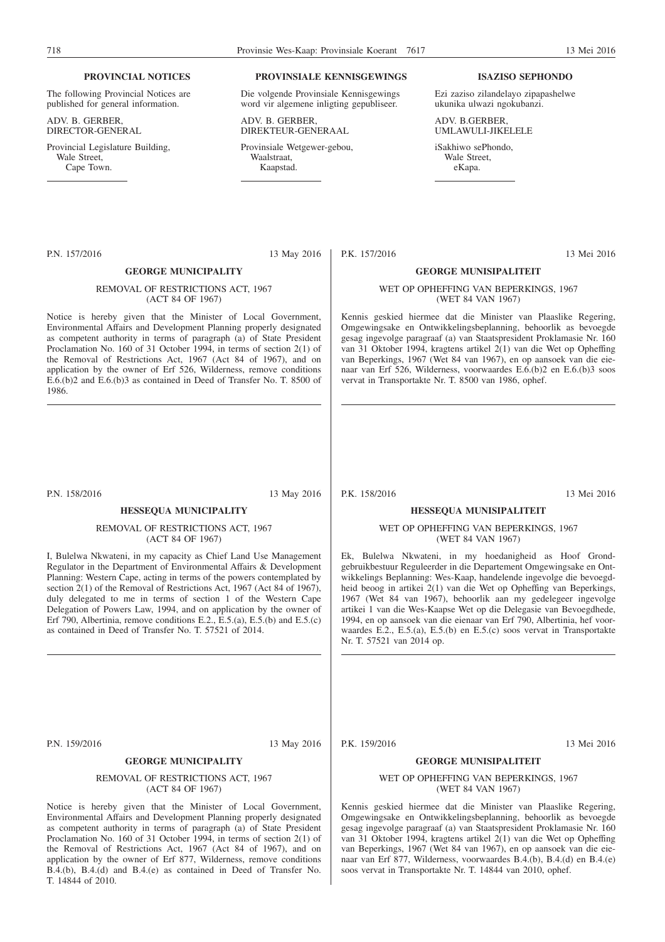#### **PROVINCIAL NOTICES**

The following Provincial Notices are published for general information.

ADV. B. GERBER, DIRECTOR-GENERAL

Provincial Legislature Building, Wale Street. Cape Town.

#### **PROVINSIALE KENNISGEWINGS**

Die volgende Provinsiale Kennisgewings word vir algemene inligting gepubliseer.

ADV. B. GERBER, DIREKTEUR-GENERAAL

Provinsiale Wetgewer-gebou, Waalstraat, Kaapstad.

#### **ISAZISO SEPHONDO**

Ezi zaziso zilandelayo zipapashelwe ukunika ulwazi ngokubanzi.

ADV. B.GERBER, UMLAWULI-JIKELELE

iSakhiwo sePhondo, Wale Street, eKapa.

P.N. 157/2016 13 May 2016

#### **GEORGE MUNICIPALITY**

#### REMOVAL OF RESTRICTIONS ACT, 1967 (ACT 84 OF 1967)

Notice is hereby given that the Minister of Local Government, Environmental Affairs and Development Planning properly designated as competent authority in terms of paragraph (a) of State President Proclamation No. 160 of 31 October 1994, in terms of section 2(1) of the Removal of Restrictions Act, 1967 (Act 84 of 1967), and on application by the owner of Erf 526, Wilderness, remove conditions E.6.(b)2 and E.6.(b)3 as contained in Deed of Transfer No. T. 8500 of 1986.

P.N. 158/2016 13 May 2016

#### **HESSEQUA MUNICIPALITY**

#### REMOVAL OF RESTRICTIONS ACT, 1967 (ACT 84 OF 1967)

I, Bulelwa Nkwateni, in my capacity as Chief Land Use Management Regulator in the Department of Environmental Affairs & Development Planning: Western Cape, acting in terms of the powers contemplated by section 2(1) of the Removal of Restrictions Act, 1967 (Act 84 of 1967), duly delegated to me in terms of section 1 of the Western Cape Delegation of Powers Law, 1994, and on application by the owner of Erf 790, Albertinia, remove conditions E.2.,  $\mathbf{E}$ .5.(a), E.5.(b) and E.5.(c) as contained in Deed of Transfer No. T. 57521 of 2014.

P.N. 159/2016 13 May 2016

#### **GEORGE MUNICIPALITY**

#### REMOVAL OF RESTRICTIONS ACT, 1967 (ACT 84 OF 1967)

Notice is hereby given that the Minister of Local Government, Environmental Affairs and Development Planning properly designated as competent authority in terms of paragraph (a) of State President Proclamation No. 160 of 31 October 1994, in terms of section 2(1) of the Removal of Restrictions Act, 1967 (Act 84 of 1967), and on application by the owner of Erf 877, Wilderness, remove conditions B.4.(b), B.4.(d) and B.4.(e) as contained in Deed of Transfer No. T. 14844 of 2010.

P.K. 157/2016 13 Mei 2016

#### **GEORGE MUNISIPALITEIT**

#### WET OP OPHEFFING VAN BEPERKINGS, 1967 (WET 84 VAN 1967)

Kennis geskied hiermee dat die Minister van Plaaslike Regering, Omgewingsake en Ontwikkelingsbeplanning, behoorlik as bevoegde gesag ingevolge paragraaf (a) van Staatspresident Proklamasie Nr. 160 van 31 Oktober 1994, kragtens artikel 2(1) van die Wet op Opheffing van Beperkings, 1967 (Wet 84 van 1967), en op aansoek van die eienaar van Erf 526, Wilderness, voorwaardes E.6.(b)2 en E.6.(b)3 soos vervat in Transportakte Nr. T. 8500 van 1986, ophef.

P.K. 158/2016 13 Mei 2016

#### **HESSEQUA MUNISIPALITEIT**

#### WET OP OPHEFFING VAN BEPERKINGS, 1967 (WET 84 VAN 1967)

Ek, Bulelwa Nkwateni, in my hoedanigheid as Hoof Grondgebruikbestuur Reguleerder in die Departement Omgewingsake en Ontwikkelings Beplanning: Wes-Kaap, handelende ingevolge die bevoegdheid beoog in artikei 2(1) van die Wet op Opheffing van Beperkings, 1967 (Wet 84 van 1967), behoorlik aan my gedelegeer ingevolge artikei 1 van die Wes-Kaapse Wet op die Delegasie van Bevoegdhede, 1994, en op aansoek van die eienaar van Erf 790, Albertinia, hef voorwaardes E.2., E.5.(a), E.5.(b) en E.5.(c) soos vervat in Transportakte Nr. T. 57521 van 2014 op.

P.K. 159/2016 13 Mei 2016

#### **GEORGE MUNISIPALITEIT**

#### WET OP OPHEFFING VAN BEPERKINGS, 1967 (WET 84 VAN 1967)

Kennis geskied hiermee dat die Minister van Plaaslike Regering, Omgewingsake en Ontwikkelingsbeplanning, behoorlik as bevoegde gesag ingevolge paragraaf (a) van Staatspresident Proklamasie Nr. 160 van 31 Oktober 1994, kragtens artikel 2(1) van die Wet op Opheffing van Beperkings, 1967 (Wet 84 van 1967), en op aansoek van die eienaar van Erf 877, Wilderness, voorwaardes B.4.(b), B.4.(d) en B.4.(e) soos vervat in Transportakte Nr. T. 14844 van 2010, ophef.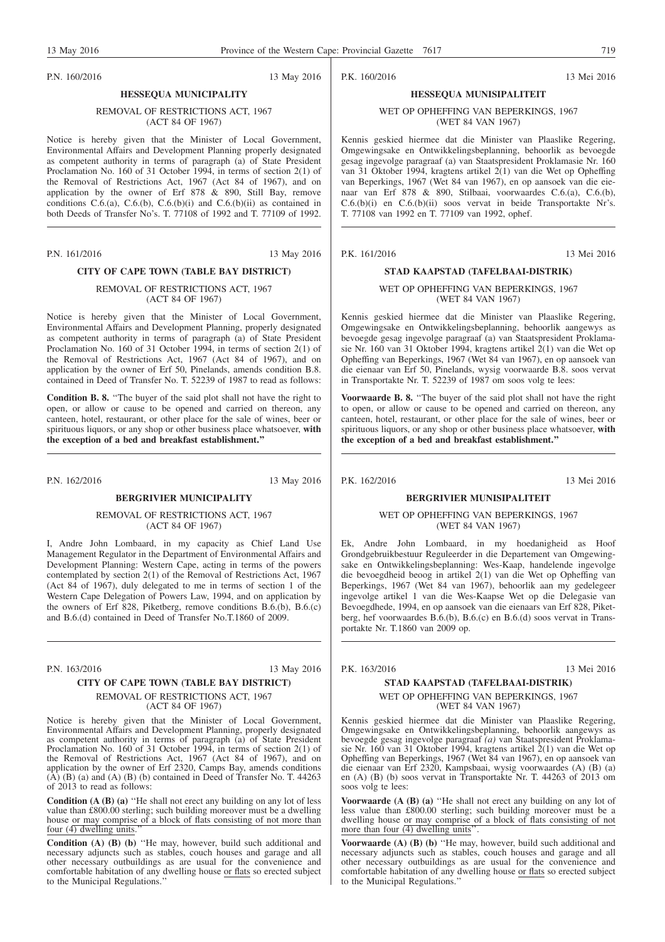P.N. 160/2016 13 May 2016

P.K. 160/2016 13 Mei 2016

#### WET OP OPHEFFING VAN BEPERKINGS, 1967 (WET 84 VAN 1967)

**HESSEQUA MUNISIPALITEIT**

Kennis geskied hiermee dat die Minister van Plaaslike Regering, Omgewingsake en Ontwikkelingsbeplanning, behoorlik as bevoegde gesag ingevolge paragraaf (a) van Staatspresident Proklamasie Nr. 160 van 31 Oktober 1994, kragtens artikel 2(1) van die Wet op Opheffing van Beperkings, 1967 (Wet 84 van 1967), en op aansoek van die eienaar van Erf 878 & 890, Stilbaai, voorwaardes C.6.(a), C.6.(b), C.6.(b)(i) en C.6.(b)(ii) soos vervat in beide Transportakte Nr's. T. 77108 van 1992 en T. 77109 van 1992, ophef.

P.K. 161/2016 13 Mei 2016

### **STAD KAAPSTAD (TAFELBAAI-DISTRIK)**

#### WET OP OPHEFFING VAN BEPERKINGS, 1967 (WET 84 VAN 1967)

Kennis geskied hiermee dat die Minister van Plaaslike Regering, Omgewingsake en Ontwikkelingsbeplanning, behoorlik aangewys as bevoegde gesag ingevolge paragraaf (a) van Staatspresident Proklamasie Nr. 160 van 31 Oktober 1994, kragtens artikel 2(1) van die Wet op Opheffing van Beperkings, 1967 (Wet 84 van 1967), en op aansoek van die eienaar van Erf 50, Pinelands, wysig voorwaarde B.8. soos vervat in Transportakte Nr. T. 52239 of 1987 om soos volg te lees:

Voorwaarde B. 8. "The buyer of the said plot shall not have the right to open, or allow or cause to be opened and carried on thereon, any canteen, hotel, restaurant, or other place for the sale of wines, beer or spirituous liquors, or any shop or other business place whatsoever, **with the exception of a bed and breakfast establishment.''**

P.K. 162/2016 13 Mei 2016

#### **BERGRIVIER MUNISIPALITEIT**

#### WET OP OPHEFFING VAN BEPERKINGS, 1967 (WET 84 VAN 1967)

Ek, Andre John Lombaard, in my hoedanigheid as Hoof Grondgebruikbestuur Reguleerder in die Departement van Omgewingsake en Ontwikkelingsbeplanning: Wes-Kaap, handelende ingevolge die bevoegdheid beoog in artikel 2(1) van die Wet op Opheffing van Beperkings, 1967 (Wet 84 van 1967), behoorlik aan my gedelegeer ingevolge artikel 1 van die Wes-Kaapse Wet op die Delegasie van Bevoegdhede, 1994, en op aansoek van die eienaars van Erf 828, Piketberg, hef voorwaardes B.6.(b), B.6.(c) en B.6.(d) soos vervat in Transportakte Nr. T.1860 van 2009 op.

P.K. 163/2016 13 Mei 2016

#### **STAD KAAPSTAD (TAFELBAAI-DISTRIK)** WET OP OPHEFFING VAN BEPERKINGS, 1967 (WET 84 VAN 1967)

Kennis geskied hiermee dat die Minister van Plaaslike Regering, Omgewingsake en Ontwikkelingsbeplanning, behoorlik aangewys as bevoegde gesag ingevolge paragraaf *(a)* van Staatspresident Proklamasie Nr. 160 van 31 Oktober 1994, kragtens artikel 2(1) van die Wet op Opheffing van Beperkings, 1967 (Wet 84 van 1967), en op aansoek van die eienaar van Erf 2320, Kampsbaai, wysig voorwaardes (A) (B) (a) en (A) (B) (b) soos vervat in Transportakte Nr. T. 44263 of 2013 om soos volg te lees:

**Voorwaarde** (A (B) (a) "He shall not erect any building on any lot of less value than £800.00 sterling; such building moreover must be a dwelling house or may comprise of a block of flats consisting of not more than four  $\overline{(4)}$  dwelling units".

**Voorwaarde (A) (B) (b)** "He may, however, build such additional and necessary adjuncts such as stables, couch houses and garage and all other necessary outbuildings as are usual for the convenience and comfortable habitation of any dwelling house or flats so erected subject to the Municipal Regulations.''

REMOVAL OF RESTRICTIONS ACT, 1967

## (ACT 84 OF 1967)

**HESSEQUA MUNICIPALITY**

Notice is hereby given that the Minister of Local Government, Environmental Affairs and Development Planning properly designated as competent authority in terms of paragraph (a) of State President Proclamation No. 160 of 31 October 1994, in terms of section 2(1) of the Removal of Restrictions Act, 1967 (Act 84 of 1967), and on application by the owner of Erf 878  $\&$  890, Still Bay, remove conditions  $C.6(a)$ ,  $C.6(b)$ ,  $C.6(b)(i)$  and  $C.6(b)(ii)$  as contained in both Deeds of Transfer No's. T. 77108 of 1992 and T. 77109 of 1992.

P.N. 161/2016 13 May 2016

### **CITY OF CAPE TOWN (TABLE BAY DISTRICT)**

REMOVAL OF RESTRICTIONS ACT, 1967 (ACT 84 OF 1967)

Notice is hereby given that the Minister of Local Government, Environmental Affairs and Development Planning, properly designated as competent authority in terms of paragraph (a) of State President Proclamation No. 160 of 31 October 1994, in terms of section 2(1) of the Removal of Restrictions Act, 1967 (Act 84 of 1967), and on application by the owner of Erf 50, Pinelands, amends condition B.8. contained in Deed of Transfer No. T. 52239 of 1987 to read as follows:

**Condition B. 8.** ''The buyer of the said plot shall not have the right to open, or allow or cause to be opened and carried on thereon, any canteen, hotel, restaurant, or other place for the sale of wines, beer or spirituous liquors, or any shop or other business place whatsoever, **with the exception of a bed and breakfast establishment.''**

P.N. 162/2016 13 May 2016

### **BERGRIVIER MUNICIPALITY**

REMOVAL OF RESTRICTIONS ACT, 1967 (ACT 84 OF 1967)

I, Andre John Lombaard, in my capacity as Chief Land Use Management Regulator in the Department of Environmental Affairs and Development Planning: Western Cape, acting in terms of the powers contemplated by section 2(1) of the Removal of Restrictions Act, 1967 (Act 84 of 1967), duly delegated to me in terms of section 1 of the Western Cape Delegation of Powers Law, 1994, and on application by the owners of Erf 828, Piketberg, remove conditions  $B.6(6)$ ,  $B.6(6)$ and B.6.(d) contained in Deed of Transfer No.T.1860 of 2009.

## **CITY OF CAPE TOWN (TABLE BAY DISTRICT)**

## REMOVAL OF RESTRICTIONS ACT, 1967

#### (ACT 84 OF 1967)

Notice is hereby given that the Minister of Local Government, Environmental Affairs and Development Planning, properly designated as competent authority in terms of paragraph (a) of State President Proclamation No. 160 of 31 October 1994, in terms of section 2(1) of the Removal of Restrictions Act, 1967 (Act 84 of 1967), and on application by the owner of Erf 2320, Camps Bay, amends conditions  $(A)$   $(B)$   $(a)$  and  $(A)$   $(B)$   $(b)$  contained in Deed of Transfer No. T. 44263 of 2013 to read as follows:

**Condition (A (B) (a)** "He shall not erect any building on any lot of less value than £800.00 sterling; such building moreover must be a dwelling house or may comprise of a block of flats consisting of not more than four  $\overline{(4)}$  dwelling units.

**Condition (A) (B) (b)** ''He may, however, build such additional and necessary adjuncts such as stables, couch houses and garage and all other necessary outbuildings as are usual for the convenience and comfortable habitation of any dwelling house or flats so erected subject to the Municipal Regulations.''

P.N. 163/2016 13 May 2016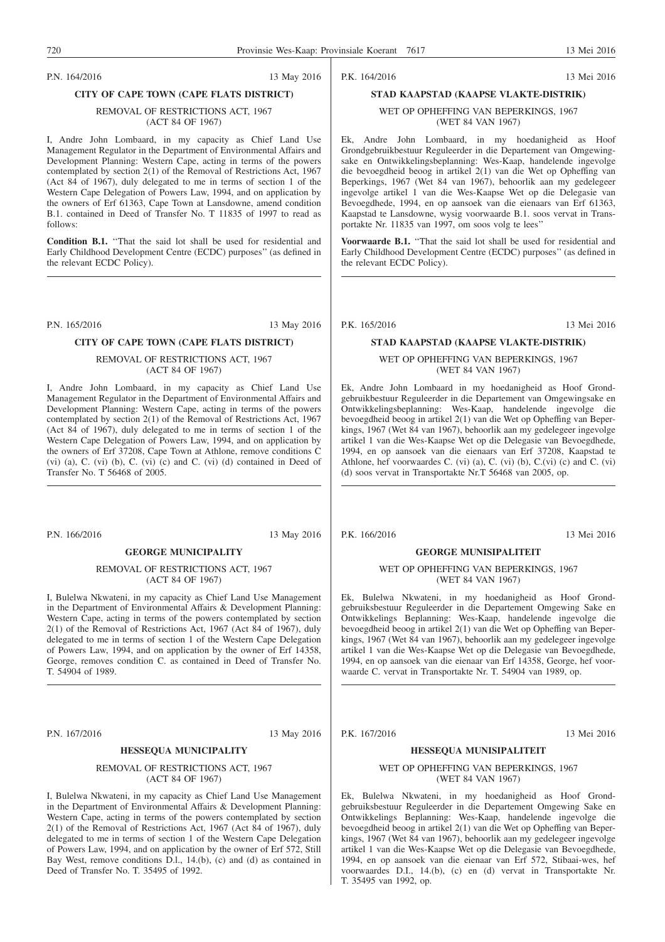#### P.N. 164/2016 13 May 2016

#### **CITY OF CAPE TOWN (CAPE FLATS DISTRICT)**

#### REMOVAL OF RESTRICTIONS ACT, 1967 (ACT 84 OF 1967)

I, Andre John Lombaard, in my capacity as Chief Land Use Management Regulator in the Department of Environmental Affairs and Development Planning: Western Cape, acting in terms of the powers contemplated by section 2(1) of the Removal of Restrictions Act, 1967 (Act 84 of 1967), duly delegated to me in terms of section 1 of the Western Cape Delegation of Powers Law, 1994, and on application by the owners of Erf 61363, Cape Town at Lansdowne, amend condition B.1. contained in Deed of Transfer No. T 11835 of 1997 to read as follows:

**Condition B.1.** ''That the said lot shall be used for residential and Early Childhood Development Centre (ECDC) purposes'' (as defined in the relevant ECDC Policy).

#### P.N. 165/2016 13 May 2016

#### **CITY OF CAPE TOWN (CAPE FLATS DISTRICT)**

REMOVAL OF RESTRICTIONS ACT, 1967 (ACT 84 OF 1967)

I, Andre John Lombaard, in my capacity as Chief Land Use Management Regulator in the Department of Environmental Affairs and Development Planning: Western Cape, acting in terms of the powers contemplated by section 2(1) of the Removal of Restrictions Act, 1967 (Act 84 of 1967), duly delegated to me in terms of section 1 of the Western Cape Delegation of Powers Law, 1994, and on application by the owners of Erf 37208, Cape Town at Athlone, remove conditions C (vi) (a), C. (vi) (b), C. (vi) (c) and C. (vi) (d) contained in Deed of Transfer No. T 56468 of 2005.

P.N. 166/2016 13 May 2016

#### **GEORGE MUNICIPALITY**

#### REMOVAL OF RESTRICTIONS ACT, 1967 (ACT 84 OF 1967)

I, Bulelwa Nkwateni, in my capacity as Chief Land Use Management in the Department of Environmental Affairs & Development Planning: Western Cape, acting in terms of the powers contemplated by section 2(1) of the Removal of Restrictions Act, 1967 (Act 84 of 1967), duly delegated to me in terms of section 1 of the Western Cape Delegation of Powers Law, 1994, and on application by the owner of Erf 14358, George, removes condition C. as contained in Deed of Transfer No. T. 54904 of 1989.

P.N. 167/2016 13 May 2016

#### **HESSEQUA MUNICIPALITY**

#### REMOVAL OF RESTRICTIONS ACT, 1967 (ACT 84 OF 1967)

I, Bulelwa Nkwateni, in my capacity as Chief Land Use Management in the Department of Environmental Affairs & Development Planning: Western Cape, acting in terms of the powers contemplated by section 2(1) of the Removal of Restrictions Act, 1967 (Act 84 of 1967), duly delegated to me in terms of section 1 of the Western Cape Delegation of Powers Law, 1994, and on application by the owner of Erf 572, Still Bay West, remove conditions D.l., 14.(b), (c) and (d) as contained in Deed of Transfer No. T. 35495 of 1992.

## **STAD KAAPSTAD (KAAPSE VLAKTE-DISTRIK)**

WET OP OPHEFFING VAN BEPERKINGS, 1967 (WET 84 VAN 1967)

Ek, Andre John Lombaard, in my hoedanigheid as Hoof Grondgebruikbestuur Reguleerder in die Departement van Omgewingsake en Ontwikkelingsbeplanning: Wes-Kaap, handelende ingevolge die bevoegdheid beoog in artikel 2(1) van die Wet op Opheffing van Beperkings, 1967 (Wet 84 van 1967), behoorlik aan my gedelegeer ingevolge artikel 1 van die Wes-Kaapse Wet op die Delegasie van Bevoegdhede, 1994, en op aansoek van die eienaars van Erf 61363, Kaapstad te Lansdowne, wysig voorwaarde B.1. soos vervat in Transportakte Nr. 11835 van 1997, om soos volg te lees''

**Voorwaarde B.1.** ''That the said lot shall be used for residential and Early Childhood Development Centre (ECDC) purposes'' (as defined in the relevant ECDC Policy).

P.K. 165/2016 13 Mei 2016

### **STAD KAAPSTAD (KAAPSE VLAKTE-DISTRIK)**

#### WET OP OPHEFFING VAN BEPERKINGS, 1967 (WET 84 VAN 1967)

Ek, Andre John Lombaard in my hoedanigheid as Hoof Grondgebruikbestuur Reguleerder in die Departement van Omgewingsake en Ontwikkelingsbeplanning: Wes-Kaap, handelende ingevolge die bevoegdheid beoog in artikel 2(1) van die Wet op Opheffing van Beperkings, 1967 (Wet 84 van 1967), behoorlik aan my gedelegeer ingevolge artikel 1 van die Wes-Kaapse Wet op die Delegasie van Bevoegdhede, 1994, en op aansoek van die eienaars van Erf 37208, Kaapstad te Athlone, hef voorwaardes C. (vi) (a), C. (vi) (b), C.(vi) (c) and C. (vi) (d) soos vervat in Transportakte Nr.T 56468 van 2005, op.

P.K. 166/2016 13 Mei 2016

#### **GEORGE MUNISIPALITEIT**

#### WET OP OPHEFFING VAN BEPERKINGS, 1967 (WET 84 VAN 1967)

Ek, Bulelwa Nkwateni, in my hoedanigheid as Hoof Grondgebruiksbestuur Reguleerder in die Departement Omgewing Sake en Ontwikkelings Beplanning: Wes-Kaap, handelende ingevolge die bevoegdheid beoog in artikel 2(1) van die Wet op Opheffing van Beperkings, 1967 (Wet 84 van 1967), behoorlik aan my gedelegeer ingevolge artikel 1 van die Wes-Kaapse Wet op die Delegasie van Bevoegdhede, 1994, en op aansoek van die eienaar van Erf 14358, George, hef voorwaarde C. vervat in Transportakte Nr. T. 54904 van 1989, op.

P.K. 167/2016 13 Mei 2016

#### **HESSEQUA MUNISIPALITEIT**

#### WET OP OPHEFFING VAN BEPERKINGS, 1967 (WET 84 VAN 1967)

Ek, Bulelwa Nkwateni, in my hoedanigheid as Hoof Grondgebruiksbestuur Reguleerder in die Departement Omgewing Sake en Ontwikkelings Beplanning: Wes-Kaap, handelende ingevolge die bevoegdheid beoog in artikel 2(1) van die Wet op Opheffing van Beperkings, 1967 (Wet 84 van 1967), behoorlik aan my gedelegeer ingevolge artikel 1 van die Wes-Kaapse Wet op die Delegasie van Bevoegdhede, 1994, en op aansoek van die eienaar van Erf 572, Stibaai-wes, hef voorwaardes D.I., 14.(b), (c) en (d) vervat in Transportakte Nr. T. 35495 van 1992, op.

P.K. 164/2016 13 Mei 2016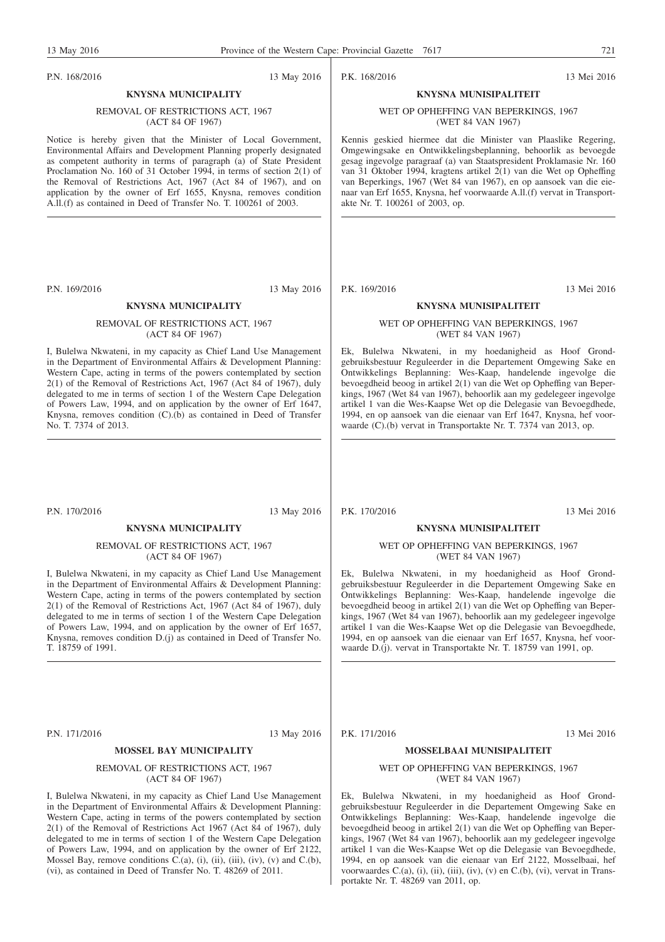P.N. 168/2016 13 May 2016

## P.K. 168/2016 13 Mei 2016

#### WET OP OPHEFFING VAN BEPERKINGS, 1967 (WET 84 VAN 1967)

**KNYSNA MUNISIPALITEIT**

Kennis geskied hiermee dat die Minister van Plaaslike Regering, Omgewingsake en Ontwikkelingsbeplanning, behoorlik as bevoegde gesag ingevolge paragraaf (a) van Staatspresident Proklamasie Nr. 160 van 31 Oktober 1994, kragtens artikel 2(1) van die Wet op Opheffing van Beperkings, 1967 (Wet 84 van 1967), en op aansoek van die eienaar van Erf 1655, Knysna, hef voorwaarde A.ll.(f) vervat in Transportakte Nr. T. 100261 of 2003, op.

P.K. 169/2016 13 Mei 2016

#### **KNYSNA MUNISIPALITEIT**

#### WET OP OPHEFFING VAN BEPERKINGS, 1967 (WET 84 VAN 1967)

Ek, Bulelwa Nkwateni, in my hoedanigheid as Hoof Grondgebruiksbestuur Reguleerder in die Departement Omgewing Sake en Ontwikkelings Beplanning: Wes-Kaap, handelende ingevolge die bevoegdheid beoog in artikel 2(1) van die Wet op Opheffing van Beperkings, 1967 (Wet 84 van 1967), behoorlik aan my gedelegeer ingevolge artikel 1 van die Wes-Kaapse Wet op die Delegasie van Bevoegdhede, 1994, en op aansoek van die eienaar van Erf 1647, Knysna, hef voorwaarde (C).(b) vervat in Transportakte Nr. T. 7374 van 2013, op.

P.N. 170/2016 13 May 2016

No. T. 7374 of 2013.

## **KNYSNA MUNICIPALITY**

#### REMOVAL OF RESTRICTIONS ACT, 1967 (ACT 84 OF 1967)

**KNYSNA MUNICIPALITY** REMOVAL OF RESTRICTIONS ACT, 1967 (ACT 84 OF 1967) Notice is hereby given that the Minister of Local Government, Environmental Affairs and Development Planning properly designated as competent authority in terms of paragraph (a) of State President Proclamation No. 160 of 31 October 1994, in terms of section 2(1) of the Removal of Restrictions Act, 1967 (Act 84 of 1967), and on application by the owner of Erf 1655, Knysna, removes condition A.ll.(f) as contained in Deed of Transfer No. T. 100261 of 2003.

P.N. 169/2016 13 May 2016 **KNYSNA MUNICIPALITY** REMOVAL OF RESTRICTIONS ACT, 1967 (ACT 84 OF 1967) I, Bulelwa Nkwateni, in my capacity as Chief Land Use Management in the Department of Environmental Affairs & Development Planning: Western Cape, acting in terms of the powers contemplated by section 2(1) of the Removal of Restrictions Act, 1967 (Act 84 of 1967), duly delegated to me in terms of section 1 of the Western Cape Delegation of Powers Law, 1994, and on application by the owner of Erf 1647, Knysna, removes condition (C).(b) as contained in Deed of Transfer

I, Bulelwa Nkwateni, in my capacity as Chief Land Use Management in the Department of Environmental Affairs & Development Planning: Western Cape, acting in terms of the powers contemplated by section 2(1) of the Removal of Restrictions Act, 1967 (Act 84 of 1967), duly delegated to me in terms of section 1 of the Western Cape Delegation of Powers Law, 1994, and on application by the owner of Erf 1657, Knysna, removes condition D.(j) as contained in Deed of Transfer No. T. 18759 of 1991.

P.N. 171/2016 13 May 2016

#### **MOSSEL BAY MUNICIPALITY**

#### REMOVAL OF RESTRICTIONS ACT, 1967 (ACT 84 OF 1967)

I, Bulelwa Nkwateni, in my capacity as Chief Land Use Management in the Department of Environmental Affairs & Development Planning: Western Cape, acting in terms of the powers contemplated by section 2(1) of the Removal of Restrictions Act 1967 (Act 84 of 1967), duly delegated to me in terms of section 1 of the Western Cape Delegation of Powers Law, 1994, and on application by the owner of Erf 2122, Mossel Bay, remove conditions C.(a), (i), (ii), (iii), (iv), (v) and C.(b), (vi), as contained in Deed of Transfer No. T. 48269 of 2011.

P.K. 170/2016 13 Mei 2016

#### **KNYSNA MUNISIPALITEIT**

#### WET OP OPHEFFING VAN BEPERKINGS, 1967 (WET 84 VAN 1967)

Ek, Bulelwa Nkwateni, in my hoedanigheid as Hoof Grondgebruiksbestuur Reguleerder in die Departement Omgewing Sake en Ontwikkelings Beplanning: Wes-Kaap, handelende ingevolge die bevoegdheid beoog in artikel 2(1) van die Wet op Opheffing van Beperkings, 1967 (Wet 84 van 1967), behoorlik aan my gedelegeer ingevolge artikel 1 van die Wes-Kaapse Wet op die Delegasie van Bevoegdhede, 1994, en op aansoek van die eienaar van Erf 1657, Knysna, hef voorwaarde D.(j). vervat in Transportakte Nr. T. 18759 van 1991, op.

P.K. 171/2016 13 Mei 2016

### **MOSSELBAAI MUNISIPALITEIT**

#### WET OP OPHEFFING VAN BEPERKINGS, 1967 (WET 84 VAN 1967)

Ek, Bulelwa Nkwateni, in my hoedanigheid as Hoof Grondgebruiksbestuur Reguleerder in die Departement Omgewing Sake en Ontwikkelings Beplanning: Wes-Kaap, handelende ingevolge die bevoegdheid beoog in artikel 2(1) van die Wet op Opheffing van Beperkings, 1967 (Wet 84 van 1967), behoorlik aan my gedelegeer ingevolge artikel 1 van die Wes-Kaapse Wet op die Delegasie van Bevoegdhede, 1994, en op aansoek van die eienaar van Erf 2122, Mosselbaai, hef voorwaardes C.(a), (i), (ii), (iii), (iv), (v) en C.(b), (vi), vervat in Transportakte Nr. T. 48269 van 2011, op.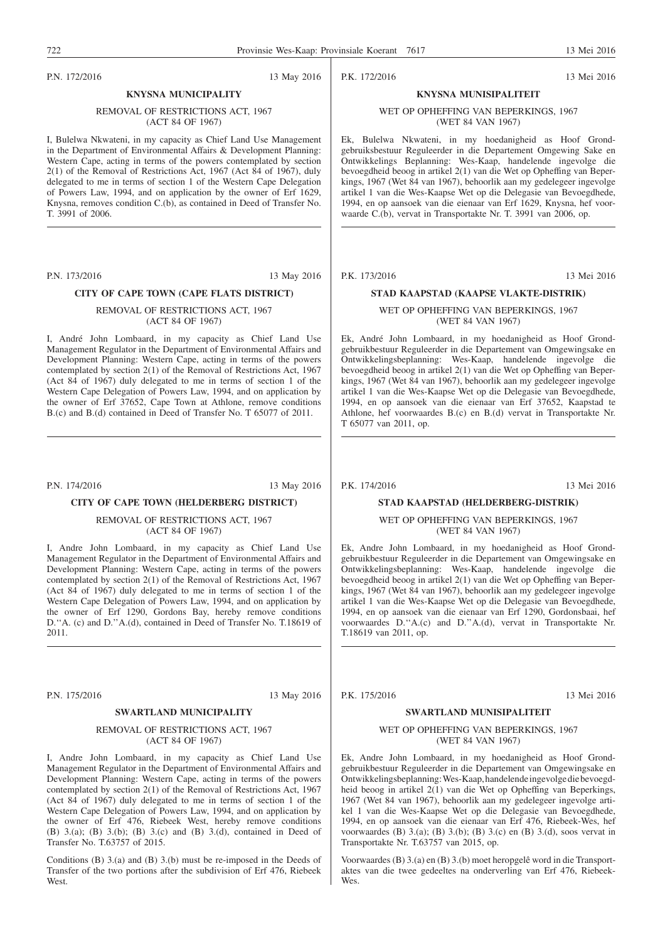P.N. 172/2016 13 May 2016

T. 3991 of 2006.

P.K. 172/2016 13 Mei 2016

#### WET OP OPHEFFING VAN BEPERKINGS, 1967 (WET 84 VAN 1967)

**KNYSNA MUNISIPALITEIT**

Ek, Bulelwa Nkwateni, in my hoedanigheid as Hoof Grondgebruiksbestuur Reguleerder in die Departement Omgewing Sake en Ontwikkelings Beplanning: Wes-Kaap, handelende ingevolge die bevoegdheid beoog in artikel 2(1) van die Wet op Opheffing van Beperkings, 1967 (Wet 84 van 1967), behoorlik aan my gedelegeer ingevolge artikel 1 van die Wes-Kaapse Wet op die Delegasie van Bevoegdhede, 1994, en op aansoek van die eienaar van Erf 1629, Knysna, hef voorwaarde C.(b), vervat in Transportakte Nr. T. 3991 van 2006, op.

#### P.K. 173/2016 13 Mei 2016

#### **STAD KAAPSTAD (KAAPSE VLAKTE-DISTRIK)**

WET OP OPHEFFING VAN BEPERKINGS, 1967 (WET 84 VAN 1967)

Ek, André John Lombaard, in my hoedanigheid as Hoof Grondgebruikbestuur Reguleerder in die Departement van Omgewingsake en Ontwikkelingsbeplanning: Wes-Kaap, handelende ingevolge die bevoegdheid beoog in artikel 2(1) van die Wet op Opheffing van Beperkings, 1967 (Wet 84 van 1967), behoorlik aan my gedelegeer ingevolge artikel 1 van die Wes-Kaapse Wet op die Delegasie van Bevoegdhede, 1994, en op aansoek van die eienaar van Erf 37652, Kaapstad te Athlone, hef voorwaardes B.(c) en B.(d) vervat in Transportakte Nr. T 65077 van 2011, op.

#### **CITY OF CAPE TOWN (HELDERBERG DISTRICT)**

(ACT 84 OF 1967)

I, Andre John Lombaard, in my capacity as Chief Land Use Management Regulator in the Department of Environmental Affairs and Development Planning: Western Cape, acting in terms of the powers contemplated by section 2(1) of the Removal of Restrictions Act, 1967 (Act 84 of 1967) duly delegated to me in terms of section 1 of the Western Cape Delegation of Powers Law, 1994, and on application by the owner of Erf 1290, Gordons Bay, hereby remove conditions D.''A. (c) and D.''A.(d), contained in Deed of Transfer No. T.18619 of

#### P.N. 175/2016 13 May 2016

#### **SWARTLAND MUNICIPALITY**

#### REMOVAL OF RESTRICTIONS ACT, 1967 (ACT 84 OF 1967)

I, Andre John Lombaard, in my capacity as Chief Land Use Management Regulator in the Department of Environmental Affairs and Development Planning: Western Cape, acting in terms of the powers contemplated by section 2(1) of the Removal of Restrictions Act, 1967 (Act 84 of 1967) duly delegated to me in terms of section 1 of the Western Cape Delegation of Powers Law, 1994, and on application by the owner of Erf 476, Riebeek West, hereby remove conditions (B) 3.(a); (B) 3.(b); (B) 3.(c) and (B) 3.(d), contained in Deed of Transfer No. T.63757 of 2015.

Conditions (B) 3.(a) and (B) 3.(b) must be re-imposed in the Deeds of Transfer of the two portions after the subdivision of Erf 476, Riebeek **West**.

P.K. 174/2016 13 Mei 2016

#### **STAD KAAPSTAD (HELDERBERG-DISTRIK)**

#### WET OP OPHEFFING VAN BEPERKINGS, 1967 (WET 84 VAN 1967)

Ek, Andre John Lombaard, in my hoedanigheid as Hoof Grondgebruikbestuur Reguleerder in die Departement van Omgewingsake en Ontwikkelingsbeplanning: Wes-Kaap, handelende ingevolge die bevoegdheid beoog in artikel 2(1) van die Wet op Opheffing van Beperkings, 1967 (Wet 84 van 1967), behoorlik aan my gedelegeer ingevolge artikel 1 van die Wes-Kaapse Wet op die Delegasie van Bevoegdhede, 1994, en op aansoek van die eienaar van Erf 1290, Gordonsbaai, hef voorwaardes D.''A.(c) and D.''A.(d), vervat in Transportakte Nr. T.18619 van 2011, op.

P.K. 175/2016 13 Mei 2016

#### **SWARTLAND MUNISIPALITEIT**

#### WET OP OPHEFFING VAN BEPERKINGS, 1967 (WET 84 VAN 1967)

Ek, Andre John Lombaard, in my hoedanigheid as Hoof Grondgebruikbestuur Reguleerder in die Departement van Omgewingsake en Ontwikkelingsbeplanning:Wes-Kaap, handelendeingevolge die bevoegdheid beoog in artikel 2(1) van die Wet op Opheffing van Beperkings, 1967 (Wet 84 van 1967), behoorlik aan my gedelegeer ingevolge artikel 1 van die Wes-Kaapse Wet op die Delegasie van Bevoegdhede, 1994, en op aansoek van die eienaar van Erf 476, Riebeek-Wes, hef voorwaardes (B) 3.(a); (B) 3.(b); (B) 3.(c) en (B) 3.(d), soos vervat in Transportakte Nr. T.63757 van 2015, op.

Voorwaardes (B) 3.(a) en (B) 3.(b) moet heropgelê word in die Transportaktes van die twee gedeeltes na onderverling van Erf 476, Riebeek-Wes.

contemplated by section 2(1) of the Removal of Restrictions Act, 1967 (Act 84 of 1967) duly delegated to me in terms of section 1 of the Western Cape Delegation of Powers Law, 1994, and on application by

P.N. 174/2016 13 May 2016

the owner of Erf 37652, Cape Town at Athlone, remove conditions B.(c) and B.(d) contained in Deed of Transfer No. T 65077 of 2011.

**KNYSNA MUNICIPALITY** REMOVAL OF RESTRICTIONS ACT, 1967 (ACT 84 OF 1967) I, Bulelwa Nkwateni, in my capacity as Chief Land Use Management in the Department of Environmental Affairs & Development Planning: Western Cape, acting in terms of the powers contemplated by section 2(1) of the Removal of Restrictions Act, 1967 (Act 84 of 1967), duly delegated to me in terms of section 1 of the Western Cape Delegation of Powers Law, 1994, and on application by the owner of Erf 1629, Knysna, removes condition C.(b), as contained in Deed of Transfer No.

P.N. 173/2016 13 May 2016 **CITY OF CAPE TOWN (CAPE FLATS DISTRICT)** REMOVAL OF RESTRICTIONS ACT, 1967 (ACT 84 OF 1967) I, André John Lombaard, in my capacity as Chief Land Use Management Regulator in the Department of Environmental Affairs and Development Planning: Western Cape, acting in terms of the powers

REMOVAL OF RESTRICTIONS ACT, 1967

2011.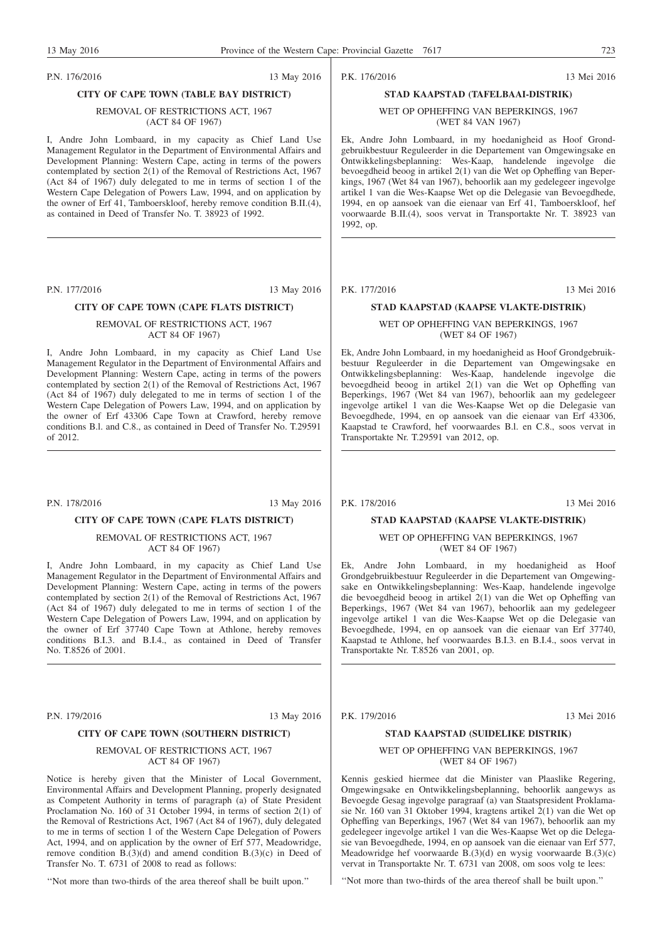P.N. 176/2016 13 May 2016

#### **CITY OF CAPE TOWN (TABLE BAY DISTRICT)**

#### REMOVAL OF RESTRICTIONS ACT, 1967 (ACT 84 OF 1967)

I, Andre John Lombaard, in my capacity as Chief Land Use Management Regulator in the Department of Environmental Affairs and Development Planning: Western Cape, acting in terms of the powers contemplated by section 2(1) of the Removal of Restrictions Act, 1967 (Act 84 of 1967) duly delegated to me in terms of section 1 of the Western Cape Delegation of Powers Law, 1994, and on application by the owner of Erf 41, Tamboerskloof, hereby remove condition B.II.(4), as contained in Deed of Transfer No. T. 38923 of 1992.

P.N. 177/2016 13 May 2016

#### **CITY OF CAPE TOWN (CAPE FLATS DISTRICT)**

#### REMOVAL OF RESTRICTIONS ACT, 1967 ACT 84 OF 1967)

I, Andre John Lombaard, in my capacity as Chief Land Use Management Regulator in the Department of Environmental Affairs and Development Planning: Western Cape, acting in terms of the powers contemplated by section 2(1) of the Removal of Restrictions Act, 1967 (Act 84 of 1967) duly delegated to me in terms of section 1 of the Western Cape Delegation of Powers Law, 1994, and on application by the owner of Erf 43306 Cape Town at Crawford, hereby remove conditions B.l. and C.8., as contained in Deed of Transfer No. T.29591 of 2012.

P.N. 178/2016 13 May 2016

#### **CITY OF CAPE TOWN (CAPE FLATS DISTRICT)**

REMOVAL OF RESTRICTIONS ACT, 1967 ACT 84 OF 1967)

I, Andre John Lombaard, in my capacity as Chief Land Use Management Regulator in the Department of Environmental Affairs and Development Planning: Western Cape, acting in terms of the powers contemplated by section 2(1) of the Removal of Restrictions Act, 1967 (Act 84 of 1967) duly delegated to me in terms of section 1 of the Western Cape Delegation of Powers Law, 1994, and on application by the owner of Erf 37740 Cape Town at Athlone, hereby removes conditions B.I.3. and B.I.4., as contained in Deed of Transfer No. T.8526 of 2001.

P.N. 179/2016 13 May 2016

#### **CITY OF CAPE TOWN (SOUTHERN DISTRICT)**

#### REMOVAL OF RESTRICTIONS ACT, 1967 ACT 84 OF 1967)

Notice is hereby given that the Minister of Local Government, Environmental Affairs and Development Planning, properly designated as Competent Authority in terms of paragraph (a) of State President Proclamation No. 160 of 31 October 1994, in terms of section 2(1) of the Removal of Restrictions Act, 1967 (Act 84 of 1967), duly delegated to me in terms of section 1 of the Western Cape Delegation of Powers Act, 1994, and on application by the owner of Erf 577, Meadowridge, remove condition  $B(3)(d)$  and amend condition  $B(3)(c)$  in Deed of Transfer No. T. 6731 of 2008 to read as follows:

''Not more than two-thirds of the area thereof shall be built upon.''

P.K. 176/2016 13 Mei 2016

### **STAD KAAPSTAD (TAFELBAAI-DISTRIK)** WET OP OPHEFFING VAN BEPERKINGS, 1967

(WET 84 VAN 1967)

Ek, Andre John Lombaard, in my hoedanigheid as Hoof Grondgebruikbestuur Reguleerder in die Departement van Omgewingsake en Ontwikkelingsbeplanning: Wes-Kaap, handelende ingevolge die bevoegdheid beoog in artikel 2(1) van die Wet op Opheffing van Beperkings, 1967 (Wet 84 van 1967), behoorlik aan my gedelegeer ingevolge artikel 1 van die Wes-Kaapse Wet op die Delegasie van Bevoegdhede, 1994, en op aansoek van die eienaar van Erf 41, Tamboerskloof, hef voorwaarde B.II.(4), soos vervat in Transportakte Nr. T. 38923 van 1992, op.

P.K. 177/2016 13 Mei 2016

#### **STAD KAAPSTAD (KAAPSE VLAKTE-DISTRIK)**

#### WET OP OPHEFFING VAN BEPERKINGS, 1967 (WET 84 OF 1967)

Ek, Andre John Lombaard, in my hoedanigheid as Hoof Grondgebruikbestuur Reguleerder in die Departement van Omgewingsake en Ontwikkelingsbeplanning: Wes-Kaap, handelende ingevolge die bevoegdheid beoog in artikel 2(1) van die Wet op Opheffing van Beperkings, 1967 (Wet 84 van 1967), behoorlik aan my gedelegeer ingevolge artikel 1 van die Wes-Kaapse Wet op die Delegasie van Bevoegdhede, 1994, en op aansoek van die eienaar van Erf 43306, Kaapstad te Crawford, hef voorwaardes B.l. en C.8., soos vervat in Transportakte Nr. T.29591 van 2012, op.

P.K. 178/2016 13 Mei 2016

#### **STAD KAAPSTAD (KAAPSE VLAKTE-DISTRIK)**

#### WET OP OPHEFFING VAN BEPERKINGS, 1967 (WET 84 OF 1967)

Ek, Andre John Lombaard, in my hoedanigheid as Hoof Grondgebruikbestuur Reguleerder in die Departement van Omgewingsake en Ontwikkelingsbeplanning: Wes-Kaap, handelende ingevolge die bevoegdheid beoog in artikel 2(1) van die Wet op Opheffing van Beperkings, 1967 (Wet 84 van 1967), behoorlik aan my gedelegeer ingevolge artikel 1 van die Wes-Kaapse Wet op die Delegasie van Bevoegdhede, 1994, en op aansoek van die eienaar van Erf 37740, Kaapstad te Athlone, hef voorwaardes B.I.3. en B.I.4., soos vervat in Transportakte Nr. T.8526 van 2001, op.

P.K. 179/2016 13 Mei 2016

#### **STAD KAAPSTAD (SUIDELIKE DISTRIK)**

#### WET OP OPHEFFING VAN BEPERKINGS, 1967 (WET 84 OF 1967)

Kennis geskied hiermee dat die Minister van Plaaslike Regering, Omgewingsake en Ontwikkelingsbeplanning, behoorlik aangewys as Bevoegde Gesag ingevolge paragraaf (a) van Staatspresident Proklamasie Nr. 160 van 31 Oktober 1994, kragtens artikel 2(1) van die Wet op Opheffing van Beperkings, 1967 (Wet 84 van 1967), behoorlik aan my gedelegeer ingevolge artikel 1 van die Wes-Kaapse Wet op die Delegasie van Bevoegdhede, 1994, en op aansoek van die eienaar van Erf 577, Meadowridge hef voorwaarde B.(3)(d) en wysig voorwaarde B.(3)(c) vervat in Transportakte Nr. T. 6731 van 2008, om soos volg te lees:

''Not more than two-thirds of the area thereof shall be built upon.''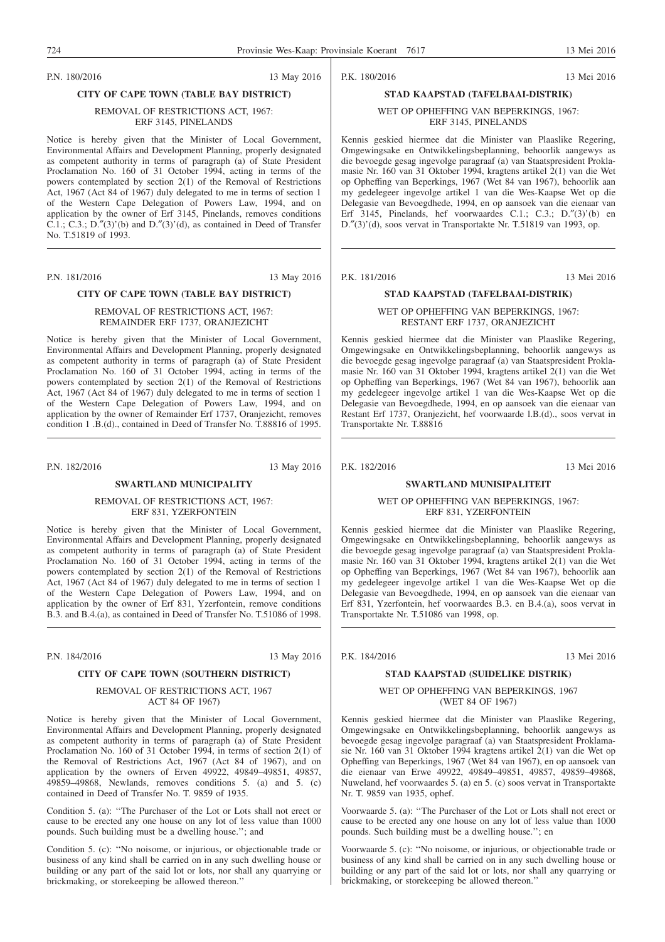P.N. 180/2016 13 May 2016

#### **CITY OF CAPE TOWN (TABLE BAY DISTRICT)**

#### REMOVAL OF RESTRICTIONS ACT, 1967: ERF 3145, PINELANDS

Notice is hereby given that the Minister of Local Government, Environmental Affairs and Development Planning, properly designated as competent authority in terms of paragraph (a) of State President Proclamation No. 160 of 31 October 1994, acting in terms of the powers contemplated by section 2(1) of the Removal of Restrictions Act, 1967 (Act 84 of 1967) duly delegated to me in terms of section 1 of the Western Cape Delegation of Powers Law, 1994, and on application by the owner of Erf 3145, Pinelands, removes conditions C.1.; C.3.; D. $''(3)'(b)$  and D. $''(3)'(d)$ , as contained in Deed of Transfer No. T.51819 of 1993.

P.N. 181/2016 13 May 2016

#### **CITY OF CAPE TOWN (TABLE BAY DISTRICT)**

#### REMOVAL OF RESTRICTIONS ACT, 1967: REMAINDER ERF 1737, ORANJEZICHT

Notice is hereby given that the Minister of Local Government, Environmental Affairs and Development Planning, properly designated as competent authority in terms of paragraph (a) of State President Proclamation No. 160 of 31 October 1994, acting in terms of the powers contemplated by section 2(1) of the Removal of Restrictions Act, 1967 (Act 84 of 1967) duly delegated to me in terms of section 1 of the Western Cape Delegation of Powers Law, 1994, and on application by the owner of Remainder Erf 1737, Oranjezicht, removes condition 1 .B.(d)., contained in Deed of Transfer No. T.88816 of 1995.

P.N. 182/2016 13 May 2016

#### **SWARTLAND MUNICIPALITY**

REMOVAL OF RESTRICTIONS ACT, 1967: ERF 831, YZERFONTEIN

Notice is hereby given that the Minister of Local Government, Environmental Affairs and Development Planning, properly designated as competent authority in terms of paragraph (a) of State President Proclamation No. 160 of 31 October 1994, acting in terms of the powers contemplated by section 2(1) of the Removal of Restrictions Act, 1967 (Act 84 of 1967) duly delegated to me in terms of section 1 of the Western Cape Delegation of Powers Law, 1994, and on application by the owner of Erf 831, Yzerfontein, remove conditions B.3. and B.4.(a), as contained in Deed of Transfer No. T.51086 of 1998.

P.N. 184/2016 13 May 2016

### **CITY OF CAPE TOWN (SOUTHERN DISTRICT)**

#### REMOVAL OF RESTRICTIONS ACT, 1967 ACT 84 OF 1967)

Notice is hereby given that the Minister of Local Government, Environmental Affairs and Development Planning, properly designated as competent authority in terms of paragraph (a) of State President Proclamation No. 160 of 31 October 1994, in terms of section 2(1) of the Removal of Restrictions Act, 1967 (Act 84 of 1967), and on application by the owners of Erven 49922, 49849–49851, 49857, 49859–49868, Newlands, removes conditions 5. (a) and 5. (c) contained in Deed of Transfer No. T. 9859 of 1935.

Condition 5. (a): ''The Purchaser of the Lot or Lots shall not erect or cause to be erected any one house on any lot of less value than 1000 pounds. Such building must be a dwelling house.''; and

Condition 5. (c): ''No noisome, or injurious, or objectionable trade or business of any kind shall be carried on in any such dwelling house or building or any part of the said lot or lots, nor shall any quarrying or brickmaking, or storekeeping be allowed thereon.''

P.K. 180/2016 13 Mei 2016

### **STAD KAAPSTAD (TAFELBAAI-DISTRIK)** WET OP OPHEFFING VAN BEPERKINGS, 1967:

ERF 3145, PINELANDS

Kennis geskied hiermee dat die Minister van Plaaslike Regering, Omgewingsake en Ontwikkelingsbeplanning, behoorlik aangewys as die bevoegde gesag ingevolge paragraaf (a) van Staatspresident Proklamasie Nr. 160 van 31 Oktober 1994, kragtens artikel 2(1) van die Wet op Opheffing van Beperkings, 1967 (Wet 84 van 1967), behoorlik aan my gedelegeer ingevolge artikel 1 van die Wes-Kaapse Wet op die Delegasie van Bevoegdhede, 1994, en op aansoek van die eienaar van Erf 3145, Pinelands, hef voorwaardes C.1.; C.3.; D.″(3)'(b) en D.″(3)'(d), soos vervat in Transportakte Nr. T.51819 van 1993, op.

P.K. 181/2016 13 Mei 2016

#### **STAD KAAPSTAD (TAFELBAAI-DISTRIK)**

WET OP OPHEFFING VAN BEPERKINGS, 1967: RESTANT ERF 1737, ORANJEZICHT

Kennis geskied hiermee dat die Minister van Plaaslike Regering, Omgewingsake en Ontwikkelingsbeplanning, behoorlik aangewys as die bevoegde gesag ingevolge paragraaf (a) van Staatspresident Proklamasie Nr. 160 van 31 Oktober 1994, kragtens artikel 2(1) van die Wet op Opheffing van Beperkings, 1967 (Wet 84 van 1967), behoorlik aan my gedelegeer ingevolge artikel 1 van die Wes-Kaapse Wet op die Delegasie van Bevoegdhede, 1994, en op aansoek van die eienaar van Restant Erf 1737, Oranjezicht, hef voorwaarde l.B.(d)., soos vervat in Transportakte Nr. T.88816

P.K. 182/2016 13 Mei 2016

#### **SWARTLAND MUNISIPALITEIT**

WET OP OPHEFFING VAN BEPERKINGS, 1967: ERF 831, YZERFONTEIN

Kennis geskied hiermee dat die Minister van Plaaslike Regering, Omgewingsake en Ontwikkelingsbeplanning, behoorlik aangewys as die bevoegde gesag ingevolge paragraaf (a) van Staatspresident Proklamasie Nr. 160 van 31 Oktober 1994, kragtens artikel 2(1) van die Wet op Opheffing van Beperkings, 1967 (Wet 84 van 1967), behoorlik aan my gedelegeer ingevolge artikel 1 van die Wes-Kaapse Wet op die Delegasie van Bevoegdhede, 1994, en op aansoek van die eienaar van Erf 831, Yzerfontein, hef voorwaardes B.3. en B.4.(a), soos vervat in Transportakte Nr. T.51086 van 1998, op.

P.K. 184/2016 13 Mei 2016

#### **STAD KAAPSTAD (SUIDELIKE DISTRIK)**

WET OP OPHEFFING VAN BEPERKINGS, 1967 (WET 84 OF 1967)

Kennis geskied hiermee dat die Minister van Plaaslike Regering, Omgewingsake en Ontwikkelingsbeplanning, behoorlik aangewys as bevoegde gesag ingevolge paragraaf (a) van Staatspresident Proklamasie Nr. 160 van 31 Oktober 1994 kragtens artikel 2(1) van die Wet op Opheffing van Beperkings, 1967 (Wet 84 van 1967), en op aansoek van die eienaar van Erwe 49922, 49849–49851, 49857, 49859–49868, Nuweland, hef voorwaardes 5. (a) en 5. (c) soos vervat in Transportakte Nr. T. 9859 van 1935, ophef.

Voorwaarde 5. (a): ''The Purchaser of the Lot or Lots shall not erect or cause to be erected any one house on any lot of less value than 1000 pounds. Such building must be a dwelling house.''; en

Voorwaarde 5. (c): ''No noisome, or injurious, or objectionable trade or business of any kind shall be carried on in any such dwelling house or building or any part of the said lot or lots, nor shall any quarrying or brickmaking, or storekeeping be allowed thereon.''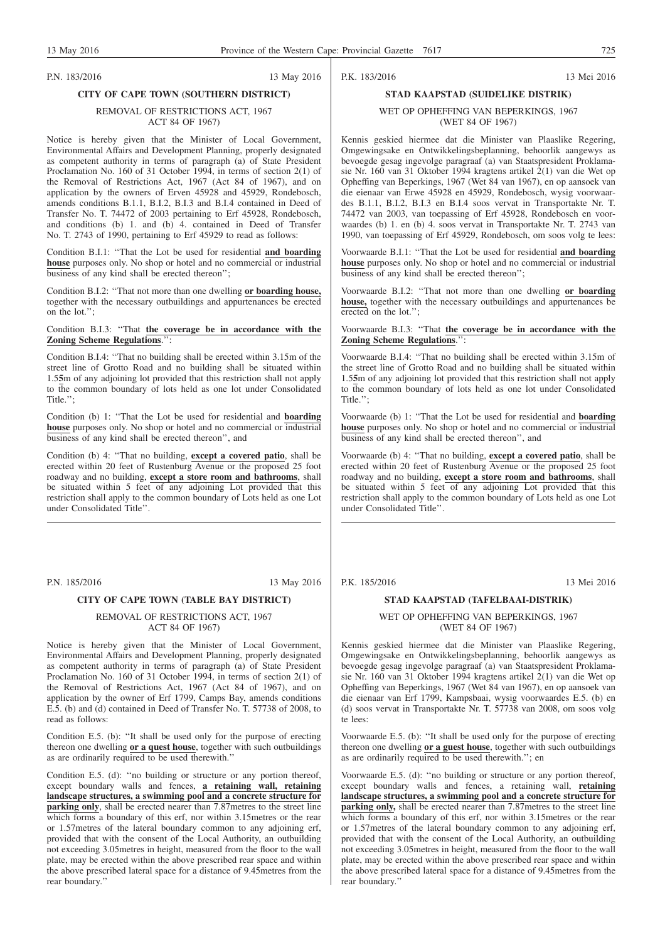#### P.N. 183/2016 13 May 2016

#### **CITY OF CAPE TOWN (SOUTHERN DISTRICT)**

#### REMOVAL OF RESTRICTIONS ACT, 1967 ACT 84 OF 1967)

Notice is hereby given that the Minister of Local Government, Environmental Affairs and Development Planning, properly designated as competent authority in terms of paragraph (a) of State President Proclamation No. 160 of 31 October 1994, in terms of section 2(1) of the Removal of Restrictions Act, 1967 (Act 84 of 1967), and on application by the owners of Erven 45928 and 45929, Rondebosch, amends conditions B.1.1, B.I.2, B.I.3 and B.I.4 contained in Deed of Transfer No. T. 74472 of 2003 pertaining to Erf 45928, Rondebosch, and conditions (b) 1. and (b) 4. contained in Deed of Transfer No. T. 2743 of 1990, pertaining to Erf 45929 to read as follows:

Condition B.I.1: ''That the Lot be used for residential **and boarding house** purposes only. No shop or hotel and no commercial or industrial business of any kind shall be erected thereon";

Condition B.I.2: ''That not more than one dwelling **or boarding house,** together with the necessary outbuildings and appurtenances be erected on the lot.'';

#### Condition B.I.3: ''That **the coverage be in accordance with the Zoning Scheme Regulations**.'':

Condition B.I.4: ''That no building shall be erected within 3.15m of the street line of Grotto Road and no building shall be situated within 1.5**5**m of any adjoining lot provided that this restriction shall not apply to the common boundary of lots held as one lot under Consolidated Title.'';

Condition (b) 1: ''That the Lot be used for residential and **boarding house** purposes only. No shop or hotel and no commercial or industrial business of any kind shall be erected thereon'', and

Condition (b) 4: ''That no building, **except a covered patio**, shall be erected within 20 feet of Rustenburg Avenue or the proposed 25 foot roadway and no building, **except a store room and bathrooms**, shall be situated within 5 feet of any adjoining Lot provided that this restriction shall apply to the common boundary of Lots held as one Lot under Consolidated Title''.

P.N. 185/2016 13 May 2016

#### **CITY OF CAPE TOWN (TABLE BAY DISTRICT)**

#### REMOVAL OF RESTRICTIONS ACT, 1967 ACT 84 OF 1967)

Notice is hereby given that the Minister of Local Government, Environmental Affairs and Development Planning, properly designated as competent authority in terms of paragraph (a) of State President Proclamation No. 160 of 31 October 1994, in terms of section 2(1) of the Removal of Restrictions Act, 1967 (Act 84 of 1967), and on application by the owner of Erf 1799, Camps Bay, amends conditions E.5. (b) and (d) contained in Deed of Transfer No. T. 57738 of 2008, to read as follows:

Condition E.5. (b): ''It shall be used only for the purpose of erecting thereon one dwelling **or a quest house**, together with such outbuildings as are ordinarily required to be used therewith.''

Condition E.5. (d): ''no building or structure or any portion thereof, except boundary walls and fences, **a retaining wall, retaining landscape structures, a swimming pool and a concrete structure for parking only**, shall be erected nearer than 7.87metres to the street line which forms a boundary of this erf, nor within 3.15 metres or the rear or 1.57metres of the lateral boundary common to any adjoining erf, provided that with the consent of the Local Authority, an outbuilding not exceeding 3.05metres in height, measured from the floor to the wall plate, may be erected within the above prescribed rear space and within the above prescribed lateral space for a distance of 9.45metres from the rear boundary.''

## P.K. 183/2016 13 Mei 2016

### **STAD KAAPSTAD (SUIDELIKE DISTRIK)** WET OP OPHEFFING VAN BEPERKINGS, 1967 (WET 84 OF 1967)

Kennis geskied hiermee dat die Minister van Plaaslike Regering, Omgewingsake en Ontwikkelingsbeplanning, behoorlik aangewys as bevoegde gesag ingevolge paragraaf (a) van Staatspresident Proklamasie Nr. 160 van 31 Oktober 1994 kragtens artikel 2(1) van die Wet op Opheffing van Beperkings, 1967 (Wet 84 van 1967), en op aansoek van die eienaar van Erwe 45928 en 45929, Rondebosch, wysig voorwaardes B.1.1, B.I.2, B.I.3 en B.I.4 soos vervat in Transportakte Nr. T. 74472 van 2003, van toepassing of Erf 45928, Rondebosch en voorwaardes (b) 1. en (b) 4. soos vervat in Transportakte Nr. T. 2743 van 1990, van toepassing of Erf 45929, Rondebosch, om soos volg te lees:

Voorwaarde B.I.1: ''That the Lot be used for residential **and boarding house** purposes only. No shop or hotel and no commercial or industrial business of any kind shall be erected thereon";

Voorwaarde B.I.2: ''That not more than one dwelling **or boarding house,** together with the necessary outbuildings and appurtenances be erected on the lot.'';

#### Voorwaarde B.I.3: ''That **the coverage be in accordance with the Zoning Scheme Regulations**.'':

Voorwaarde B.I.4: ''That no building shall be erected within 3.15m of the street line of Grotto Road and no building shall be situated within 1.5**5**m of any adjoining lot provided that this restriction shall not apply to the common boundary of lots held as one lot under Consolidated Title."

Voorwaarde (b) 1: ''That the Lot be used for residential and **boarding house** purposes only. No shop or hotel and no commercial or industrial business of any kind shall be erected thereon'', and

Voorwaarde (b) 4: ''That no building, **except a covered patio**, shall be erected within 20 feet of Rustenburg Avenue or the proposed 25 foot roadway and no building, **except a store room and bathrooms**, shall be situated within 5 feet of any adjoining Lot provided that this restriction shall apply to the common boundary of Lots held as one Lot under Consolidated Title''.

P.K. 185/2016 13 Mei 2016

#### **STAD KAAPSTAD (TAFELBAAI-DISTRIK)**

WET OP OPHEFFING VAN BEPERKINGS, 1967 (WET 84 OF 1967)

Kennis geskied hiermee dat die Minister van Plaaslike Regering, Omgewingsake en Ontwikkelingsbeplanning, behoorlik aangewys as bevoegde gesag ingevolge paragraaf (a) van Staatspresident Proklamasie Nr. 160 van 31 Oktober 1994 kragtens artikel 2(1) van die Wet op Opheffing van Beperkings, 1967 (Wet 84 van 1967), en op aansoek van die eienaar van Erf 1799, Kampsbaai, wysig voorwaardes E.5. (b) en (d) soos vervat in Transportakte Nr. T. 57738 van 2008, om soos volg te lees:

Voorwaarde E.5. (b): ''It shall be used only for the purpose of erecting thereon one dwelling **or a guest house**, together with such outbuildings as are ordinarily required to be used therewith.''; en

Voorwaarde E.5. (d): ''no building or structure or any portion thereof, except boundary walls and fences, a retaining wall, **retaining landscape structures, a swimming pool and a concrete structure for parking only,** shall be erected nearer than 7.87metres to the street line which forms a boundary of this erf, nor within 3.15 metres or the rear or 1.57metres of the lateral boundary common to any adjoining erf, provided that with the consent of the Local Authority, an outbuilding not exceeding 3.05metres in height, measured from the floor to the wall plate, may be erected within the above prescribed rear space and within the above prescribed lateral space for a distance of 9.45metres from the rear boundary.''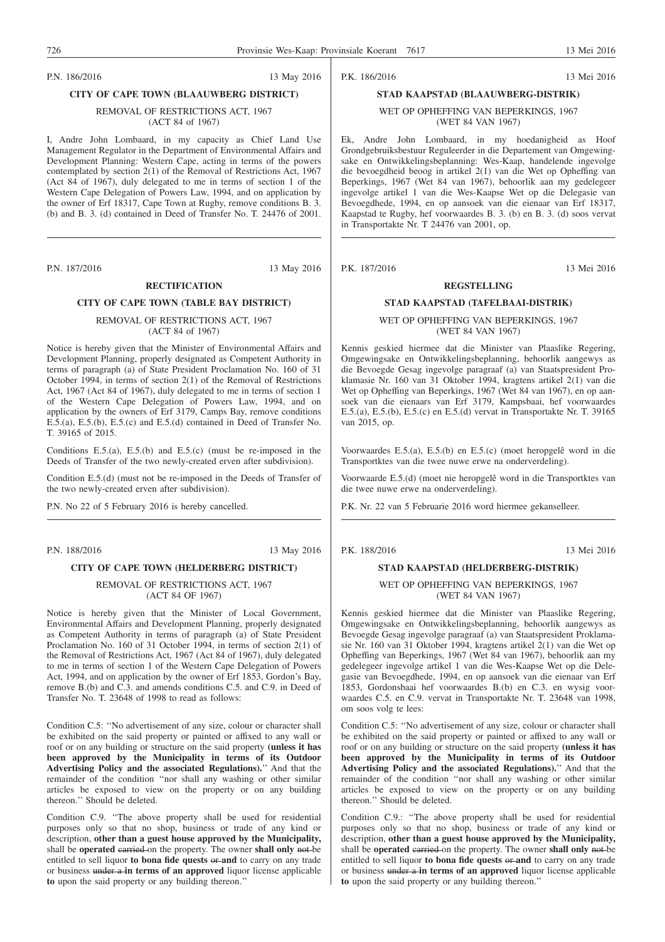P.N. 186/2016 13 May 2016

#### **CITY OF CAPE TOWN (BLAAUWBERG DISTRICT)**

#### REMOVAL OF RESTRICTIONS ACT, 1967 (ACT 84 of 1967)

I, Andre John Lombaard, in my capacity as Chief Land Use Management Regulator in the Department of Environmental Affairs and Development Planning: Western Cape, acting in terms of the powers contemplated by section 2(1) of the Removal of Restrictions Act, 1967 (Act 84 of 1967), duly delegated to me in terms of section 1 of the Western Cape Delegation of Powers Law, 1994, and on application by the owner of Erf 18317, Cape Town at Rugby, remove conditions B. 3. (b) and B. 3. (d) contained in Deed of Transfer No. T. 24476 of 2001.

#### P.N. 187/2016 13 May 2016

#### **RECTIFICATION**

#### **CITY OF CAPE TOWN (TABLE BAY DISTRICT)**

#### REMOVAL OF RESTRICTIONS ACT, 1967 (ACT 84 of 1967)

Notice is hereby given that the Minister of Environmental Affairs and Development Planning, properly designated as Competent Authority in terms of paragraph (a) of State President Proclamation No. 160 of 31 October 1994, in terms of section 2(1) of the Removal of Restrictions Act, 1967 (Act 84 of 1967), duly delegated to me in terms of section 1 of the Western Cape Delegation of Powers Law, 1994, and on application by the owners of Erf 3179, Camps Bay, remove conditions E.5.(a), E.5.(b), E.5.(c) and E.5.(d) contained in Deed of Transfer No. T. 39165 of 2015.

Conditions E.5.(a), E.5.(b) and E.5.(c) (must be re-imposed in the Deeds of Transfer of the two newly-created erven after subdivision).

Condition E.5.(d) (must not be re-imposed in the Deeds of Transfer of the two newly-created erven after subdivision).

P.N. No 22 of 5 February 2016 is hereby cancelled.

P.N. 188/2016 13 May 2016

## **CITY OF CAPE TOWN (HELDERBERG DISTRICT)**

REMOVAL OF RESTRICTIONS ACT, 1967 (ACT 84 OF 1967)

Notice is hereby given that the Minister of Local Government, Environmental Affairs and Development Planning, properly designated as Competent Authority in terms of paragraph (a) of State President Proclamation No. 160 of 31 October 1994, in terms of section 2(1) of the Removal of Restrictions Act, 1967 (Act 84 of 1967), duly delegated to me in terms of section 1 of the Western Cape Delegation of Powers Act, 1994, and on application by the owner of Erf 1853, Gordon's Bay, remove B.(b) and C.3. and amends conditions C.5. and C.9. in Deed of Transfer No. T. 23648 of 1998 to read as follows:

Condition C.5: ''No advertisement of any size, colour or character shall be exhibited on the said property or painted or affixed to any wall or roof or on any building or structure on the said property **(unless it has been approved by the Municipality in terms of its Outdoor Advertising Policy and the associated Regulations).**'' And that the remainder of the condition ''nor shall any washing or other similar articles be exposed to view on the property or on any building thereon.'' Should be deleted.

Condition C.9. ''The above property shall be used for residential purposes only so that no shop, business or trade of any kind or description, **other than a guest house approved by the Municipality,** shall be **operated** carried on the property. The owner **shall only** not be entitled to sell liquor **to bona fide quests** or **and** to carry on any trade or business under a **in terms of an approved** liquor license applicable **to** upon the said property or any building thereon.''

P.K. 186/2016 13 Mei 2016

## **STAD KAAPSTAD (BLAAUWBERG-DISTRIK)**

#### WET OP OPHEFFING VAN BEPERKINGS, 1967 (WET 84 VAN 1967)

Ek, Andre John Lombaard, in my hoedanigheid as Hoof Grondgebruiksbestuur Reguleerder in die Departement van Omgewingsake en Ontwikkelingsbeplanning: Wes-Kaap, handelende ingevolge die bevoegdheid beoog in artikel 2(1) van die Wet op Opheffing van Beperkings, 1967 (Wet 84 van 1967), behoorlik aan my gedelegeer ingevolge artikel 1 van die Wes-Kaapse Wet op die Delegasie van Bevoegdhede, 1994, en op aansoek van die eienaar van Erf 18317, Kaapstad te Rugby, hef voorwaardes B. 3. (b) en B. 3. (d) soos vervat in Transportakte Nr. T 24476 van 2001, op.

P.K. 187/2016 13 Mei 2016

#### **REGSTELLING**

#### **STAD KAAPSTAD (TAFELBAAI-DISTRIK)**

#### WET OP OPHEFFING VAN BEPERKINGS, 1967 (WET 84 VAN 1967)

Kennis geskied hiermee dat die Minister van Plaaslike Regering, Omgewingsake en Ontwikkelingsbeplanning, behoorlik aangewys as die Bevoegde Gesag ingevolge paragraaf (a) van Staatspresident Proklamasie Nr. 160 van 31 Oktober 1994, kragtens artikel 2(1) van die Wet op Opheffing van Beperkings, 1967 (Wet 84 van 1967), en op aansoek van die eienaars van Erf 3179, Kampsbaai, hef voorwaardes E.5.(a), E.5.(b), E.5.(c) en E.5.(d) vervat in Transportakte Nr. T. 39165 van 2015, op.

Voorwaardes E.5.(a), E.5.(b) en E.5.(c) (moet heropgelê word in die Transportktes van die twee nuwe erwe na onderverdeling).

Voorwaarde E.5.(d) (moet nie heropgelê word in die Transportktes van die twee nuwe erwe na onderverdeling).

P.K. Nr. 22 van 5 Februarie 2016 word hiermee gekanselleer.

P.K. 188/2016 13 Mei 2016

## **STAD KAAPSTAD (HELDERBERG-DISTRIK)**

WET OP OPHEFFING VAN BEPERKINGS, 1967 (WET 84 VAN 1967)

Kennis geskied hiermee dat die Minister van Plaaslike Regering, Omgewingsake en Ontwikkelingsbeplanning, behoorlik aangewys as Bevoegde Gesag ingevolge paragraaf (a) van Staatspresident Proklamasie Nr. 160 van 31 Oktober 1994, kragtens artikel 2(1) van die Wet op Opheffing van Beperkings, 1967 (Wet 84 van 1967), behoorlik aan my gedelegeer ingevolge artikel 1 van die Wes-Kaapse Wet op die Delegasie van Bevoegdhede, 1994, en op aansoek van die eienaar van Erf 1853, Gordonsbaai hef voorwaardes B.(b) en C.3. en wysig voorwaardes C.5. en C.9. vervat in Transportakte Nr. T. 23648 van 1998, om soos volg te lees:

Condition C.5: ''No advertisement of any size, colour or character shall be exhibited on the said property or painted or affixed to any wall or roof or on any building or structure on the said property **(unless it has been approved by the Municipality in terms of its Outdoor Advertising Policy and the associated Regulations).**'' And that the remainder of the condition ''nor shall any washing or other similar articles be exposed to view on the property or on any building thereon.'' Should be deleted.

Condition C.9.: ''The above property shall be used for residential purposes only so that no shop, business or trade of any kind or description, **other than a guest house approved by the Municipality,** shall be **operated** carried on the property. The owner **shall only** not be entitled to sell liquor **to bona fide quests** or **and** to carry on any trade or business under a **in terms of an approved** liquor license applicable **to** upon the said property or any building thereon.''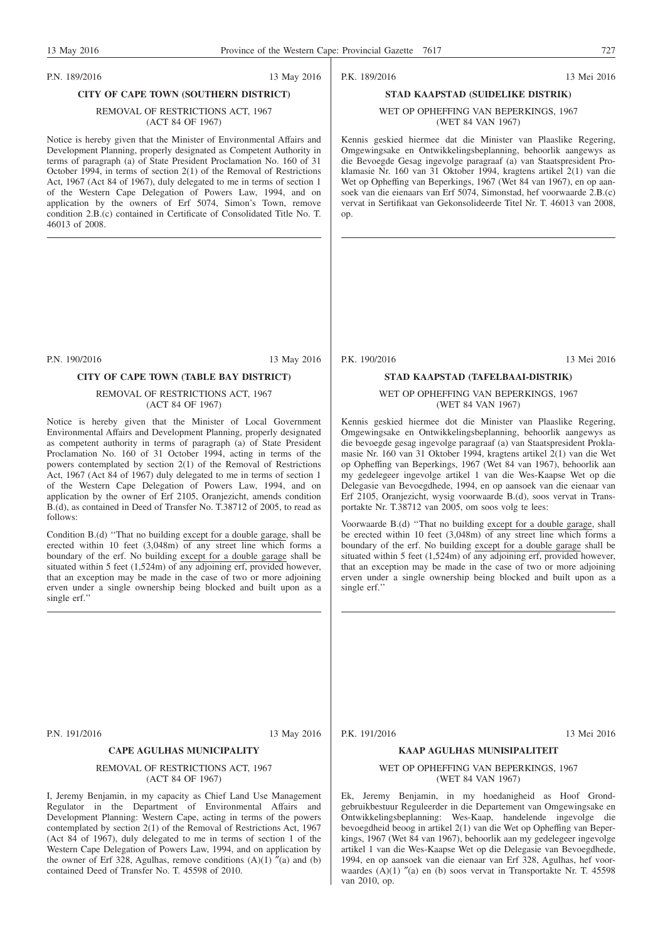#### P.N. 189/2016 13 May 2016

#### **CITY OF CAPE TOWN (SOUTHERN DISTRICT)**

#### REMOVAL OF RESTRICTIONS ACT, 1967 (ACT 84 OF 1967)

Notice is hereby given that the Minister of Environmental Affairs and Development Planning, properly designated as Competent Authority in terms of paragraph (a) of State President Proclamation No. 160 of 31 October 1994, in terms of section 2(1) of the Removal of Restrictions Act, 1967 (Act 84 of 1967), duly delegated to me in terms of section 1 of the Western Cape Delegation of Powers Law, 1994, and on application by the owners of Erf 5074, Simon's Town, remove condition 2.B.(c) contained in Certificate of Consolidated Title No. T. 46013 of 2008.

P.N. 190/2016 13 May 2016

#### **CITY OF CAPE TOWN (TABLE BAY DISTRICT)**

#### REMOVAL OF RESTRICTIONS ACT, 1967 (ACT 84 OF 1967)

Notice is hereby given that the Minister of Local Government Environmental Affairs and Development Planning, properly designated as competent authority in terms of paragraph (a) of State President Proclamation No. 160 of 31 October 1994, acting in terms of the powers contemplated by section 2(1) of the Removal of Restrictions Act, 1967 (Act 84 of 1967) duly delegated to me in terms of section 1 of the Western Cape Delegation of Powers Law, 1994, and on application by the owner of Erf 2105, Oranjezicht, amends condition B.(d), as contained in Deed of Transfer No. T.38712 of 2005, to read as follows:

Condition B.(d) ''That no building except for a double garage, shall be erected within 10 feet (3,048m) of any street line which forms a boundary of the erf. No building except for a double garage shall be situated within 5 feet  $(1,524m)$  of any adjoining erf, provided however, that an exception may be made in the case of two or more adjoining erven under a single ownership being blocked and built upon as a single erf.''

P.K. 189/2016 13 Mei 2016

### **STAD KAAPSTAD (SUIDELIKE DISTRIK)** WET OP OPHEFFING VAN BEPERKINGS, 1967

(WET 84 VAN 1967)

Kennis geskied hiermee dat die Minister van Plaaslike Regering, Omgewingsake en Ontwikkelingsbeplanning, behoorlik aangewys as die Bevoegde Gesag ingevolge paragraaf (a) van Staatspresident Proklamasie Nr. 160 van 31 Oktober 1994, kragtens artikel 2(1) van die Wet op Opheffing van Beperkings, 1967 (Wet 84 van 1967), en op aansoek van die eienaars van Erf 5074, Simonstad, hef voorwaarde 2.B.(c) vervat in Sertifikaat van Gekonsolideerde Titel Nr. T. 46013 van 2008, op.

P.K. 190/2016 13 Mei 2016

#### **STAD KAAPSTAD (TAFELBAAI-DISTRIK)**

#### WET OP OPHEFFING VAN BEPERKINGS, 1967 (WET 84 VAN 1967)

Kennis geskied hiermee dot die Minister van Plaaslike Regering, Omgewingsake en Ontwikkelingsbeplanning, behoorlik aangewys as die bevoegde gesag ingevolge paragraaf (a) van Staatspresident Proklamasie Nr. 160 van 31 Oktober 1994, kragtens artikel 2(1) van die Wet op Opheffing van Beperkings, 1967 (Wet 84 van 1967), behoorlik aan my gedelegeer ingevolge artikel 1 van die Wes-Kaapse Wet op die Delegasie van Bevoegdhede, 1994, en op aansoek van die eienaar van Erf 2105, Oranjezicht, wysig voorwaarde B.(d), soos vervat in Transportakte Nr. T.38712 van 2005, om soos volg te lees:

Voorwaarde B.(d) ''That no building except for a double garage, shall be erected within 10 feet  $(3,048m)$  of any street line which forms a boundary of the erf. No building except for a double garage shall be situated within 5 feet (1,524m) of any adjoining erf, provided however, that an exception may be made in the case of two or more adjoining erven under a single ownership being blocked and built upon as a single erf.''

P.N. 191/2016 13 May 2016

#### **CAPE AGULHAS MUNICIPALITY**

#### REMOVAL OF RESTRICTIONS ACT, 1967 (ACT 84 OF 1967)

I, Jeremy Benjamin, in my capacity as Chief Land Use Management Regulator in the Department of Environmental Affairs and Development Planning: Western Cape, acting in terms of the powers contemplated by section 2(1) of the Removal of Restrictions Act, 1967 (Act 84 of 1967), duly delegated to me in terms of section 1 of the Western Cape Delegation of Powers Law, 1994, and on application by the owner of Erf 328, Agulhas, remove conditions  $(A)(1)$  "(a) and (b) contained Deed of Transfer No. T. 45598 of 2010.

#### P.K. 191/2016 13 Mei 2016

### **KAAP AGULHAS MUNISIPALITEIT**

#### WET OP OPHEFFING VAN BEPERKINGS, 1967 (WET 84 VAN 1967)

Ek, Jeremy Benjamin, in my hoedanigheid as Hoof Grondgebruikbestuur Reguleerder in die Departement van Omgewingsake en Ontwikkelingsbeplanning: Wes-Kaap, handelende ingevolge die bevoegdheid beoog in artikel 2(1) van die Wet op Opheffing van Beperkings, 1967 (Wet 84 van 1967), behoorlik aan my gedelegeer ingevolge artikel 1 van die Wes-Kaapse Wet op die Delegasie van Bevoegdhede, 1994, en op aansoek van die eienaar van Erf 328, Agulhas, hef voorwaardes (A)(1) "(a) en (b) soos vervat in Transportakte Nr. T. 45598 van 2010, op.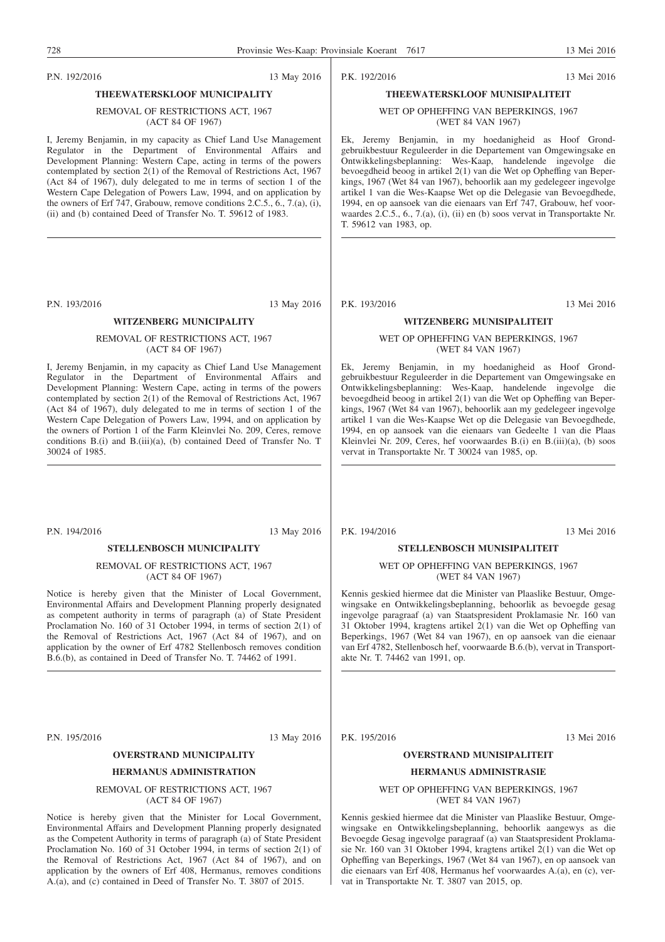### P.N. 192/2016 13 May 2016

### **THEEWATERSKLOOF MUNICIPALITY**

#### REMOVAL OF RESTRICTIONS ACT, 1967 (ACT 84 OF 1967)

I, Jeremy Benjamin, in my capacity as Chief Land Use Management Regulator in the Department of Environmental Affairs and Development Planning: Western Cape, acting in terms of the powers contemplated by section 2(1) of the Removal of Restrictions Act, 1967 (Act 84 of 1967), duly delegated to me in terms of section 1 of the Western Cape Delegation of Powers Law, 1994, and on application by the owners of Erf 747, Grabouw, remove conditions  $2.C.5., 6., 7.(a), (i),$ (ii) and (b) contained Deed of Transfer No. T. 59612 of 1983.

P.N. 193/2016 13 May 2016

#### **WITZENBERG MUNICIPALITY**

#### REMOVAL OF RESTRICTIONS ACT, 1967 (ACT 84 OF 1967)

I, Jeremy Benjamin, in my capacity as Chief Land Use Management Regulator in the Department of Environmental Affairs and Development Planning: Western Cape, acting in terms of the powers contemplated by section 2(1) of the Removal of Restrictions Act, 1967 (Act 84 of 1967), duly delegated to me in terms of section 1 of the Western Cape Delegation of Powers Law, 1994, and on application by the owners of Portion 1 of the Farm Kleinvlei No. 209, Ceres, remove conditions B.(i) and B.(iii)(a), (b) contained Deed of Transfer No. T 30024 of 1985.

P.N. 194/2016 13 May 2016

#### **STELLENBOSCH MUNICIPALITY**

#### REMOVAL OF RESTRICTIONS ACT, 1967 (ACT 84 OF 1967)

Notice is hereby given that the Minister of Local Government, Environmental Affairs and Development Planning properly designated as competent authority in terms of paragraph (a) of State President Proclamation No. 160 of 31 October 1994, in terms of section 2(1) of the Removal of Restrictions Act, 1967 (Act 84 of 1967), and on application by the owner of Erf 4782 Stellenbosch removes condition B.6.(b), as contained in Deed of Transfer No. T. 74462 of 1991.

P.N. 195/2016 13 May 2016

### **OVERSTRAND MUNICIPALITY**

#### **HERMANUS ADMINISTRATION**

REMOVAL OF RESTRICTIONS ACT, 1967 (ACT 84 OF 1967)

Notice is hereby given that the Minister for Local Government, Environmental Affairs and Development Planning properly designated as the Competent Authority in terms of paragraph (a) of State President Proclamation No. 160 of 31 October 1994, in terms of section 2(1) of the Removal of Restrictions Act, 1967 (Act 84 of 1967), and on application by the owners of Erf 408, Hermanus, removes conditions A.(a), and (c) contained in Deed of Transfer No. T. 3807 of 2015.

### **THEEWATERSKLOOF MUNISIPALITEIT** WET OP OPHEFFING VAN BEPERKINGS, 1967

(WET 84 VAN 1967)

Ek, Jeremy Benjamin, in my hoedanigheid as Hoof Grondgebruikbestuur Reguleerder in die Departement van Omgewingsake en Ontwikkelingsbeplanning: Wes-Kaap, handelende ingevolge die bevoegdheid beoog in artikel 2(1) van die Wet op Opheffing van Beperkings, 1967 (Wet 84 van 1967), behoorlik aan my gedelegeer ingevolge artikel 1 van die Wes-Kaapse Wet op die Delegasie van Bevoegdhede, 1994, en op aansoek van die eienaars van Erf 747, Grabouw, hef voorwaardes 2.C.5., 6., 7.(a), (i), (ii) en (b) soos vervat in Transportakte Nr. T. 59612 van 1983, op.

P.K. 193/2016 13 Mei 2016

#### **WITZENBERG MUNISIPALITEIT**

#### WET OP OPHEFFING VAN BEPERKINGS, 1967 (WET 84 VAN 1967)

Ek, Jeremy Benjamin, in my hoedanigheid as Hoof Grondgebruikbestuur Reguleerder in die Departement van Omgewingsake en Ontwikkelingsbeplanning: Wes-Kaap, handelende ingevolge die bevoegdheid beoog in artikel 2(1) van die Wet op Opheffing van Beperkings, 1967 (Wet 84 van 1967), behoorlik aan my gedelegeer ingevolge artikel 1 van die Wes-Kaapse Wet op die Delegasie van Bevoegdhede, 1994, en op aansoek van die eienaars van Gedeelte 1 van die Plaas Kleinvlei Nr. 209, Ceres, hef voorwaardes B.(i) en B.(iii)(a), (b) soos vervat in Transportakte Nr. T 30024 van 1985, op.

P.K. 194/2016 13 Mei 2016

#### **STELLENBOSCH MUNISIPALITEIT**

#### WET OP OPHEFFING VAN BEPERKINGS, 1967 (WET 84 VAN 1967)

Kennis geskied hiermee dat die Minister van Plaaslike Bestuur, Omgewingsake en Ontwikkelingsbeplanning, behoorlik as bevoegde gesag ingevolge paragraaf (a) van Staatspresident Proklamasie Nr. 160 van 31 Oktober 1994, kragtens artikel 2(1) van die Wet op Opheffing van Beperkings, 1967 (Wet 84 van 1967), en op aansoek van die eienaar van Erf 4782, Stellenbosch hef, voorwaarde B.6.(b), vervat in Transportakte Nr. T. 74462 van 1991, op.

P.K. 195/2016 13 Mei 2016

#### **OVERSTRAND MUNISIPALITEIT**

#### **HERMANUS ADMINISTRASIE**

#### WET OP OPHEFFING VAN BEPERKINGS, 1967 (WET 84 VAN 1967)

Kennis geskied hiermee dat die Minister van Plaaslike Bestuur, Omgewingsake en Ontwikkelingsbeplanning, behoorlik aangewys as die Bevoegde Gesag ingevolge paragraaf (a) van Staatspresident Proklamasie Nr. 160 van 31 Oktober 1994, kragtens artikel 2(1) van die Wet op Opheffing van Beperkings, 1967 (Wet 84 van 1967), en op aansoek van die eienaars van Erf 408, Hermanus hef voorwaardes A.(a), en (c), vervat in Transportakte Nr. T. 3807 van 2015, op.

P.K. 192/2016 13 Mei 2016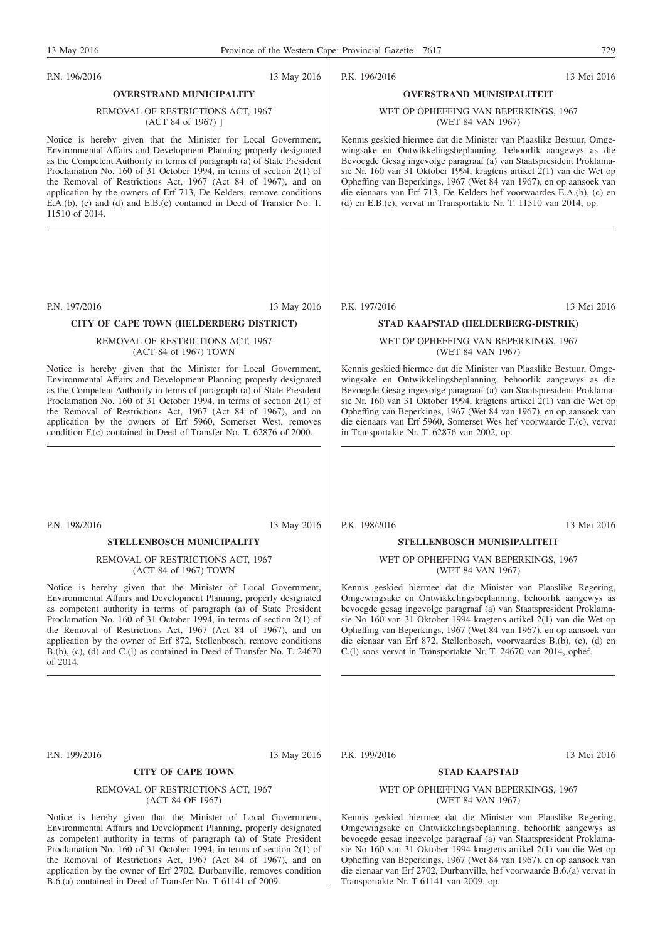P.N. 196/2016 13 May 2016

## REMOVAL OF RESTRICTIONS ACT, 1967

(ACT 84 of 1967) ]

**OVERSTRAND MUNICIPALITY**

Notice is hereby given that the Minister for Local Government, Environmental Affairs and Development Planning properly designated as the Competent Authority in terms of paragraph (a) of State President Proclamation No. 160 of 31 October 1994, in terms of section 2(1) of the Removal of Restrictions Act, 1967 (Act 84 of 1967), and on application by the owners of Erf 713, De Kelders, remove conditions E.A.(b), (c) and (d) and E.B.(e) contained in Deed of Transfer No. T. 11510 of 2014.

P.N. 197/2016 13 May 2016

#### **CITY OF CAPE TOWN (HELDERBERG DISTRICT)**

#### REMOVAL OF RESTRICTIONS ACT, 1967 (ACT 84 of 1967) TOWN

Notice is hereby given that the Minister for Local Government, Environmental Affairs and Development Planning properly designated as the Competent Authority in terms of paragraph (a) of State President Proclamation No. 160 of 31 October 1994, in terms of section 2(1) of the Removal of Restrictions Act, 1967 (Act 84 of 1967), and on application by the owners of Erf 5960, Somerset West, removes condition F.(c) contained in Deed of Transfer No. T. 62876 of 2000.

P.N. 198/2016 13 May 2016

#### **STELLENBOSCH MUNICIPALITY**

REMOVAL OF RESTRICTIONS ACT, 1967 (ACT 84 of 1967) TOWN

Notice is hereby given that the Minister of Local Government, Environmental Affairs and Development Planning, properly designated as competent authority in terms of paragraph (a) of State President Proclamation No. 160 of 31 October 1994, in terms of section 2(1) of the Removal of Restrictions Act, 1967 (Act 84 of 1967), and on application by the owner of Erf 872, Stellenbosch, remove conditions B.(b), (c), (d) and C.(l) as contained in Deed of Transfer No. T. 24670 of 2014.

P.N. 199/2016 13 May 2016

#### **CITY OF CAPE TOWN**

REMOVAL OF RESTRICTIONS ACT, 1967 (ACT 84 OF 1967)

Notice is hereby given that the Minister of Local Government, Environmental Affairs and Development Planning, properly designated as competent authority in terms of paragraph (a) of State President Proclamation No. 160 of 31 October 1994, in terms of section 2(1) of the Removal of Restrictions Act, 1967 (Act 84 of 1967), and on application by the owner of Erf 2702, Durbanville, removes condition B.6.(a) contained in Deed of Transfer No. T 61141 of 2009.

P.K. 196/2016 13 Mei 2016

#### WET OP OPHEFFING VAN BEPERKINGS, 1967 (WET 84 VAN 1967)

**OVERSTRAND MUNISIPALITEIT**

Kennis geskied hiermee dat die Minister van Plaaslike Bestuur, Omgewingsake en Ontwikkelingsbeplanning, behoorlik aangewys as die Bevoegde Gesag ingevolge paragraaf (a) van Staatspresident Proklamasie Nr. 160 van 31 Oktober 1994, kragtens artikel 2(1) van die Wet op Opheffing van Beperkings, 1967 (Wet 84 van 1967), en op aansoek van die eienaars van Erf 713, De Kelders hef voorwaardes E.A.(b), (c) en (d) en E.B.(e), vervat in Transportakte Nr. T. 11510 van 2014, op.

P.K. 197/2016 13 Mei 2016

### **STAD KAAPSTAD (HELDERBERG-DISTRIK)**

#### WET OP OPHEFFING VAN BEPERKINGS, 1967 (WET 84 VAN 1967)

Kennis geskied hiermee dat die Minister van Plaaslike Bestuur, Omgewingsake en Ontwikkelingsbeplanning, behoorlik aangewys as die Bevoegde Gesag ingevolge paragraaf (a) van Staatspresident Proklamasie Nr. 160 van 31 Oktober 1994, kragtens artikel 2(1) van die Wet op Opheffing van Beperkings, 1967 (Wet 84 van 1967), en op aansoek van die eienaars van Erf 5960, Somerset Wes hef voorwaarde F.(c), vervat in Transportakte Nr. T. 62876 van 2002, op.

P.K. 198/2016 13 Mei 2016

#### **STELLENBOSCH MUNISIPALITEIT**

#### WET OP OPHEFFING VAN BEPERKINGS, 1967 (WET 84 VAN 1967)

Kennis geskied hiermee dat die Minister van Plaaslike Regering, Omgewingsake en Ontwikkelingsbeplanning, behoorlik aangewys as bevoegde gesag ingevolge paragraaf (a) van Staatspresident Proklamasie No 160 van 31 Oktober 1994 kragtens artikel 2(1) van die Wet op Opheffing van Beperkings, 1967 (Wet 84 van 1967), en op aansoek van die eienaar van Erf 872, Stellenbosch, voorwaardes B.(b), (c), (d) en C.(l) soos vervat in Transportakte Nr. T. 24670 van 2014, ophef.

P.K. 199/2016 13 Mei 2016

#### **STAD KAAPSTAD**

#### WET OP OPHEFFING VAN BEPERKINGS, 1967 (WET 84 VAN 1967)

Kennis geskied hiermee dat die Minister van Plaaslike Regering, Omgewingsake en Ontwikkelingsbeplanning, behoorlik aangewys as bevoegde gesag ingevolge paragraaf (a) van Staatspresident Proklamasie No 160 van 31 Oktober 1994 kragtens artikel 2(1) van die Wet op Opheffing van Beperkings, 1967 (Wet 84 van 1967), en op aansoek van die eienaar van Erf 2702, Durbanville, hef voorwaarde B.6.(a) vervat in Transportakte Nr. T 61141 van 2009, op.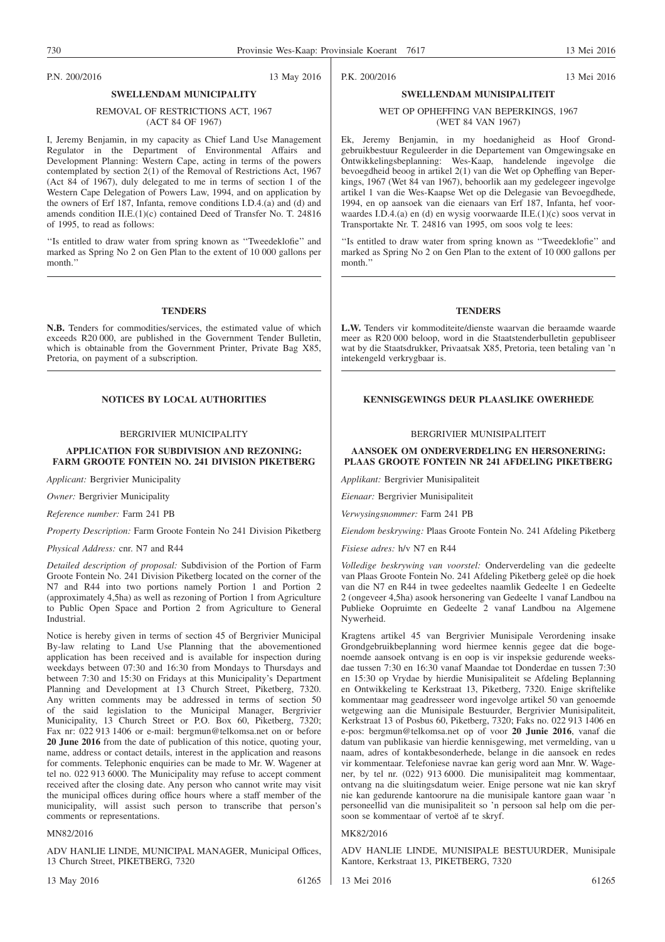P.N. 200/2016 13 May 2016

## REMOVAL OF RESTRICTIONS ACT, 1967

### (ACT 84 OF 1967)

**SWELLENDAM MUNICIPALITY**

I, Jeremy Benjamin, in my capacity as Chief Land Use Management Regulator in the Department of Environmental Affairs and Development Planning: Western Cape, acting in terms of the powers contemplated by section 2(1) of the Removal of Restrictions Act, 1967 (Act 84 of 1967), duly delegated to me in terms of section 1 of the Western Cape Delegation of Powers Law, 1994, and on application by the owners of Erf 187, Infanta, remove conditions I.D.4.(a) and (d) and amends condition II.E.(1)(c) contained Deed of Transfer No. T. 24816 of 1995, to read as follows:

''Is entitled to draw water from spring known as ''Tweedeklofie'' and marked as Spring No 2 on Gen Plan to the extent of 10 000 gallons per month.''

#### **TENDERS**

**N.B.** Tenders for commodities/services, the estimated value of which exceeds R20 000, are published in the Government Tender Bulletin, which is obtainable from the Government Printer, Private Bag X85, Pretoria, on payment of a subscription.

#### BERGRIVIER MUNICIPALITY

#### **APPLICATION FOR SUBDIVISION AND REZONING: FARM GROOTE FONTEIN NO. 241 DIVISION PIKETBERG**

*Applicant:* Bergrivier Municipality

*Owner:* Bergrivier Municipality

*Reference number:* Farm 241 PB

*Property Description:* Farm Groote Fontein No 241 Division Piketberg

#### *Physical Address:* cnr. N7 and R44

*Detailed description of proposal:* Subdivision of the Portion of Farm Groote Fontein No. 241 Division Piketberg located on the corner of the N7 and R44 into two portions namely Portion 1 and Portion 2 (approximately 4,5ha) as well as rezoning of Portion 1 from Agriculture to Public Open Space and Portion 2 from Agriculture to General Industrial.

Notice is hereby given in terms of section 45 of Bergrivier Municipal By-law relating to Land Use Planning that the abovementioned application has been received and is available for inspection during weekdays between 07:30 and 16:30 from Mondays to Thursdays and between 7:30 and 15:30 on Fridays at this Municipality's Department Planning and Development at 13 Church Street, Piketberg, 7320. Any written comments may be addressed in terms of section 50 of the said legislation to the Municipal Manager, Bergrivier Municipality, 13 Church Street or P.O. Box 60, Piketberg, 7320; Fax nr: 022 913 1406 or e-mail: bergmun@telkomsa.net on or before **20 June 2016** from the date of publication of this notice, quoting your, name, address or contact details, interest in the application and reasons for comments. Telephonic enquiries can be made to Mr. W. Wagener at tel no. 022 913 6000. The Municipality may refuse to accept comment received after the closing date. Any person who cannot write may visit the municipal offices during office hours where a staff member of the municipality, will assist such person to transcribe that person's comments or representations.

#### MN82/2016

ADV HANLIE LINDE, MUNICIPAL MANAGER, Municipal Offices, 13 Church Street, PIKETBERG, 7320

P.K. 200/2016 13 Mei 2016

### **SWELLENDAM MUNISIPALITEIT** WET OP OPHEFFING VAN BEPERKINGS, 1967 (WET 84 VAN 1967)

Ek, Jeremy Benjamin, in my hoedanigheid as Hoof Grondgebruikbestuur Reguleerder in die Departement van Omgewingsake en Ontwikkelingsbeplanning: Wes-Kaap, handelende ingevolge die bevoegdheid beoog in artikel 2(1) van die Wet op Opheffing van Beperkings, 1967 (Wet 84 van 1967), behoorlik aan my gedelegeer ingevolge artikel 1 van die Wes-Kaapse Wet op die Delegasie van Bevoegdhede, 1994, en op aansoek van die eienaars van Erf 187, Infanta, hef voorwaardes I.D.4.(a) en (d) en wysig voorwaarde II.E.(1)(c) soos vervat in Transportakte Nr. T. 24816 van 1995, om soos volg te lees:

''Is entitled to draw water from spring known as ''Tweedeklofie'' and marked as Spring No 2 on Gen Plan to the extent of 10 000 gallons per month<sup>'</sup>

#### **TENDERS**

**L.W.** Tenders vir kommoditeite/dienste waarvan die beraamde waarde meer as R20 000 beloop, word in die Staatstenderbulletin gepubliseer wat by die Staatsdrukker, Privaatsak X85, Pretoria, teen betaling van 'n intekengeld verkrygbaar is.

#### **NOTICES BY LOCAL AUTHORITIES KENNISGEWINGS DEUR PLAASLIKE OWERHEDE**

#### BERGRIVIER MUNISIPALITEIT

#### **AANSOEK OM ONDERVERDELING EN HERSONERING: PLAAS GROOTE FONTEIN NR 241 AFDELING PIKETBERG**

*Applikant:* Bergrivier Munisipaliteit

*Eienaar:* Bergrivier Munisipaliteit

*Verwysingsnommer:* Farm 241 PB

*Eiendom beskrywing:* Plaas Groote Fontein No. 241 Afdeling Piketberg

*Fisiese adres:* h/v N7 en R44

*Volledige beskrywing van voorstel:* Onderverdeling van die gedeelte van Plaas Groote Fontein No. 241 Afdeling Piketberg geleë op die hoek van die N7 en R44 in twee gedeeltes naamlik Gedeelte 1 en Gedeelte 2 (ongeveer 4,5ha) asook hersonering van Gedeelte 1 vanaf Landbou na Publieke Oopruimte en Gedeelte 2 vanaf Landbou na Algemene Nywerheid.

Kragtens artikel 45 van Bergrivier Munisipale Verordening insake Grondgebruikbeplanning word hiermee kennis gegee dat die bogenoemde aansoek ontvang is en oop is vir inspeksie gedurende weeksdae tussen 7:30 en 16:30 vanaf Maandae tot Donderdae en tussen 7:30 en 15:30 op Vrydae by hierdie Munisipaliteit se Afdeling Beplanning en Ontwikkeling te Kerkstraat 13, Piketberg, 7320. Enige skriftelike kommentaar mag geadresseer word ingevolge artikel 50 van genoemde wetgewing aan die Munisipale Bestuurder, Bergrivier Munisipaliteit, Kerkstraat 13 of Posbus 60, Piketberg, 7320; Faks no. 022 913 1406 en e-pos: bergmun@telkomsa.net op of voor **20 Junie 2016**, vanaf die datum van publikasie van hierdie kennisgewing, met vermelding, van u naam, adres of kontakbesonderhede, belange in die aansoek en redes vir kommentaar. Telefoniese navrae kan gerig word aan Mnr. W. Wagener, by tel nr. (022) 913 6000. Die munisipaliteit mag kommentaar, ontvang na die sluitingsdatum weier. Enige persone wat nie kan skryf nie kan gedurende kantoorure na die munisipale kantore gaan waar 'n personeellid van die munisipaliteit so 'n persoon sal help om die persoon se kommentaar of vertoë af te skryf.

#### MK82/2016

ADV HANLIE LINDE, MUNISIPALE BESTUURDER, Munisipale Kantore, Kerkstraat 13, PIKETBERG, 7320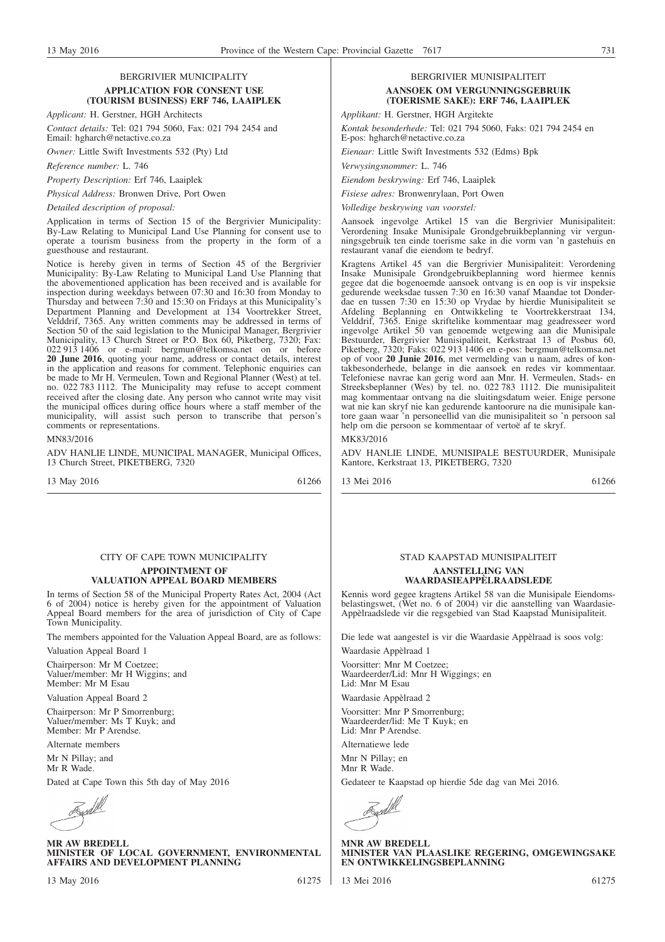#### BERGRIVIER MUNICIPALITY **APPLICATION FOR CONSENT USE (TOURISM BUSINESS) ERF 746, LAAIPLEK**

*Applicant:* H. Gerstner, HGH Architects

*Contact details:* Tel: 021 794 5060, Fax: 021 794 2454 and Email: hgharch@netactive.co.za

*Owner:* Little Swift Investments 532 (Pty) Ltd

*Reference number:* L. 746

*Property Description:* Erf 746, Laaiplek

*Physical Address:* Bronwen Drive, Port Owen

*Detailed description of proposal:*

Application in terms of Section 15 of the Bergrivier Municipality: By-Law Relating to Municipal Land Use Planning for consent use to operate a tourism business from the property in the form of a guesthouse and restaurant.

Notice is hereby given in terms of Section 45 of the Bergrivier Municipality: By-Law Relating to Municipal Land Use Planning that the abovementioned application has been received and is available for inspection during weekdays between 07:30 and 16:30 from Monday to Thursday and between 7:30 and 15:30 on Fridays at this Municipality's Department Planning and Development at 134 Voortrekker Street, Velddrif, 7365. Any written comments may be addressed in terms of Section 50 of the said legislation to the Municipal Manager, Bergrivier Municipality, 13 Church Street or P.O. Box 60, Piketberg, 7320; Fax: 022 913 1406 or e-mail: bergmun@telkomsa.net on or before **20 June 2016**, quoting your name, address or contact details, interest in the application and reasons for comment. Telephonic enquiries can be made to Mr H. Vermeulen, Town and Regional Planner (West) at tel. no. 022 783 1112. The Municipality may refuse to accept comment received after the closing date. Any person who cannot write may visit the municipal offices during office hours where a staff member of the municipality, will assist such person to transcribe that person's comments or representations.

MN83/2016

ADV HANLIE LINDE, MUNICIPAL MANAGER, Municipal Offices, 13 Church Street, PIKETBERG, 7320

13 May 2016 61266

### CITY OF CAPE TOWN MUNICIPALITY

#### **APPOINTMENT OF VALUATION APPEAL BOARD MEMBERS**

In terms of Section 58 of the Municipal Property Rates Act, 2004 (Act 6 of 2004) notice is hereby given for the appointment of Valuation Appeal Board members for the area of jurisdiction of City of Cape Town Municipality.

The members appointed for the Valuation Appeal Board, are as follows:

Valuation Appeal Board 1

Chairperson: Mr M Coetzee; Valuer/member: Mr H Wiggins; and Member: Mr M Esau

Valuation Appeal Board 2

Chairperson: Mr P Smorrenburg; Valuer/member: Ms T Kuyk; and Member: Mr P Arendse.

Alternate members

Mr N Pillay; and

Mr R Wade.

Dated at Cape Town this 5th day of May 2016

<u> Kordi</u>

**MR AW BREDELL MINISTER OF LOCAL GOVERNMENT, ENVIRONMENTAL AFFAIRS AND DEVELOPMENT PLANNING**

13 May 2016 61275

#### BERGRIVIER MUNISIPALITEIT **AANSOEK OM VERGUNNINGSGEBRUIK (TOERISME SAKE): ERF 746, LAAIPLEK**

*Applikant:* H. Gerstner, HGH Argitekte

*Kontak besonderhede:* Tel: 021 794 5060, Faks: 021 794 2454 en E-pos: hgharch@netactive.co.za

*Eienaar:* Little Swift Investments 532 (Edms) Bpk

*Verwysingsnommer:* L. 746

*Eiendom beskrywing:* Erf 746, Laaiplek

*Fisiese adres:* Bronwenrylaan, Port Owen

*Volledige beskrywing van voorstel:*

Aansoek ingevolge Artikel 15 van die Bergrivier Munisipaliteit: Verordening Insake Munisipale Grondgebruikbeplanning vir vergunningsgebruik ten einde toerisme sake in die vorm van 'n gastehuis en restaurant vanaf die eiendom te bedryf.

Kragtens Artikel 45 van die Bergrivier Munisipaliteit: Verordening Insake Munisipale Grondgebruikbeplanning word hiermee kennis gegee dat die bogenoemde aansoek ontvang is en oop is vir inspeksie gedurende weeksdae tussen 7:30 en 16:30 vanaf Maandae tot Donderdae en tussen 7:30 en 15:30 op Vrydae by hierdie Munisipaliteit se Afdeling Beplanning en Ontwikkeling te Voortrekkerstraat 134, Velddrif, 7365. Enige skriftelike kommentaar mag geadresseer word ingevolge Artikel 50 van genoemde wetgewing aan die Munisipale Bestuurder, Bergrivier Munisipaliteit, Kerkstraat 13 of Posbus 60, Piketberg, 7320; Faks: 022 913 1406 en e-pos: bergmun@telkomsa.net op of voor **20 Junie 2016**, met vermelding van u naam, adres of kontakbesonderhede, belange in die aansoek en redes vir kommentaar. Telefoniese navrae kan gerig word aan Mnr. H. Vermeulen, Stads- en Streeksbeplanner (Wes) by tel. no. 022 783 1112. Die munisipaliteit mag kommentaar ontvang na die sluitingsdatum weier. Enige persone wat nie kan skryf nie kan gedurende kantoorure na die munisipale kantore gaan waar 'n personeellid van die munisipaliteit so 'n persoon sal help om die persoon se kommentaar of vertoë af te skryf.

#### MK83/2016

ADV HANLIE LINDE, MUNISIPALE BESTUURDER, Munisipale Kantore, Kerkstraat 13, PIKETBERG, 7320

13 Mei 2016 61266

## STAD KAAPSTAD MUNISIPALITEIT

#### **AANSTELLING VAN WAARDASIEAPPÈLRAADSLEDE**

Kennis word gegee kragtens Artikel 58 van die Munisipale Eiendomsbelastingswet, (Wet no. 6 of 2004) vir die aanstelling van Waardasie-Appèlraadslede vir die regsgebied van Stad Kaapstad Munisipaliteit.

Die lede wat aangestel is vir die Waardasie Appèlraad is soos volg:

Waardasie Appèlraad 1

Voorsitter: Mnr M Coetzee; Waardeerder/Lid: Mnr H Wiggings; en Lid: Mnr M Esau

Waardasie Appèlraad 2

Voorsitter: Mnr P Smorrenburg; Waardeerder/lid: Me T Kuyk; en Lid: Mnr P Arendse.

Alternatiewe lede

Mnr N Pillay; en Mnr R Wade.

Gedateer te Kaapstad op hierdie 5de dag van Mei 2016.

Ard

**MNR AW BREDELL MINISTER VAN PLAASLIKE REGERING, OMGEWINGSAKE EN ONTWIKKELINGSBEPLANNING**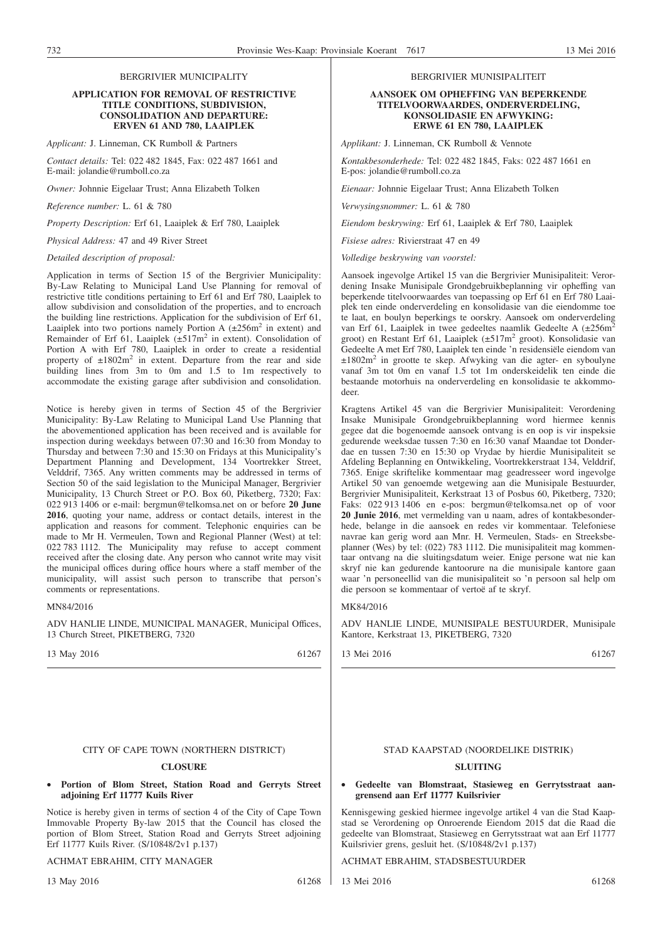#### BERGRIVIER MUNICIPALITY

#### **APPLICATION FOR REMOVAL OF RESTRICTIVE TITLE CONDITIONS, SUBDIVISION, CONSOLIDATION AND DEPARTURE: ERVEN 61 AND 780, LAAIPLEK**

*Applicant:* J. Linneman, CK Rumboll & Partners

*Contact details:* Tel: 022 482 1845, Fax: 022 487 1661 and E-mail: jolandie@rumboll.co.za

*Owner:* Johnnie Eigelaar Trust; Anna Elizabeth Tolken

*Reference number:* L. 61 & 780

*Property Description:* Erf 61, Laaiplek & Erf 780, Laaiplek

*Physical Address:* 47 and 49 River Street

#### *Detailed description of proposal:*

Application in terms of Section 15 of the Bergrivier Municipality: By-Law Relating to Municipal Land Use Planning for removal of restrictive title conditions pertaining to Erf 61 and Erf 780, Laaiplek to allow subdivision and consolidation of the properties, and to encroach the building line restrictions. Application for the subdivision of Erf 61, Laaiplek into two portions namely Portion A  $(\pm 256m^2$  in extent) and Remainder of Erf 61, Laaiplek  $(\pm 517 \text{m}^2)$  in extent). Consolidation of Portion A with Erf 780, Laaiplek in order to create a residential property of  $\pm 1802 \text{m}^2$  in extent. Departure from the rear and side building lines from 3m to 0m and 1.5 to 1m respectively to accommodate the existing garage after subdivision and consolidation.

Notice is hereby given in terms of Section 45 of the Bergrivier Municipality: By-Law Relating to Municipal Land Use Planning that the abovementioned application has been received and is available for inspection during weekdays between 07:30 and 16:30 from Monday to Thursday and between 7:30 and 15:30 on Fridays at this Municipality's Department Planning and Development, 134 Voortrekker Street, Velddrif, 7365. Any written comments may be addressed in terms of Section 50 of the said legislation to the Municipal Manager, Bergrivier Municipality, 13 Church Street or P.O. Box 60, Piketberg, 7320; Fax: 022 913 1406 or e-mail: bergmun@telkomsa.net on or before **20 June 2016**, quoting your name, address or contact details, interest in the application and reasons for comment. Telephonic enquiries can be made to Mr H. Vermeulen, Town and Regional Planner (West) at tel: 022 783 1112. The Municipality may refuse to accept comment received after the closing date. Any person who cannot write may visit the municipal offices during office hours where a staff member of the municipality, will assist such person to transcribe that person's comments or representations.

#### MN84/2016

ADV HANLIE LINDE, MUNICIPAL MANAGER, Municipal Offices, 13 Church Street, PIKETBERG, 7320

13 May 2016 61267

#### CITY OF CAPE TOWN (NORTHERN DISTRICT)

#### **CLOSURE**

• **Portion of Blom Street, Station Road and Gerryts Street adjoining Erf 11777 Kuils River**

Notice is hereby given in terms of section 4 of the City of Cape Town Immovable Property By-law 2015 that the Council has closed the portion of Blom Street, Station Road and Gerryts Street adjoining Erf 11777 Kuils River. (S/10848/2v1 p.137)

#### ACHMAT EBRAHIM, CITY MANAGER

13 May 2016 61268

#### BERGRIVIER MUNISIPALITEIT

#### **AANSOEK OM OPHEFFING VAN BEPERKENDE TITELVOORWAARDES, ONDERVERDELING, KONSOLIDASIE EN AFWYKING: ERWE 61 EN 780, LAAIPLEK**

*Applikant:* J. Linneman, CK Rumboll & Vennote

*Kontakbesonderhede:* Tel: 022 482 1845, Faks: 022 487 1661 en E-pos: jolandie@rumboll.co.za

*Eienaar:* Johnnie Eigelaar Trust; Anna Elizabeth Tolken

*Verwysingsnommer:* L. 61 & 780

*Eiendom beskrywing:* Erf 61, Laaiplek & Erf 780, Laaiplek

*Fisiese adres:* Rivierstraat 47 en 49

*Volledige beskrywing van voorstel:*

Aansoek ingevolge Artikel 15 van die Bergrivier Munisipaliteit: Verordening Insake Munisipale Grondgebruikbeplanning vir opheffing van beperkende titelvoorwaardes van toepassing op Erf 61 en Erf 780 Laaiplek ten einde onderverdeling en konsolidasie van die eiendomme toe te laat, en boulyn beperkings te oorskry. Aansoek om onderverdeling van Erf 61, Laaiplek in twee gedeeltes naamlik Gedeelte A (±256m<sup>2</sup>) groot) en Restant Erf 61, Laaiplek (±517m2 groot). Konsolidasie van Gedeelte A met Erf 780, Laaiplek ten einde 'n residensiële eiendom van ±1802m2 in grootte te skep. Afwyking van die agter- en syboulyne vanaf 3m tot 0m en vanaf 1.5 tot 1m onderskeidelik ten einde die bestaande motorhuis na onderverdeling en konsolidasie te akkommodeer.

Kragtens Artikel 45 van die Bergrivier Munisipaliteit: Verordening Insake Munisipale Grondgebruikbeplanning word hiermee kennis gegee dat die bogenoemde aansoek ontvang is en oop is vir inspeksie gedurende weeksdae tussen 7:30 en 16:30 vanaf Maandae tot Donderdae en tussen 7:30 en 15:30 op Vrydae by hierdie Munisipaliteit se Afdeling Beplanning en Ontwikkeling, Voortrekkerstraat 134, Velddrif, 7365. Enige skriftelike kommentaar mag geadresseer word ingevolge Artikel 50 van genoemde wetgewing aan die Munisipale Bestuurder, Bergrivier Munisipaliteit, Kerkstraat 13 of Posbus 60, Piketberg, 7320; Faks: 022 913 1406 en e-pos: bergmun@telkomsa.net op of voor **20 Junie 2016**, met vermelding van u naam, adres of kontakbesonderhede, belange in die aansoek en redes vir kommentaar. Telefoniese navrae kan gerig word aan Mnr. H. Vermeulen, Stads- en Streeksbeplanner (Wes) by tel: (022) 783 1112. Die munisipaliteit mag kommentaar ontvang na die sluitingsdatum weier. Enige persone wat nie kan skryf nie kan gedurende kantoorure na die munisipale kantore gaan waar 'n personeellid van die munisipaliteit so 'n persoon sal help om die persoon se kommentaar of vertoë af te skryf.

#### MK84/2016

ADV HANLIE LINDE, MUNISIPALE BESTUURDER, Munisipale Kantore, Kerkstraat 13, PIKETBERG, 7320

13 Mei 2016 61267

#### STAD KAAPSTAD (NOORDELIKE DISTRIK)

### **SLUITING**

#### • **Gedeelte van Blomstraat, Stasieweg en Gerrytsstraat aangrensend aan Erf 11777 Kuilsrivier**

Kennisgewing geskied hiermee ingevolge artikel 4 van die Stad Kaapstad se Verordening op Onroerende Eiendom 2015 dat die Raad die gedeelte van Blomstraat, Stasieweg en Gerrytsstraat wat aan Erf 11777 Kuilsrivier grens, gesluit het. (S/10848/2v1 p.137)

ACHMAT EBRAHIM, STADSBESTUURDER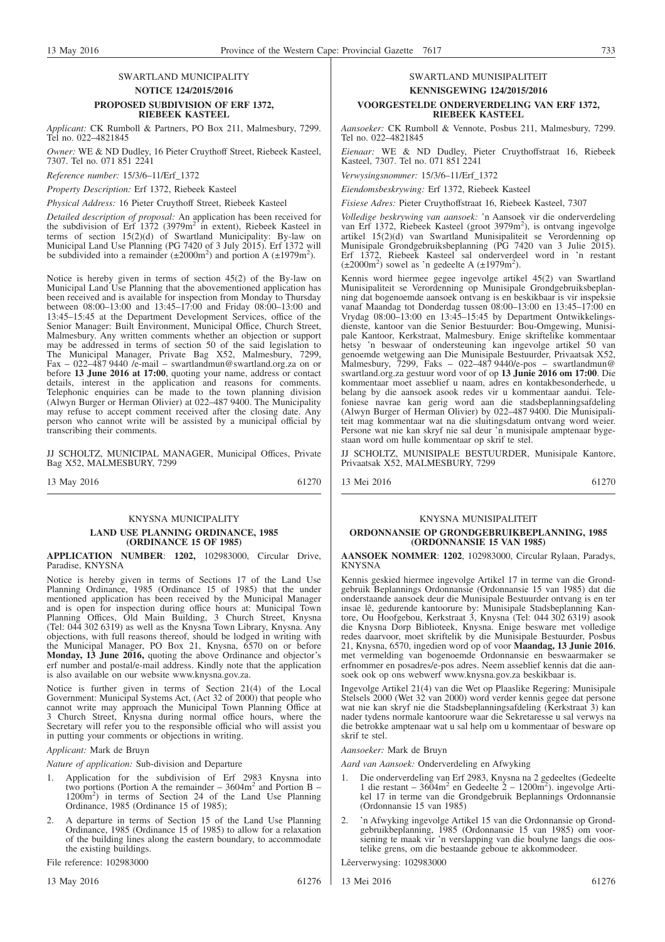#### SWARTLAND MUNICIPALITY **NOTICE 124/2015/2016 PROPOSED SUBDIVISION OF ERF 1372, RIEBEEK KASTEEL**

*Applicant:* CK Rumboll & Partners, PO Box 211, Malmesbury, 7299. Tel no. 022–4821845

*Owner:* WE & ND Dudley, 16 Pieter Cruythoff Street, Riebeek Kasteel, 7307. Tel no. 071 851 2241

*Reference number:* 15/3/6–11/Erf\_1372

*Property Description:* Erf 1372, Riebeek Kasteel

*Physical Address:* 16 Pieter Cruythoff Street, Riebeek Kasteel

*Detailed description of proposal:* An application has been received for the subdivision of Erf 1372 (3979m<sup>2</sup> in extent), Riebeek Kasteel in terms of section 15(2)(d) of Swartland Municipality: By-law on Municipal Land Use Planning (PG 7420 of 3 July 2015). Erf 1372 will be subdivided into a remainder  $(\pm 2000 \text{m}^2)$  and portion A  $(\pm 1979 \text{m}^2)$ .

Notice is hereby given in terms of section 45(2) of the By-law on Municipal Land Use Planning that the abovementioned application has been received and is available for inspection from Monday to Thursday between 08:00–13:00 and 13:45–17:00 and Friday 08:00–13:00 and 13:45–15:45 at the Department Development Services, office of the Senior Manager: Built Environment, Municipal Office, Church Street, Malmesbury. Any written comments whether an objection or support may be addressed in terms of section 50 of the said legislation to The Municipal Manager, Private Bag X52, Malmesbury, 7299, Fax – 022–487 9440 /e-mail – swartlandmun@swartland.org.za on or before **13 June 2016 at 17:00**, quoting your name, address or contact details, interest in the application and reasons for comments. Telephonic enquiries can be made to the town planning division (Alwyn Burger or Herman Olivier) at 022–487 9400. The Municipality may refuse to accept comment received after the closing date. Any person who cannot write will be assisted by a municipal official by transcribing their comments.

JJ SCHOLTZ, MUNICIPAL MANAGER, Municipal Offices, Private Bag X52, MALMESBURY, 7299

13 May 2016 61270

#### KNYSNA MUNICIPALITY

#### **LAND USE PLANNING ORDINANCE, 1985 (ORDINANCE 15 OF 1985)**

**APPLICATION NUMBER**: **1202,** 102983000, Circular Drive, Paradise, KNYSNA

Notice is hereby given in terms of Sections 17 of the Land Use Planning Ordinance, 1985 (Ordinance 15 of 1985) that the under mentioned application has been received by the Municipal Manager and is open for inspection during office hours at: Municipal Town Planning Offices, Old Main Building, 3 Church Street, Knysna (Tel: 044 302 6319) as well as the Knysna Town Library, Knysna. Any objections, with full reasons thereof, should be lodged in writing with the Municipal Manager, PO Box 21, Knysna, 6570 on or before **Monday, 13 June 2016,** quoting the above Ordinance and objector's erf number and postal/e-mail address. Kindly note that the application is also available on our website www.knysna.gov.za.

Notice is further given in terms of Section 21(4) of the Local Government: Municipal Systems Act, (Act 32 of 2000) that people who cannot write may approach the Municipal Town Planning Office at 3 Church Street, Knysna during normal office hours, where the Secretary will refer you to the responsible official who will assist you in putting your comments or objections in writing.

#### *Applicant:* Mark de Bruyn

*Nature of application:* Sub-division and Departure

- 1. Application for the subdivision of Erf 2983 Knysna into two portions (Portion A the remainder  $-3604m^2$  and Portion B – 1200m2 ) in terms of Section 24 of the Land Use Planning Ordinance, 1985 (Ordinance 15 of 1985);
- 2. A departure in terms of Section 15 of the Land Use Planning Ordinance, 1985 (Ordinance 15 of 1985) to allow for a relaxation of the building lines along the eastern boundary, to accommodate the existing buildings.

File reference: 102983000

## SWARTLAND MUNISIPALITEIT **KENNISGEWING 124/2015/2016**

#### **VOORGESTELDE ONDERVERDELING VAN ERF 1372, RIEBEEK KASTEEL**

*Aansoeker:* CK Rumboll & Vennote, Posbus 211, Malmesbury, 7299. Tel no. 022–4821845

*Eienaar:* WE & ND Dudley, Pieter Cruythoffstraat 16, Riebeek Kasteel, 7307. Tel no. 071 851 2241

*Verwysingsnommer:* 15/3/6–11/Erf\_1372

*Eiendomsbeskrywing:* Erf 1372, Riebeek Kasteel

*Fisiese Adres:* Pieter Cruythoffstraat 16, Riebeek Kasteel, 7307

*Volledige beskrywing van aansoek:* 'n Aansoek vir die onderverdeling van Erf 1372, Riebeek Kasteel (groot 3979m<sup>2</sup>), is ontvang ingevolge artikel 15(2)(d) van Swartland Munisipaliteit se Verordenning op Munisipale Grondgebruiksbeplanning (PG 7420 van 3 Julie 2015). Erf 1372, Riebeek Kasteel sal onderverdeel word in 'n restant  $(\pm 2000 \text{m}^2)$  sowel as 'n gedeelte A  $(\pm 1979 \text{m}^2)$ .

Kennis word hiermee gegee ingevolge artikel 45(2) van Swartland Munisipaliteit se Verordenning op Munisipale Grondgebruiksbeplanning dat bogenoemde aansoek ontvang is en beskikbaar is vir inspeksie vanaf Maandag tot Donderdag tussen 08:00–13:00 en 13:45–17:00 en Vrydag 08:00–13:00 en 13:45–15:45 by Department Ontwikkelingsdienste, kantoor van die Senior Bestuurder: Bou-Omgewing, Munisipale Kantoor, Kerkstraat, Malmesbury. Enige skriftelike kommentaar hetsy 'n beswaar of ondersteuning kan ingevolge artikel 50 van genoemde wetgewing aan Die Munisipale Bestuurder, Privaatsak X52, Malmesbury, 7299, Faks – 022–487 9440/e-pos – swartlandmun@ swartland.org.za gestuur word voor of op **13 Junie 2016 om 17:00**. Die kommentaar moet asseblief u naam, adres en kontakbesonderhede, u belang by die aansoek asook redes vir u kommentaar aandui. Telefoniese navrae kan gerig word aan die stadsbeplanningsafdeling (Alwyn Burger of Herman Olivier) by 022–487 9400. Die Munisipaliteit mag kommentaar wat na die sluitingsdatum ontvang word weier. Persone wat nie kan skryf nie sal deur 'n munisipale amptenaar bygestaan word om hulle kommentaar op skrif te stel.

JJ SCHOLTZ, MUNISIPALE BESTUURDER, Munisipale Kantore, Privaatsak X52, MALMESBURY, 7299

13 Mei 2016 61270

#### KNYSNA MUNISIPALITEIT

#### **ORDONNANSIE OP GRONDGEBRUIKBEPLANNING, 1985 (ORDONNANSIE 15 VAN 1985)**

**AANSOEK NOMMER**: **1202**, 102983000, Circular Rylaan, Paradys, KNYSNA

Kennis geskied hiermee ingevolge Artikel 17 in terme van die Grondgebruik Beplannings Ordonnansie (Ordonnansie 15 van 1985) dat die onderstaande aansoek deur die Munisipale Bestuurder ontvang is en ter insae lê, gedurende kantoorure by: Munisipale Stadsbeplanning Kantore, Ou Hoofgebou, Kerkstraat 3, Knysna (Tel: 044 302 6319) asook die Knysna Dorp Biblioteek, Knysna. Enige besware met volledige redes daarvoor, moet skriftelik by die Munisipale Bestuurder, Posbus 21, Knysna, 6570, ingedien word op of voor **Maandag, 13 Junie 2016**, met vermelding van bogenoemde Ordonnansie en beswaarmaker se erfnommer en posadres/e-pos adres. Neem asseblief kennis dat die aansoek ook op ons webwerf www.knysna.gov.za beskikbaar is.

Ingevolge Artikel 21(4) van die Wet op Plaaslike Regering: Munisipale Stelsels 2000 (Wet 32 van 2000) word verder kennis gegee dat persone wat nie kan skryf nie die Stadsbeplanningsafdeling (Kerkstraat 3) kan nader tydens normale kantoorure waar die Sekretaresse u sal verwys na die betrokke amptenaar wat u sal help om u kommentaar of besware op skrif te stel.

*Aansoeker:* Mark de Bruyn

*Aard van Aansoek:* Onderverdeling en Afwyking

- 1. Die onderverdeling van Erf 2983, Knysna na 2 gedeeltes (Gedeelte 1 die restant –  $3604m^2$  en Gedeelte  $2 - 1200m^2$ ). ingevolge Artikel 17 in terme van die Grondgebruik Beplannings Ordonnansie (Ordonnansie 15 van 1985)
- 2. 'n Afwyking ingevolge Artikel 15 van die Ordonnansie op Grondgebruikbeplanning, 1985 (Ordonnansie 15 van 1985) om voorsiening te maak vir 'n verslapping van die boulyne langs die oostelike grens, om die bestaande geboue te akkommodeer.

Lêerverwysing: 102983000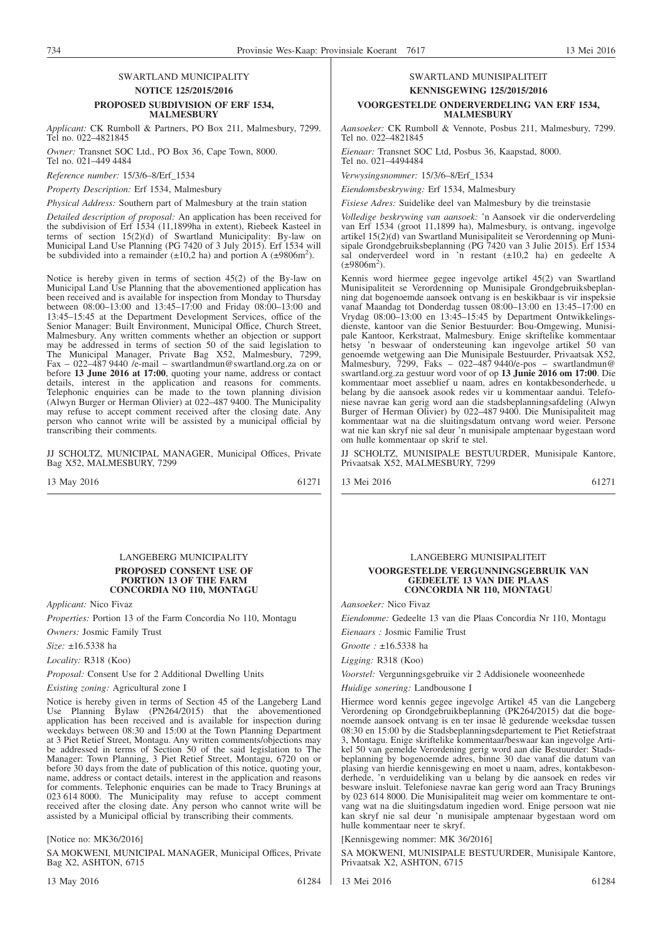#### SWARTLAND MUNICIPALITY **NOTICE 125/2015/2016 PROPOSED SUBDIVISION OF ERF 1534, MALMESBURY**

*Applicant:* CK Rumboll & Partners, PO Box 211, Malmesbury, 7299. Tel no. 022–4821845

*Owner:* Transnet SOC Ltd., PO Box 36, Cape Town, 8000. Tel no. 021–449 4484

*Reference number:* 15/3/6–8/Erf\_1534

*Property Description:* Erf 1534, Malmesbury

*Physical Address:* Southern part of Malmesbury at the train station

*Detailed description of proposal:* An application has been received for the subdivision of Erf 1534 (11,1899ha in extent), Riebeek Kasteel in terms of section 15(2)(d) of Swartland Municipality: By-law on Municipal Land Use Planning (PG 7420 of 3 July 2015). Erf 1534 will be subdivided into a remainder ( $\pm 10,2$  ha) and portion A ( $\pm 9806$ m<sup>2</sup>).

Notice is hereby given in terms of section 45(2) of the By-law on Municipal Land Use Planning that the abovementioned application has been received and is available for inspection from Monday to Thursday between 08:00–13:00 and 13:45–17:00 and Friday 08:00–13:00 and 13:45–15:45 at the Department Development Services, office of the Senior Manager: Built Environment, Municipal Office, Church Street, Malmesbury. Any written comments whether an objection or support may be addressed in terms of section 50 of the said legislation to The Municipal Manager, Private Bag X52, Malmesbury, 7299, Fax – 022–487 9440 /e-mail – swartlandmun@swartland.org.za on or before **13 June 2016 at 17:00**, quoting your name, address or contact details, interest in the application and reasons for comments. Telephonic enquiries can be made to the town planning division (Alwyn Burger or Herman Olivier) at 022–487 9400. The Municipality may refuse to accept comment received after the closing date. Any person who cannot write will be assisted by a municipal official by transcribing their comments.

JJ SCHOLTZ, MUNICIPAL MANAGER, Municipal Offices, Private Bag X52, MALMESBURY, 7299

13 May 2016 61271

#### LANGEBERG MUNICIPALITY **PROPOSED CONSENT USE OF PORTION 13 OF THE FARM CONCORDIA NO 110, MONTAGU**

*Applicant:* Nico Fivaz

*Properties:* Portion 13 of the Farm Concordia No 110, Montagu *Owners:* Josmic Family Trust

*Size:* ±16.5338 ha

*Locality:* R318 (Koo)

*Proposal:* Consent Use for 2 Additional Dwelling Units

*Existing zoning:* Agricultural zone I

Notice is hereby given in terms of Section 45 of the Langeberg Land Use Planning Bylaw (PN264/2015) that the abovementioned application has been received and is available for inspection during weekdays between 08:30 and 15:00 at the Town Planning Department at 3 Piet Retief Street, Montagu. Any written comments/objections may be addressed in terms of Section 50 of the said legislation to The Manager: Town Planning, 3 Piet Retief Street, Montagu, 6720 on or before 30 days from the date of publication of this notice, quoting your, name, address or contact details, interest in the application and reasons for comments. Telephonic enquiries can be made to Tracy Brunings at 023 614 8000. The Municipality may refuse to accept comment received after the closing date. Any person who cannot write will be assisted by a Municipal official by transcribing their comments.

[Notice no: MK36/2016]

SA MOKWENI, MUNICIPAL MANAGER, Municipal Offices, Private Bag X2, ASHTON, 6715

13 May 2016 61284

#### SWARTLAND MUNISIPALITEIT **KENNISGEWING 125/2015/2016 VOORGESTELDE ONDERVERDELING VAN ERF 1534, MALMESBURY**

*Aansoeker:* CK Rumboll & Vennote, Posbus 211, Malmesbury, 7299. Tel no. 022–4821845

*Eienaar:* Transnet SOC Ltd, Posbus 36, Kaapstad, 8000. Tel no. 021–4494484

*Verwysingsnommer:* 15/3/6–8/Erf\_1534

*Eiendomsbeskrywing:* Erf 1534, Malmesbury

*Fisiese Adres:* Suidelike deel van Malmesbury by die treinstasie

*Volledige beskrywing van aansoek:* 'n Aansoek vir die onderverdeling van Erf 1534 (groot 11,1899 ha), Malmesbury, is ontvang, ingevolge artikel 15(2)(d) van Swartland Munisipaliteit se Verordenning op Munisipale Grondgebruiksbeplanning (PG 7420 van 3 Julie 2015). Erf 1534 sal onderverdeel word in 'n restant (±10,2 ha) en gedeelte A  $(\pm 9806m^2)$ .

Kennis word hiermee gegee ingevolge artikel 45(2) van Swartland Munisipaliteit se Verordenning op Munisipale Grondgebruiksbeplanning dat bogenoemde aansoek ontvang is en beskikbaar is vir inspeksie vanaf Maandag tot Donderdag tussen 08:00–13:00 en 13:45–17:00 en Vrydag 08:00–13:00 en 13:45–15:45 by Department Ontwikkelingsdienste, kantoor van die Senior Bestuurder: Bou-Omgewing, Munisipale Kantoor, Kerkstraat, Malmesbury. Enige skriftelike kommentaar hetsy 'n beswaar of ondersteuning kan ingevolge artikel 50 van genoemde wetgewing aan Die Munisipale Bestuurder, Privaatsak X52, Malmesbury, 7299, Faks – 022–487 9440/e-pos – swartlandmun@ swartland.org.za gestuur word voor of op **13 Junie 2016 om 17:00**. Die kommentaar moet asseblief u naam, adres en kontakbesonderhede, u belang by die aansoek asook redes vir u kommentaar aandui. Telefoniese navrae kan gerig word aan die stadsbeplanningsafdeling (Alwyn Burger of Herman Olivier) by 022–487 9400. Die Munisipaliteit mag kommentaar wat na die sluitingsdatum ontvang word weier. Persone wat nie kan skryf nie sal deur 'n munisipale amptenaar bygestaan word om hulle kommentaar op skrif te stel.

JJ SCHOLTZ, MUNISIPALE BESTUURDER, Munisipale Kantore, Privaatsak X52, MALMESBURY, 7299

13 Mei 2016 61271

LANGEBERG MUNISIPALITEIT

#### **VOORGESTELDE VERGUNNINGSGEBRUIK VAN GEDEELTE 13 VAN DIE PLAAS CONCORDIA NR 110, MONTAGU**

*Aansoeker:* Nico Fivaz

*Eiendomme:* Gedeelte 13 van die Plaas Concordia Nr 110, Montagu *Eienaars :* Josmic Familie Trust

*Grootte :* ±16.5338 ha

*Ligging:* R318 (Koo)

*Voorstel:* Vergunningsgebruike vir 2 Addisionele wooneenhede

*Huidige sonering:* Landbousone I

Hiermee word kennis gegee ingevolge Artikel 45 van die Langeberg Verordening op Grondgebruikbeplanning (PK264/2015) dat die bogenoemde aansoek ontvang is en ter insae lê gedurende weeksdae tussen 08:30 en 15:00 by die Stadsbeplanningsdepartement te Piet Retiefstraat 3, Montagu. Enige skriftelike kommentaar/beswaar kan ingevolge Artikel 50 van gemelde Verordening gerig word aan die Bestuurder: Stadsbeplanning by bogenoemde adres, binne 30 dae vanaf die datum van plasing van hierdie kennisgewing en moet u naam, adres, kontakbesonderhede, 'n verduideliking van u belang by die aansoek en redes vir besware insluit. Telefoniese navrae kan gerig word aan Tracy Brunings by 023 614 8000. Die Munisipaliteit mag weier om kommentare te ontvang wat na die sluitingsdatum ingedien word. Enige persoon wat nie kan skryf nie sal deur 'n munisipale amptenaar bygestaan word om hulle kommentaar neer te skryf.

[Kennisgewing nommer: MK 36/2016]

SA MOKWENI, MUNISIPALE BESTUURDER, Munisipale Kantore, Privaatsak X2, ASHTON, 6715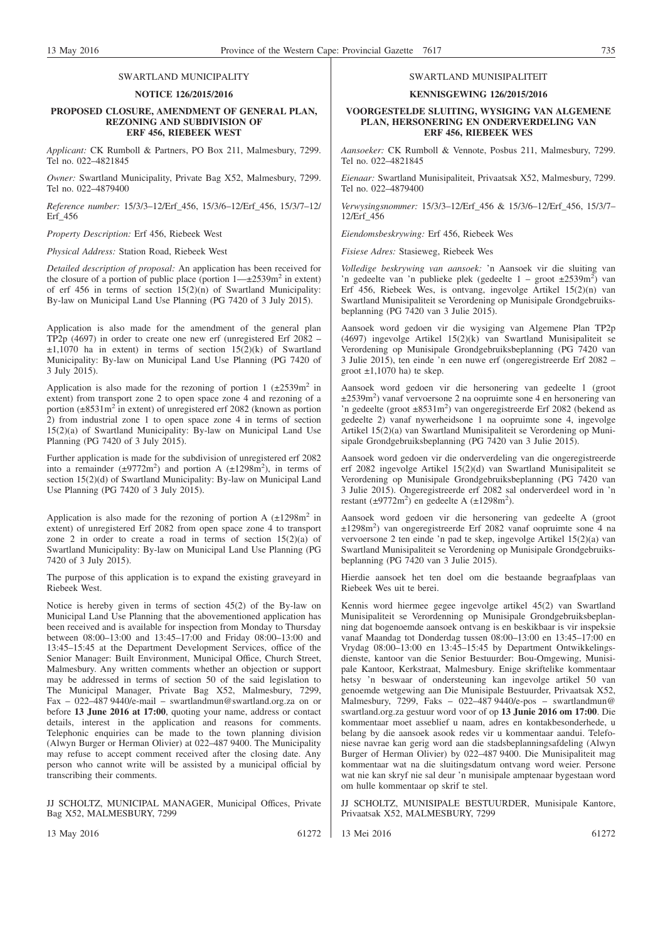## SWARTLAND MUNICIPALITY

#### **NOTICE 126/2015/2016**

#### **PROPOSED CLOSURE, AMENDMENT OF GENERAL PLAN, REZONING AND SUBDIVISION OF ERF 456, RIEBEEK WEST**

*Applicant:* CK Rumboll & Partners, PO Box 211, Malmesbury, 7299. Tel no. 022–4821845

*Owner:* Swartland Municipality, Private Bag X52, Malmesbury, 7299. Tel no. 022–4879400

*Reference number:* 15/3/3–12/Erf\_456, 15/3/6–12/Erf\_456, 15/3/7–12/ Erf\_456

*Property Description:* Erf 456, Riebeek West

*Physical Address:* Station Road, Riebeek West

*Detailed description of proposal:* An application has been received for the closure of a portion of public place (portion  $1-\pm 2539$  m<sup>2</sup> in extent) of erf 456 in terms of section  $15(2)(n)$  of Swartland Municipality: By-law on Municipal Land Use Planning (PG 7420 of 3 July 2015).

Application is also made for the amendment of the general plan TP2p (4697) in order to create one new erf (unregistered Erf 2082 –  $\pm 1,1070$  ha in extent) in terms of section  $15(2)(k)$  of Swartland Municipality: By-law on Municipal Land Use Planning (PG 7420 of 3 July 2015).

Application is also made for the rezoning of portion 1  $(\pm 2539 \text{ m}^2 \text{ in}$ extent) from transport zone 2 to open space zone 4 and rezoning of a portion (±8531m2 in extent) of unregistered erf 2082 (known as portion 2) from industrial zone 1 to open space zone 4 in terms of section 15(2)(a) of Swartland Municipality: By-law on Municipal Land Use Planning (PG 7420 of 3 July 2015).

Further application is made for the subdivision of unregistered erf 2082 into a remainder  $(\pm 9772 \text{m}^2)$  and portion A  $(\pm 1298 \text{m}^2)$ , in terms of section 15(2)(d) of Swartland Municipality: By-law on Municipal Land Use Planning (PG 7420 of 3 July 2015).

Application is also made for the rezoning of portion A  $(\pm 1298m^2)$  in extent) of unregistered Erf 2082 from open space zone 4 to transport zone 2 in order to create a road in terms of section 15(2)(a) of Swartland Municipality: By-law on Municipal Land Use Planning (PG 7420 of 3 July 2015).

The purpose of this application is to expand the existing graveyard in Riebeek West.

Notice is hereby given in terms of section 45(2) of the By-law on Municipal Land Use Planning that the abovementioned application has been received and is available for inspection from Monday to Thursday between 08:00–13:00 and 13:45–17:00 and Friday 08:00–13:00 and 13:45–15:45 at the Department Development Services, office of the Senior Manager: Built Environment, Municipal Office, Church Street, Malmesbury. Any written comments whether an objection or support may be addressed in terms of section 50 of the said legislation to The Municipal Manager, Private Bag X52, Malmesbury, 7299, Fax – 022–487 9440/e-mail – swartlandmun@swartland.org.za on or before **13 June 2016 at 17:00**, quoting your name, address or contact details, interest in the application and reasons for comments. Telephonic enquiries can be made to the town planning division (Alwyn Burger or Herman Olivier) at 022–487 9400. The Municipality may refuse to accept comment received after the closing date. Any person who cannot write will be assisted by a municipal official by transcribing their comments.

JJ SCHOLTZ, MUNICIPAL MANAGER, Municipal Offices, Private Bag X52, MALMESBURY, 7299

13 May 2016 61272

13 Mei 2016 61272

**KENNISGEWING 126/2015/2016**

#### **VOORGESTELDE SLUITING, WYSIGING VAN ALGEMENE PLAN, HERSONERING EN ONDERVERDELING VAN ERF 456, RIEBEEK WES**

*Aansoeker:* CK Rumboll & Vennote, Posbus 211, Malmesbury, 7299. Tel no. 022–4821845

*Eienaar:* Swartland Munisipaliteit, Privaatsak X52, Malmesbury, 7299. Tel no. 022–4879400

*Verwysingsnommer:* 15/3/3–12/Erf\_456 & 15/3/6–12/Erf\_456, 15/3/7– 12/Erf\_456

*Eiendomsbeskrywing:* Erf 456, Riebeek Wes

*Fisiese Adres:* Stasieweg, Riebeek Wes

*Volledige beskrywing van aansoek:* 'n Aansoek vir die sluiting van 'n gedeelte van 'n publieke plek (gedeelte 1 – groot  $\pm 2539$ m<sup>2</sup>) van Erf 456, Riebeek Wes, is ontvang, ingevolge Artikel 15(2)(n) van Swartland Munisipaliteit se Verordening op Munisipale Grondgebruiksbeplanning (PG 7420 van 3 Julie 2015).

Aansoek word gedoen vir die wysiging van Algemene Plan TP2p (4697) ingevolge Artikel 15(2)(k) van Swartland Munisipaliteit se Verordening op Munisipale Grondgebruiksbeplanning (PG 7420 van 3 Julie 2015), ten einde 'n een nuwe erf (ongeregistreerde Erf 2082 – groot  $\pm 1,1070$  ha) te skep.

Aansoek word gedoen vir die hersonering van gedeelte 1 (groot ±2539m2 ) vanaf vervoersone 2 na oopruimte sone 4 en hersonering van 'n gedeelte (groot ±8531m<sup>2</sup>) van ongeregistreerde Erf 2082 (bekend as gedeelte 2) vanaf nywerheidsone 1 na oopruimte sone 4, ingevolge Artikel 15(2)(a) van Swartland Munisipaliteit se Verordening op Munisipale Grondgebruiksbeplanning (PG 7420 van 3 Julie 2015).

Aansoek word gedoen vir die onderverdeling van die ongeregistreerde erf 2082 ingevolge Artikel 15(2)(d) van Swartland Munisipaliteit se Verordening op Munisipale Grondgebruiksbeplanning (PG 7420 van 3 Julie 2015). Ongeregistreerde erf 2082 sal onderverdeel word in 'n restant  $(\pm 9772 \text{m}^2)$  en gedeelte A  $(\pm 1298 \text{m}^2)$ .

Aansoek word gedoen vir die hersonering van gedeelte A (groot ±1298m2 ) van ongeregistreerde Erf 2082 vanaf oopruimte sone 4 na vervoersone 2 ten einde 'n pad te skep, ingevolge Artikel 15(2)(a) van Swartland Munisipaliteit se Verordening op Munisipale Grondgebruiksbeplanning (PG 7420 van 3 Julie 2015).

Hierdie aansoek het ten doel om die bestaande begraafplaas van Riebeek Wes uit te berei.

Kennis word hiermee gegee ingevolge artikel 45(2) van Swartland Munisipaliteit se Verordenning op Munisipale Grondgebruiksbeplanning dat bogenoemde aansoek ontvang is en beskikbaar is vir inspeksie vanaf Maandag tot Donderdag tussen 08:00–13:00 en 13:45–17:00 en Vrydag 08:00–13:00 en 13:45–15:45 by Department Ontwikkelingsdienste, kantoor van die Senior Bestuurder: Bou-Omgewing, Munisipale Kantoor, Kerkstraat, Malmesbury. Enige skriftelike kommentaar hetsy 'n beswaar of ondersteuning kan ingevolge artikel 50 van genoemde wetgewing aan Die Munisipale Bestuurder, Privaatsak X52, Malmesbury, 7299, Faks – 022–487 9440/e-pos – swartlandmun@ swartland.org.za gestuur word voor of op **13 Junie 2016 om 17:00**. Die kommentaar moet asseblief u naam, adres en kontakbesonderhede, u belang by die aansoek asook redes vir u kommentaar aandui. Telefoniese navrae kan gerig word aan die stadsbeplanningsafdeling (Alwyn Burger of Herman Olivier) by 022–487 9400. Die Munisipaliteit mag kommentaar wat na die sluitingsdatum ontvang word weier. Persone wat nie kan skryf nie sal deur 'n munisipale amptenaar bygestaan word om hulle kommentaar op skrif te stel.

JJ SCHOLTZ, MUNISIPALE BESTUURDER, Munisipale Kantore, Privaatsak X52, MALMESBURY, 7299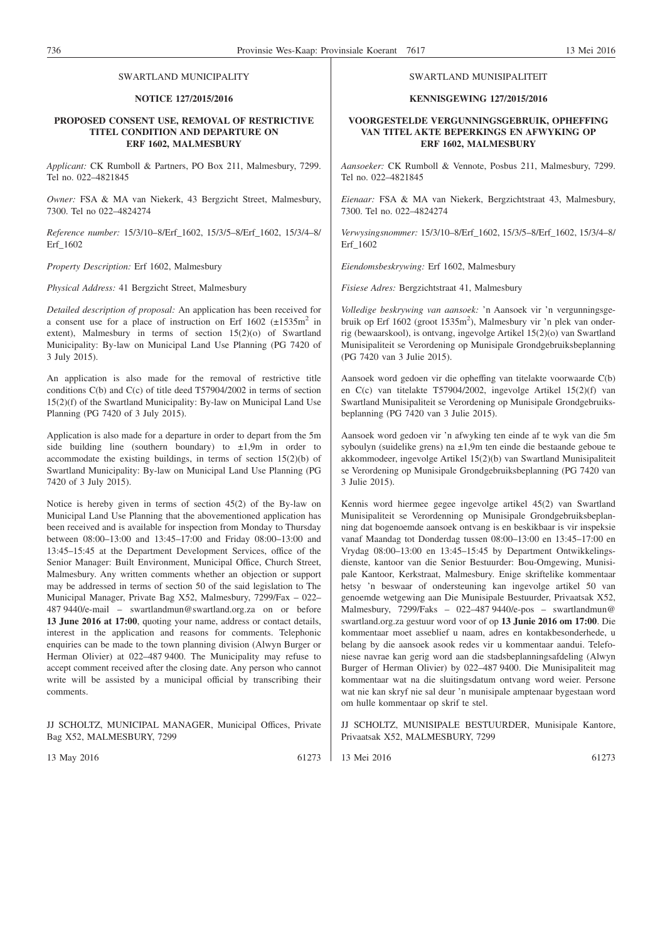#### SWARTLAND MUNICIPALITY

#### **NOTICE 127/2015/2016**

#### **PROPOSED CONSENT USE, REMOVAL OF RESTRICTIVE TITEL CONDITION AND DEPARTURE ON ERF 1602, MALMESBURY**

*Applicant:* CK Rumboll & Partners, PO Box 211, Malmesbury, 7299. Tel no. 022–4821845

*Owner:* FSA & MA van Niekerk, 43 Bergzicht Street, Malmesbury, 7300. Tel no 022–4824274

*Reference number:* 15/3/10–8/Erf\_1602, 15/3/5–8/Erf\_1602, 15/3/4–8/ Erf\_1602

*Property Description:* Erf 1602, Malmesbury

*Physical Address:* 41 Bergzicht Street, Malmesbury

*Detailed description of proposal:* An application has been received for a consent use for a place of instruction on Erf  $1602$  ( $\pm 1535$ m<sup>2</sup> in extent), Malmesbury in terms of section 15(2)(o) of Swartland Municipality: By-law on Municipal Land Use Planning (PG 7420 of 3 July 2015).

An application is also made for the removal of restrictive title conditions C(b) and C(c) of title deed T57904/2002 in terms of section 15(2)(f) of the Swartland Municipality: By-law on Municipal Land Use Planning (PG 7420 of 3 July 2015).

Application is also made for a departure in order to depart from the 5m side building line (southern boundary) to  $\pm 1.9$ m in order to accommodate the existing buildings, in terms of section 15(2)(b) of Swartland Municipality: By-law on Municipal Land Use Planning (PG 7420 of 3 July 2015).

Notice is hereby given in terms of section 45(2) of the By-law on Municipal Land Use Planning that the abovementioned application has been received and is available for inspection from Monday to Thursday between 08:00–13:00 and 13:45–17:00 and Friday 08:00–13:00 and 13:45–15:45 at the Department Development Services, office of the Senior Manager: Built Environment, Municipal Office, Church Street, Malmesbury. Any written comments whether an objection or support may be addressed in terms of section 50 of the said legislation to The Municipal Manager, Private Bag X52, Malmesbury, 7299/Fax – 022– 487 9440/e-mail – swartlandmun@swartland.org.za on or before **13 June 2016 at 17:00**, quoting your name, address or contact details, interest in the application and reasons for comments. Telephonic enquiries can be made to the town planning division (Alwyn Burger or Herman Olivier) at 022–487 9400. The Municipality may refuse to accept comment received after the closing date. Any person who cannot write will be assisted by a municipal official by transcribing their comments.

JJ SCHOLTZ, MUNICIPAL MANAGER, Municipal Offices, Private Bag X52, MALMESBURY, 7299

13 May 2016 61273

#### SWARTLAND MUNISIPALITEIT

#### **KENNISGEWING 127/2015/2016**

#### **VOORGESTELDE VERGUNNINGSGEBRUIK, OPHEFFING VAN TITEL AKTE BEPERKINGS EN AFWYKING OP ERF 1602, MALMESBURY**

*Aansoeker:* CK Rumboll & Vennote, Posbus 211, Malmesbury, 7299. Tel no. 022–4821845

*Eienaar:* FSA & MA van Niekerk, Bergzichtstraat 43, Malmesbury, 7300. Tel no. 022–4824274

*Verwysingsnommer:* 15/3/10–8/Erf\_1602, 15/3/5–8/Erf\_1602, 15/3/4–8/ Erf\_1602

*Eiendomsbeskrywing:* Erf 1602, Malmesbury

*Fisiese Adres:* Bergzichtstraat 41, Malmesbury

*Volledige beskrywing van aansoek:* 'n Aansoek vir 'n vergunningsgebruik op Erf 1602 (groot 1535m<sup>2</sup>), Malmesbury vir 'n plek van onderrig (bewaarskool), is ontvang, ingevolge Artikel 15(2)(o) van Swartland Munisipaliteit se Verordening op Munisipale Grondgebruiksbeplanning (PG 7420 van 3 Julie 2015).

Aansoek word gedoen vir die opheffing van titelakte voorwaarde C(b) en C(c) van titelakte T57904/2002, ingevolge Artikel 15(2)(f) van Swartland Munisipaliteit se Verordening op Munisipale Grondgebruiksbeplanning (PG 7420 van 3 Julie 2015).

Aansoek word gedoen vir 'n afwyking ten einde af te wyk van die 5m syboulyn (suidelike grens) na ±1,9m ten einde die bestaande geboue te akkommodeer, ingevolge Artikel 15(2)(b) van Swartland Munisipaliteit se Verordening op Munisipale Grondgebruiksbeplanning (PG 7420 van 3 Julie 2015).

Kennis word hiermee gegee ingevolge artikel 45(2) van Swartland Munisipaliteit se Verordenning op Munisipale Grondgebruiksbeplanning dat bogenoemde aansoek ontvang is en beskikbaar is vir inspeksie vanaf Maandag tot Donderdag tussen 08:00–13:00 en 13:45–17:00 en Vrydag 08:00–13:00 en 13:45–15:45 by Department Ontwikkelingsdienste, kantoor van die Senior Bestuurder: Bou-Omgewing, Munisipale Kantoor, Kerkstraat, Malmesbury. Enige skriftelike kommentaar hetsy 'n beswaar of ondersteuning kan ingevolge artikel 50 van genoemde wetgewing aan Die Munisipale Bestuurder, Privaatsak X52, Malmesbury, 7299/Faks – 022–487 9440/e-pos – swartlandmun@ swartland.org.za gestuur word voor of op **13 Junie 2016 om 17:00**. Die kommentaar moet asseblief u naam, adres en kontakbesonderhede, u belang by die aansoek asook redes vir u kommentaar aandui. Telefoniese navrae kan gerig word aan die stadsbeplanningsafdeling (Alwyn Burger of Herman Olivier) by 022–487 9400. Die Munisipaliteit mag kommentaar wat na die sluitingsdatum ontvang word weier. Persone wat nie kan skryf nie sal deur 'n munisipale amptenaar bygestaan word om hulle kommentaar op skrif te stel.

JJ SCHOLTZ, MUNISIPALE BESTUURDER, Munisipale Kantore, Privaatsak X52, MALMESBURY, 7299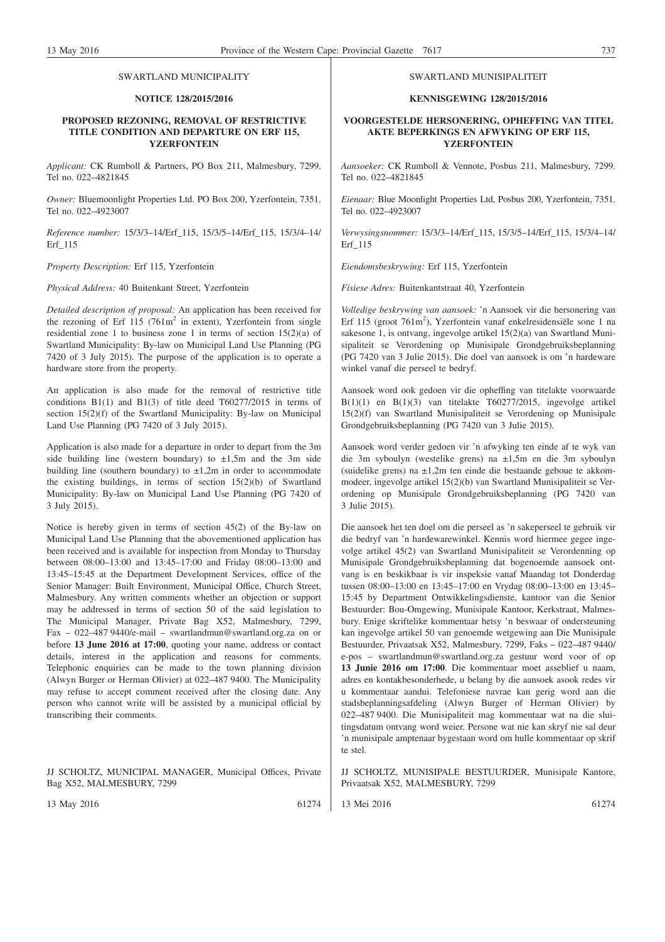#### SWARTLAND MUNICIPALITY

#### **NOTICE 128/2015/2016**

#### **PROPOSED REZONING, REMOVAL OF RESTRICTIVE TITLE CONDITION AND DEPARTURE ON ERF 115, YZERFONTEIN**

*Applicant:* CK Rumboll & Partners, PO Box 211, Malmesbury, 7299. Tel no. 022–4821845

*Owner:* Bluemoonlight Properties Ltd. PO Box 200, Yzerfontein, 7351. Tel no. 022–4923007

*Reference number:* 15/3/3–14/Erf\_115, 15/3/5–14/Erf\_115, 15/3/4–14/ Erf\_115

*Property Description:* Erf 115, Yzerfontein

*Physical Address:* 40 Buitenkant Street, Yzerfontein

*Detailed description of proposal:* An application has been received for the rezoning of Erf 115 (761m<sup>2</sup> in extent), Yzerfontein from single residential zone 1 to business zone 1 in terms of section 15(2)(a) of Swartland Municipality: By-law on Municipal Land Use Planning (PG 7420 of 3 July 2015). The purpose of the application is to operate a hardware store from the property.

An application is also made for the removal of restrictive title conditions B1(1) and B1(3) of title deed T60277/2015 in terms of section 15(2)(f) of the Swartland Municipality: By-law on Municipal Land Use Planning (PG 7420 of 3 July 2015).

Application is also made for a departure in order to depart from the 3m side building line (western boundary) to  $\pm 1,5$ m and the 3m side building line (southern boundary) to  $\pm 1,2m$  in order to accommodate the existing buildings, in terms of section 15(2)(b) of Swartland Municipality: By-law on Municipal Land Use Planning (PG 7420 of 3 July 2015).

Notice is hereby given in terms of section 45(2) of the By-law on Municipal Land Use Planning that the abovementioned application has been received and is available for inspection from Monday to Thursday between 08:00–13:00 and 13:45–17:00 and Friday 08:00–13:00 and 13:45–15:45 at the Department Development Services, office of the Senior Manager: Built Environment, Municipal Office, Church Street, Malmesbury. Any written comments whether an objection or support may be addressed in terms of section 50 of the said legislation to The Municipal Manager, Private Bag X52, Malmesbury, 7299, Fax – 022–487 9440/e-mail – swartlandmun@swartland.org.za on or before **13 June 2016 at 17:00**, quoting your name, address or contact details, interest in the application and reasons for comments. Telephonic enquiries can be made to the town planning division (Alwyn Burger or Herman Olivier) at 022–487 9400. The Municipality may refuse to accept comment received after the closing date. Any person who cannot write will be assisted by a municipal official by transcribing their comments.

JJ SCHOLTZ, MUNICIPAL MANAGER, Municipal Offices, Private Bag X52, MALMESBURY, 7299

13 May 2016 61274

#### SWARTLAND MUNISIPALITEIT

#### **KENNISGEWING 128/2015/2016**

#### **VOORGESTELDE HERSONERING, OPHEFFING VAN TITEL AKTE BEPERKINGS EN AFWYKING OP ERF 115, YZERFONTEIN**

*Aansoeker:* CK Rumboll & Vennote, Posbus 211, Malmesbury, 7299. Tel no. 022–4821845

*Eienaar:* Blue Moonlight Properties Ltd, Posbus 200, Yzerfontein, 7351. Tel no. 022–4923007

*Verwysingsnommer:* 15/3/3–14/Erf\_115, 15/3/5–14/Erf\_115, 15/3/4–14/ Erf\_115

*Eiendomsbeskrywing:* Erf 115, Yzerfontein

*Fisiese Adres:* Buitenkantstraat 40, Yzerfontein

*Volledige beskrywing van aansoek:* 'n Aansoek vir die hersonering van Erf 115 (groot 761m<sup>2</sup>), Yzerfontein vanaf enkelresidensiële sone 1 na sakesone 1, is ontvang, ingevolge artikel 15(2)(a) van Swartland Munisipaliteit se Verordening op Munisipale Grondgebruiksbeplanning (PG 7420 van 3 Julie 2015). Die doel van aansoek is om 'n hardeware winkel vanaf die perseel te bedryf.

Aansoek word ook gedoen vir die opheffing van titelakte voorwaarde  $B(1)(1)$  en  $B(1)(3)$  van titelakte T60277/2015, ingevolge artikel 15(2)(f) van Swartland Munisipaliteit se Verordening op Munisipale Grondgebruiksbeplanning (PG 7420 van 3 Julie 2015).

Aansoek word verder gedoen vir 'n afwyking ten einde af te wyk van die 3m syboulyn (westelike grens) na ±1,5m en die 3m syboulyn (suidelike grens) na ±1,2m ten einde die bestaande geboue te akkommodeer, ingevolge artikel 15(2)(b) van Swartland Munisipaliteit se Verordening op Munisipale Grondgebruiksbeplanning (PG 7420 van 3 Julie 2015).

Die aansoek het ten doel om die perseel as 'n sakeperseel te gebruik vir die bedryf van 'n hardewarewinkel. Kennis word hiermee gegee ingevolge artikel 45(2) van Swartland Munisipaliteit se Verordenning op Munisipale Grondgebruiksbeplanning dat bogenoemde aansoek ontvang is en beskikbaar is vir inspeksie vanaf Maandag tot Donderdag tussen 08:00–13:00 en 13:45–17:00 en Vrydag 08:00–13:00 en 13:45– 15:45 by Department Ontwikkelingsdienste, kantoor van die Senior Bestuurder: Bou-Omgewing, Munisipale Kantoor, Kerkstraat, Malmesbury. Enige skriftelike kommentaar hetsy 'n beswaar of ondersteuning kan ingevolge artikel 50 van genoemde wetgewing aan Die Munisipale Bestuurder, Privaatsak X52, Malmesbury, 7299, Faks – 022–487 9440/ e-pos – swartlandmun@swartland.org.za gestuur word voor of op **13 Junie 2016 om 17:00**. Die kommentaar moet asseblief u naam, adres en kontakbesonderhede, u belang by die aansoek asook redes vir u kommentaar aandui. Telefoniese navrae kan gerig word aan die stadsbeplanningsafdeling (Alwyn Burger of Herman Olivier) by 022–487 9400. Die Munisipaliteit mag kommentaar wat na die sluitingsdatum ontvang word weier. Persone wat nie kan skryf nie sal deur 'n munisipale amptenaar bygestaan word om hulle kommentaar op skrif te stel.

JJ SCHOLTZ, MUNISIPALE BESTUURDER, Munisipale Kantore, Privaatsak X52, MALMESBURY, 7299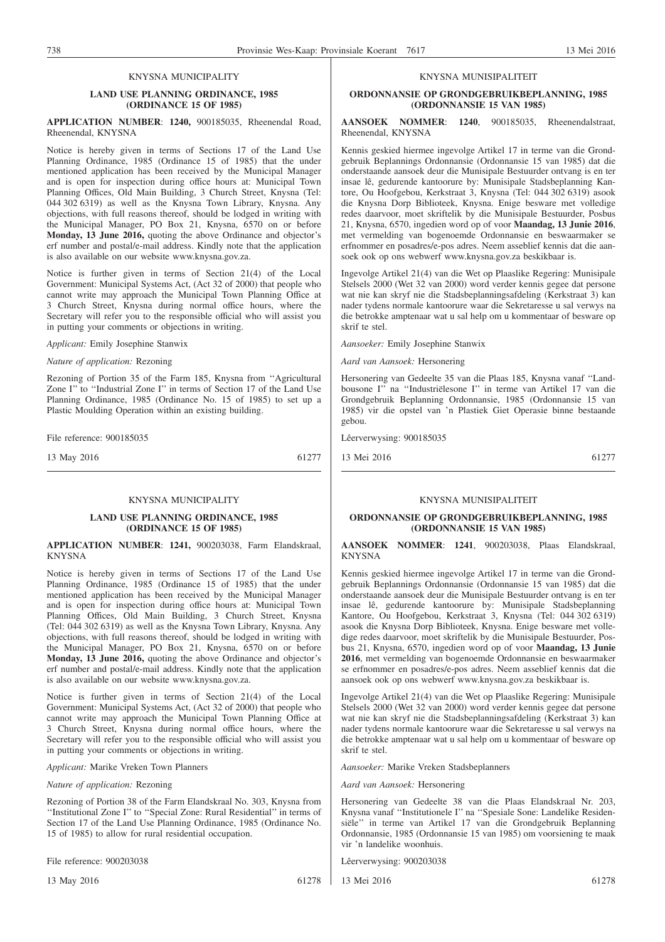#### **LAND USE PLANNING ORDINANCE, 1985 (ORDINANCE 15 OF 1985)**

#### **APPLICATION NUMBER**: **1240,** 900185035, Rheenendal Road, Rheenendal, KNYSNA

Notice is hereby given in terms of Sections 17 of the Land Use Planning Ordinance, 1985 (Ordinance 15 of 1985) that the under mentioned application has been received by the Municipal Manager and is open for inspection during office hours at: Municipal Town Planning Offices, Old Main Building, 3 Church Street, Knysna (Tel: 044 302 6319) as well as the Knysna Town Library, Knysna. Any objections, with full reasons thereof, should be lodged in writing with the Municipal Manager, PO Box 21, Knysna, 6570 on or before **Monday, 13 June 2016,** quoting the above Ordinance and objector's erf number and postal/e-mail address. Kindly note that the application is also available on our website www.knysna.gov.za.

Notice is further given in terms of Section 21(4) of the Local Government: Municipal Systems Act, (Act 32 of 2000) that people who cannot write may approach the Municipal Town Planning Office at 3 Church Street, Knysna during normal office hours, where the Secretary will refer you to the responsible official who will assist you in putting your comments or objections in writing.

*Applicant:* Emily Josephine Stanwix

*Nature of application:* Rezoning

Rezoning of Portion 35 of the Farm 185, Knysna from ''Agricultural Zone I" to "Industrial Zone I" in terms of Section 17 of the Land Use Planning Ordinance, 1985 (Ordinance No. 15 of 1985) to set up a Plastic Moulding Operation within an existing building.

File reference: 900185035

13 May 2016 61277

#### KNYSNA MUNICIPALITY

#### **LAND USE PLANNING ORDINANCE, 1985 (ORDINANCE 15 OF 1985)**

#### **APPLICATION NUMBER**: **1241,** 900203038, Farm Elandskraal, KNYSNA

Notice is hereby given in terms of Sections 17 of the Land Use Planning Ordinance, 1985 (Ordinance 15 of 1985) that the under mentioned application has been received by the Municipal Manager and is open for inspection during office hours at: Municipal Town Planning Offices, Old Main Building, 3 Church Street, Knysna (Tel: 044 302 6319) as well as the Knysna Town Library, Knysna. Any objections, with full reasons thereof, should be lodged in writing with the Municipal Manager, PO Box 21, Knysna, 6570 on or before **Monday, 13 June 2016,** quoting the above Ordinance and objector's erf number and postal/e-mail address. Kindly note that the application is also available on our website www.knysna.gov.za.

Notice is further given in terms of Section 21(4) of the Local Government: Municipal Systems Act, (Act 32 of 2000) that people who cannot write may approach the Municipal Town Planning Office at 3 Church Street, Knysna during normal office hours, where the Secretary will refer you to the responsible official who will assist you in putting your comments or objections in writing.

*Applicant:* Marike Vreken Town Planners

*Nature of application:* Rezoning

Rezoning of Portion 38 of the Farm Elandskraal No. 303, Knysna from ''Institutional Zone I'' to ''Special Zone: Rural Residential'' in terms of Section 17 of the Land Use Planning Ordinance, 1985 (Ordinance No. 15 of 1985) to allow for rural residential occupation.

File reference: 900203038

13 May 2016 61278

### KNYSNA MUNISIPALITEIT

#### **ORDONNANSIE OP GRONDGEBRUIKBEPLANNING, 1985 (ORDONNANSIE 15 VAN 1985)**

#### **AANSOEK NOMMER**: **1240**, 900185035, Rheenendalstraat, Rheenendal, KNYSNA

Kennis geskied hiermee ingevolge Artikel 17 in terme van die Grondgebruik Beplannings Ordonnansie (Ordonnansie 15 van 1985) dat die onderstaande aansoek deur die Munisipale Bestuurder ontvang is en ter insae lê, gedurende kantoorure by: Munisipale Stadsbeplanning Kantore, Ou Hoofgebou, Kerkstraat 3, Knysna (Tel: 044 302 6319) asook die Knysna Dorp Biblioteek, Knysna. Enige besware met volledige redes daarvoor, moet skriftelik by die Munisipale Bestuurder, Posbus 21, Knysna, 6570, ingedien word op of voor **Maandag, 13 Junie 2016**, met vermelding van bogenoemde Ordonnansie en beswaarmaker se erfnommer en posadres/e-pos adres. Neem asseblief kennis dat die aansoek ook op ons webwerf www.knysna.gov.za beskikbaar is.

Ingevolge Artikel 21(4) van die Wet op Plaaslike Regering: Munisipale Stelsels 2000 (Wet 32 van 2000) word verder kennis gegee dat persone wat nie kan skryf nie die Stadsbeplanningsafdeling (Kerkstraat 3) kan nader tydens normale kantoorure waar die Sekretaresse u sal verwys na die betrokke amptenaar wat u sal help om u kommentaar of besware op skrif te stel.

*Aansoeker:* Emily Josephine Stanwix

*Aard van Aansoek:* Hersonering

Hersonering van Gedeelte 35 van die Plaas 185, Knysna vanaf ''Landbousone I'' na ''Industriëlesone I'' in terme van Artikel 17 van die Grondgebruik Beplanning Ordonnansie, 1985 (Ordonnansie 15 van 1985) vir die opstel van 'n Plastiek Giet Operasie binne bestaande gebou.

Lêerverwysing: 900185035

13 Mei 2016 61277

#### KNYSNA MUNISIPALITEIT

#### **ORDONNANSIE OP GRONDGEBRUIKBEPLANNING, 1985 (ORDONNANSIE 15 VAN 1985)**

#### **AANSOEK NOMMER**: **1241**, 900203038, Plaas Elandskraal, KNYSNA

Kennis geskied hiermee ingevolge Artikel 17 in terme van die Grondgebruik Beplannings Ordonnansie (Ordonnansie 15 van 1985) dat die onderstaande aansoek deur die Munisipale Bestuurder ontvang is en ter insae lê, gedurende kantoorure by: Munisipale Stadsbeplanning Kantore, Ou Hoofgebou, Kerkstraat 3, Knysna (Tel: 044 302 6319) asook die Knysna Dorp Biblioteek, Knysna. Enige besware met volledige redes daarvoor, moet skriftelik by die Munisipale Bestuurder, Posbus 21, Knysna, 6570, ingedien word op of voor **Maandag, 13 Junie 2016**, met vermelding van bogenoemde Ordonnansie en beswaarmaker se erfnommer en posadres/e-pos adres. Neem asseblief kennis dat die aansoek ook op ons webwerf www.knysna.gov.za beskikbaar is.

Ingevolge Artikel 21(4) van die Wet op Plaaslike Regering: Munisipale Stelsels 2000 (Wet 32 van 2000) word verder kennis gegee dat persone wat nie kan skryf nie die Stadsbeplanningsafdeling (Kerkstraat 3) kan nader tydens normale kantoorure waar die Sekretaresse u sal verwys na die betrokke amptenaar wat u sal help om u kommentaar of besware op skrif te stel.

*Aansoeker:* Marike Vreken Stadsbeplanners

*Aard van Aansoek:* Hersonering

Hersonering van Gedeelte 38 van die Plaas Elandskraal Nr. 203, Knysna vanaf ''Institutionele I'' na ''Spesiale Sone: Landelike Residensiële'' in terme van Artikel 17 van die Grondgebruik Beplanning Ordonnansie, 1985 (Ordonnansie 15 van 1985) om voorsiening te maak vir 'n landelike woonhuis.

Lêerverwysing: 900203038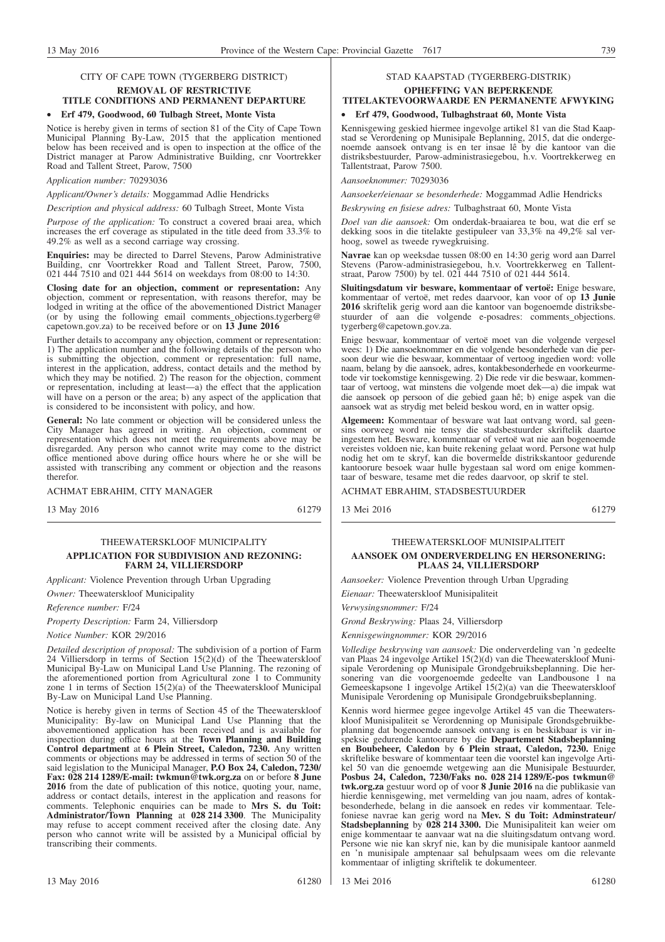#### CITY OF CAPE TOWN (TYGERBERG DISTRICT) **REMOVAL OF RESTRICTIVE**

### **TITLE CONDITIONS AND PERMANENT DEPARTURE**

#### • **Erf 479, Goodwood, 60 Tulbagh Street, Monte Vista**

Notice is hereby given in terms of section 81 of the City of Cape Town Municipal Planning By-Law, 2015 that the application mentioned below has been received and is open to inspection at the office of the District manager at Parow Administrative Building, cnr Voortrekker Road and Tallent Street, Parow, 7500

#### *Application number:* 70293036

*Applicant/Owner's details:* Moggammad Adlie Hendricks

*Description and physical address:* 60 Tulbagh Street, Monte Vista

*Purpose of the application:* To construct a covered braai area, which increases the erf coverage as stipulated in the title deed from 33.3% to 49.2% as well as a second carriage way crossing.

**Enquiries:** may be directed to Darrel Stevens, Parow Administrative Building, cnr Voortrekker Road and Tallent Street, Parow, 7500, 021 444 7510 and 021 444 5614 on weekdays from 08:00 to 14:30.

**Closing date for an objection, comment or representation:** Any objection, comment or representation, with reasons therefor, may be lodged in writing at the office of the abovementioned District Manager (or by using the following email comments\_objections.tygerberg@ capetown.gov.za) to be received before or on **13 June 2016**

Further details to accompany any objection, comment or representation: 1) The application number and the following details of the person who is submitting the objection, comment or representation: full name, interest in the application, address, contact details and the method by which they may be notified. 2) The reason for the objection, comment or representation, including at least—a) the effect that the application will have on a person or the area; b) any aspect of the application that is considered to be inconsistent with policy, and how.

**General:** No late comment or objection will be considered unless the City Manager has agreed in writing. An objection, comment or representation which does not meet the requirements above may be disregarded. Any person who cannot write may come to the district office mentioned above during office hours where he or she will be assisted with transcribing any comment or objection and the reasons therefor.

ACHMAT EBRAHIM, CITY MANAGER

13 May 2016 61279

#### THEEWATERSKLOOF MUNICIPALITY **APPLICATION FOR SUBDIVISION AND REZONING: FARM 24, VILLIERSDORP**

*Applicant:* Violence Prevention through Urban Upgrading

*Owner:* Theewaterskloof Municipality

*Reference number:* F/24

*Property Description:* Farm 24, Villiersdorp

*Notice Number:* KOR 29/2016

*Detailed description of proposal:* The subdivision of a portion of Farm 24 Villiersdorp in terms of Section 15(2)(d) of the Theewaterskloof Municipal By-Law on Municipal Land Use Planning. The rezoning of the aforementioned portion from Agricultural zone 1 to Community zone 1 in terms of Section  $15(2)(a)$  of the Theewaterskloof Municipal By-Law on Municipal Land Use Planning.

Notice is hereby given in terms of Section 45 of the Theewaterskloof Municipality: By-law on Municipal Land Use Planning that the abovementioned application has been received and is available for inspection during office hours at the **Town Planning and Building Control department** at **6 Plein Street, Caledon, 7230.** Any written comments or objections may be addressed in terms of section 50 of the said legislation to the Municipal Manager, **P.O Box 24, Caledon, 7230/ Fax: 028 214 1289/E-mail: twkmun@twk.org.za** on or before **8 June 2016** from the date of publication of this notice, quoting your, name, address or contact details, interest in the application and reasons for comments. Telephonic enquiries can be made to **Mrs S. du Toit: Administrator/Town Planning** at **028 214 3300**. The Municipality may refuse to accept comment received after the closing date. Any person who cannot write will be assisted by a Municipal official by transcribing their comments.

#### STAD KAAPSTAD (TYGERBERG-DISTRIK) **OPHEFFING VAN BEPERKENDE**

### **TITELAKTEVOORWAARDE EN PERMANENTE AFWYKING**

#### • **Erf 479, Goodwood, Tulbaghstraat 60, Monte Vista**

Kennisgewing geskied hiermee ingevolge artikel 81 van die Stad Kaapstad se Verordening op Munisipale Beplanning, 2015, dat die ondergenoemde aansoek ontvang is en ter insae lê by die kantoor van die distriksbestuurder, Parow-administrasiegebou, h.v. Voortrekkerweg en Tallentstraat, Parow 7500.

#### *Aansoeknommer:* 70293036

*Aansoeker/eienaar se besonderhede:* Moggammad Adlie Hendricks

*Beskrywing en fisiese adres:* Tulbaghstraat 60, Monte Vista

*Doel van die aansoek:* Om onderdak-braaiarea te bou, wat die erf se dekking soos in die titelakte gestipuleer van 33,3% na 49,2% sal verhoog, sowel as tweede rywegkruising.

**Navrae** kan op weeksdae tussen 08:00 en 14:30 gerig word aan Darrel Stevens (Parow-administrasiegebou, h.v. Voortrekkerweg en Tallentstraat, Parow 7500) by tel. 021 444 7510 of 021 444 5614.

**Sluitingsdatum vir besware, kommentaar of vertoë:** Enige besware, kommentaar of vertoë, met redes daarvoor, kan voor of op **13 Junie 2016** skriftelik gerig word aan die kantoor van bogenoemde distriksbestuurder of aan die volgende e-posadres: comments\_objections. tygerberg@capetown.gov.za.

Enige beswaar, kommentaar of vertoë moet van die volgende vergesel wees: 1) Die aansoeknommer en die volgende besonderhede van die persoon deur wie die beswaar, kommentaar of vertoog ingedien word: volle naam, belang by die aansoek, adres, kontakbesonderhede en voorkeurmetode vir toekomstige kennisgewing. 2) Die rede vir die beswaar, kommentaar of vertoog, wat minstens die volgende moet dek—a) die impak wat die aansoek op persoon of die gebied gaan hê; b) enige aspek van die aansoek wat as strydig met beleid beskou word, en in watter opsig.

**Algemeen:** Kommentaar of besware wat laat ontvang word, sal geensins oorweeg word nie tensy die stadsbestuurder skriftelik daartoe ingestem het. Besware, kommentaar of vertoë wat nie aan bogenoemde vereistes voldoen nie, kan buite rekening gelaat word. Persone wat hulp nodig het om te skryf, kan die bovermelde distrikskantoor gedurende kantoorure besoek waar hulle bygestaan sal word om enige kommentaar of besware, tesame met die redes daarvoor, op skrif te stel.

ACHMAT EBRAHIM, STADSBESTUURDER

13 Mei 2016 61279

#### THEEWATERSKLOOF MUNISIPALITEIT **AANSOEK OM ONDERVERDELING EN HERSONERING: PLAAS 24, VILLIERSDORP**

*Aansoeker:* Violence Prevention through Urban Upgrading

*Eienaar:* Theewaterskloof Munisipaliteit

*Verwysingsnommer:* F/24

*Grond Beskrywing:* Plaas 24, Villiersdorp

*Kennisgewingnommer:* KOR 29/2016

*Volledige beskrywing van aansoek:* Die onderverdeling van 'n gedeelte van Plaas 24 ingevolge Artikel 15(2)(d) van die Theewaterskloof Munisipale Verordening op Munisipale Grondgebruiksbeplanning. Die hersonering van die voorgenoemde gedeelte van Landbousone 1 na Gemeeskapsone 1 ingevolge Artikel 15(2)(a) van die Theewaterskloof Munisipale Verordening op Munisipale Grondgebruiksbeplanning.

Kennis word hiermee gegee ingevolge Artikel 45 van die Theewaterskloof Munisipaliteit se Verordenning op Munisipale Grondsgebruikbeplanning dat bogenoemde aansoek ontvang is en beskikbaar is vir inspeksie gedurende kantoorure by die **Departement Stadsbeplanning en Boubeheer, Caledon** by **6 Plein straat, Caledon, 7230.** Enige skriftelike besware of kommentaar teen die voorstel kan ingevolge Artikel 50 van die genoemde wetgewing aan die Munisipale Bestuurder, **Posbus 24, Caledon, 7230/Faks no. 028 214 1289/E-pos twkmun@ twk.org.za** gestuur word op of voor **8 Junie 2016** na die publikasie van hierdie kennisgewing, met vermelding van jou naam, adres of kontakbesonderhede, belang in die aansoek en redes vir kommentaar. Telefoniese navrae kan gerig word na **Mev. S du Toit: Adminstrateur/ Stadsbeplanning** by **028 214 3300.** Die Munisipaliteit kan weier om enige kommentaar te aanvaar wat na die sluitingsdatum ontvang word. Persone wie nie kan skryf nie, kan by die munisipale kantoor aanmeld en 'n munisipale amptenaar sal behulpsaam wees om die relevante kommentaar of inligting skriftelik te dokumenteer.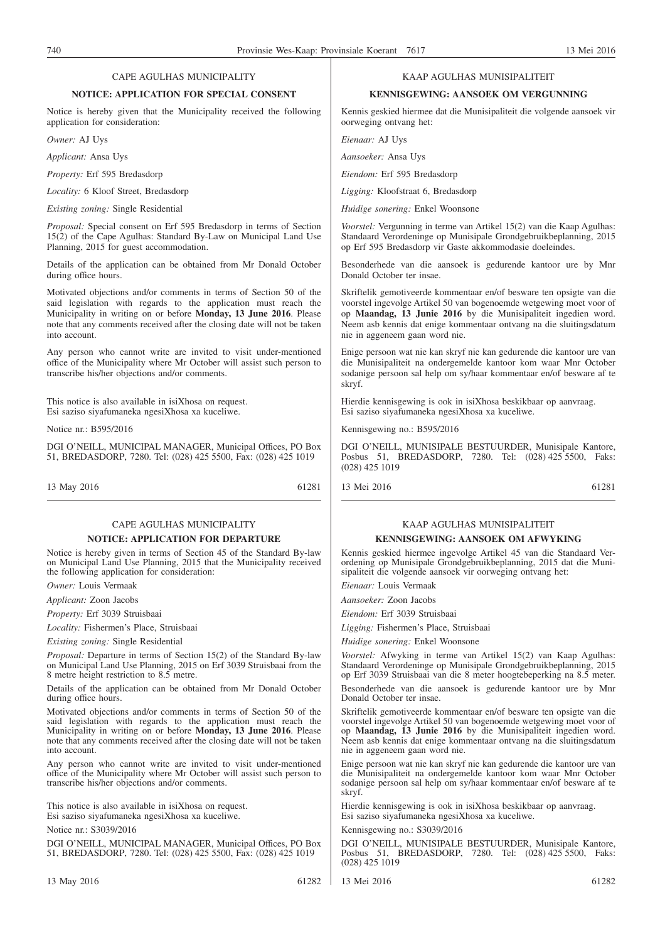#### CAPE AGULHAS MUNICIPALITY

#### **NOTICE: APPLICATION FOR SPECIAL CONSENT**

Notice is hereby given that the Municipality received the following application for consideration:

*Owner:* AJ Uys

*Applicant:* Ansa Uys

*Property:* Erf 595 Bredasdorp

*Locality:* 6 Kloof Street, Bredasdorp

*Existing zoning:* Single Residential

*Proposal:* Special consent on Erf 595 Bredasdorp in terms of Section 15(2) of the Cape Agulhas: Standard By-Law on Municipal Land Use Planning, 2015 for guest accommodation.

Details of the application can be obtained from Mr Donald October during office hours.

Motivated objections and/or comments in terms of Section 50 of the said legislation with regards to the application must reach the Municipality in writing on or before **Monday, 13 June 2016**. Please note that any comments received after the closing date will not be taken into account.

Any person who cannot write are invited to visit under-mentioned office of the Municipality where Mr October will assist such person to transcribe his/her objections and/or comments.

This notice is also available in isiXhosa on request. Esi saziso siyafumaneka ngesiXhosa xa kuceliwe.

Notice nr.: B595/2016

DGI O'NEILL, MUNICIPAL MANAGER, Municipal Offices, PO Box 51, BREDASDORP, 7280. Tel: (028) 425 5500, Fax: (028) 425 1019

13 May 2016 61281

#### CAPE AGULHAS MUNICIPALITY **NOTICE: APPLICATION FOR DEPARTURE**

Notice is hereby given in terms of Section 45 of the Standard By-law on Municipal Land Use Planning, 2015 that the Municipality received the following application for consideration:

*Owner:* Louis Vermaak

*Applicant:* Zoon Jacobs

*Property:* Erf 3039 Struisbaai

*Locality:* Fishermen's Place, Struisbaai

*Existing zoning:* Single Residential

*Proposal:* Departure in terms of Section 15(2) of the Standard By-law on Municipal Land Use Planning, 2015 on Erf 3039 Struisbaai from the 8 metre height restriction to 8.5 metre.

Details of the application can be obtained from Mr Donald October during office hours.

Motivated objections and/or comments in terms of Section 50 of the said legislation with regards to the application must reach the Municipality in writing on or before **Monday, 13 June 2016**. Please note that any comments received after the closing date will not be taken into account.

Any person who cannot write are invited to visit under-mentioned office of the Municipality where Mr October will assist such person to transcribe his/her objections and/or comments.

This notice is also available in isiXhosa on request. Esi saziso siyafumaneka ngesiXhosa xa kuceliwe.

Notice nr.: S3039/2016

DGI O'NEILL, MUNICIPAL MANAGER, Municipal Offices, PO Box 51, BREDASDORP, 7280. Tel: (028) 425 5500, Fax: (028) 425 1019

#### KAAP AGULHAS MUNISIPALITEIT

#### **KENNISGEWING: AANSOEK OM VERGUNNING**

Kennis geskied hiermee dat die Munisipaliteit die volgende aansoek vir oorweging ontvang het:

*Eienaar:* AJ Uys

*Aansoeker:* Ansa Uys

*Eiendom:* Erf 595 Bredasdorp

*Ligging:* Kloofstraat 6, Bredasdorp

*Huidige sonering:* Enkel Woonsone

*Voorstel:* Vergunning in terme van Artikel 15(2) van die Kaap Agulhas: Standaard Verordeninge op Munisipale Grondgebruikbeplanning, 2015 op Erf 595 Bredasdorp vir Gaste akkommodasie doeleindes.

Besonderhede van die aansoek is gedurende kantoor ure by Mnr Donald October ter insae.

Skriftelik gemotiveerde kommentaar en/of besware ten opsigte van die voorstel ingevolge Artikel 50 van bogenoemde wetgewing moet voor of op **Maandag, 13 Junie 2016** by die Munisipaliteit ingedien word. Neem asb kennis dat enige kommentaar ontvang na die sluitingsdatum nie in aggeneem gaan word nie.

Enige persoon wat nie kan skryf nie kan gedurende die kantoor ure van die Munisipaliteit na ondergemelde kantoor kom waar Mnr October sodanige persoon sal help om sy/haar kommentaar en/of besware af te skryf.

Hierdie kennisgewing is ook in isiXhosa beskikbaar op aanvraag. Esi saziso siyafumaneka ngesiXhosa xa kuceliwe.

Kennisgewing no.: B595/2016

DGI O'NEILL, MUNISIPALE BESTUURDER, Munisipale Kantore, Posbus 51, BREDASDORP, 7280. Tel: (028) 425 5500, Faks: (028) 425 1019

13 Mei 2016 61281

#### KAAP AGULHAS MUNISIPALITEIT **KENNISGEWING: AANSOEK OM AFWYKING**

Kennis geskied hiermee ingevolge Artikel 45 van die Standaard Verordening op Munisipale Grondgebruikbeplanning, 2015 dat die Munisipaliteit die volgende aansoek vir oorweging ontvang het:

*Eienaar:* Louis Vermaak

*Aansoeker:* Zoon Jacobs

*Eiendom:* Erf 3039 Struisbaai

*Ligging:* Fishermen's Place, Struisbaai

*Huidige sonering:* Enkel Woonsone

*Voorstel:* Afwyking in terme van Artikel 15(2) van Kaap Agulhas: Standaard Verordeninge op Munisipale Grondgebruikbeplanning, 2015 op Erf 3039 Struisbaai van die 8 meter hoogtebeperking na 8.5 meter.

Besonderhede van die aansoek is gedurende kantoor ure by Mnr Donald October ter insae.

Skriftelik gemotiveerde kommentaar en/of besware ten opsigte van die voorstel ingevolge Artikel 50 van bogenoemde wetgewing moet voor of op **Maandag, 13 Junie 2016** by die Munisipaliteit ingedien word. Neem asb kennis dat enige kommentaar ontvang na die sluitingsdatum nie in aggeneem gaan word nie.

Enige persoon wat nie kan skryf nie kan gedurende die kantoor ure van die Munisipaliteit na ondergemelde kantoor kom waar Mnr October sodanige persoon sal help om sy/haar kommentaar en/of besware af te skryf.

Hierdie kennisgewing is ook in isiXhosa beskikbaar op aanvraag. Esi saziso siyafumaneka ngesiXhosa xa kuceliwe.

Kennisgewing no.: S3039/2016

DGI O'NEILL, MUNISIPALE BESTUURDER, Munisipale Kantore, Posbus 51, BREDASDORP, 7280. Tel: (028) 425 5500, Faks: (028) 425 1019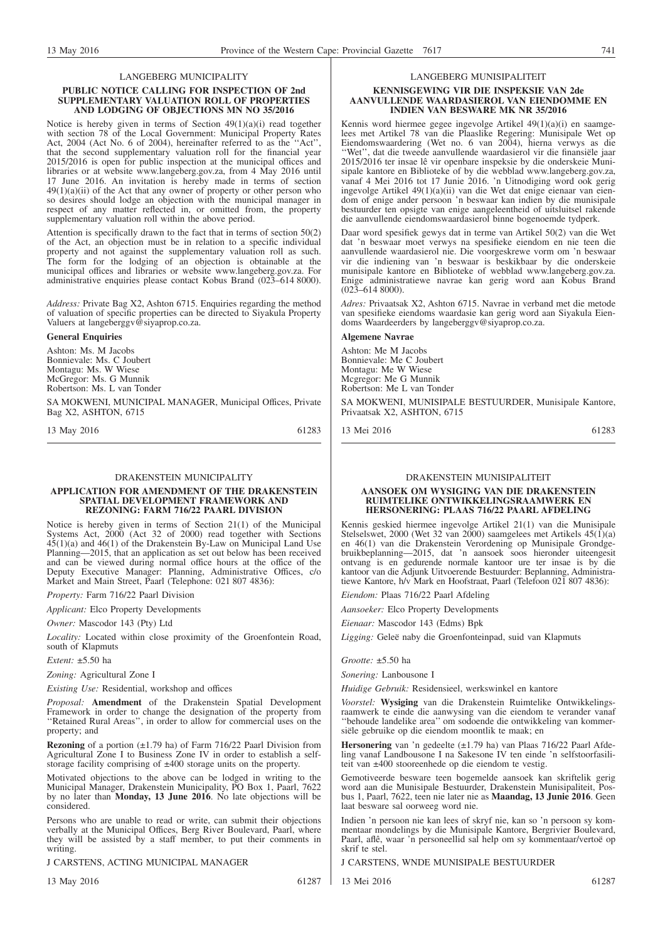#### LANGEBERG MUNICIPALITY

#### **PUBLIC NOTICE CALLING FOR INSPECTION OF 2nd SUPPLEMENTARY VALUATION ROLL OF PROPERTIES AND LODGING OF OBJECTIONS MN NO 35/2016**

Notice is hereby given in terms of Section 49(1)(a)(i) read together with section 78 of the Local Government: Municipal Property Rates Act, 2004 (Act No. 6 of 2004), hereinafter referred to as the ''Act'', that the second supplementary valuation roll for the financial year 2015/2016 is open for public inspection at the municipal offices and libraries or at website www.langeberg.gov.za, from 4 May 2016 until 17 June 2016. An invitation is hereby made in terms of section  $49(1)(a)(ii)$  of the Act that any owner of property or other person who so desires should lodge an objection with the municipal manager in respect of any matter reflected in, or omitted from, the property supplementary valuation roll within the above period.

Attention is specifically drawn to the fact that in terms of section 50(2) of the Act, an objection must be in relation to a specific individual property and not against the supplementary valuation roll as such. The form for the lodging of an objection is obtainable at the municipal offices and libraries or website www.langeberg.gov.za. For administrative enquiries please contact Kobus Brand (023–614 8000).

*Address:* Private Bag X2, Ashton 6715. Enquiries regarding the method of valuation of specific properties can be directed to Siyakula Property Valuers at langeberggv@siyaprop.co.za.

#### **General Enquiries**

Ashton: Ms. M Jacobs Bonnievale: Ms. C Joubert Montagu: Ms. W Wiese McGregor: Ms. G Munnik Robertson: Ms. L van Tonder

SA MOKWENI, MUNICIPAL MANAGER, Municipal Offices, Private Bag X2, ASHTON, 6715

13 May 2016 61283

#### DRAKENSTEIN MUNICIPALITY

#### **APPLICATION FOR AMENDMENT OF THE DRAKENSTEIN SPATIAL DEVELOPMENT FRAMEWORK AND REZONING: FARM 716/22 PAARL DIVISION**

Notice is hereby given in terms of Section 21(1) of the Municipal Systems Act, 2000 (Act 32 of 2000) read together with Sections 45(1)(a) and 46(1) of the Drakenstein By-Law on Municipal Land Use Planning—2015, that an application as set out below has been received and can be viewed during normal office hours at the office of the Deputy Executive Manager: Planning, Administrative Offices, c/o Market and Main Street, Paarl (Telephone: 021 807 4836):

*Property:* Farm 716/22 Paarl Division

*Applicant:* Elco Property Developments

*Owner:* Mascodor 143 (Pty) Ltd

*Locality:* Located within close proximity of the Groenfontein Road, south of Klapmuts

*Extent:* ±5.50 ha

*Zoning:* Agricultural Zone I

*Existing Use:* Residential, workshop and offices

*Proposal:* **Amendment** of the Drakenstein Spatial Development Framework in order to change the designation of the property from ''Retained Rural Areas'', in order to allow for commercial uses on the property; and

**Rezoning** of a portion (±1.79 ha) of Farm 716/22 Paarl Division from Agricultural Zone I to Business Zone IV in order to establish a selfstorage facility comprising of ±400 storage units on the property.

Motivated objections to the above can be lodged in writing to the Municipal Manager, Drakenstein Municipality, PO Box 1, Paarl, 7622 by no later than **Monday, 13 June 2016**. No late objections will be considered.

Persons who are unable to read or write, can submit their objections verbally at the Municipal Offices, Berg River Boulevard, Paarl, where they will be assisted by a staff member, to put their comments in writing.

J CARSTENS, ACTING MUNICIPAL MANAGER

13 May 2016 61287

#### LANGEBERG MUNISIPALITEIT

#### **KENNISGEWING VIR DIE INSPEKSIE VAN 2de AANVULLENDE WAARDASIEROL VAN EIENDOMME EN INDIEN VAN BESWARE MK NR 35/2016**

Kennis word hiermee gegee ingevolge Artikel 49(1)(a)(i) en saamgelees met Artikel 78 van die Plaaslike Regering: Munisipale Wet op Eiendomswaardering (Wet no. 6 van 2004), hierna verwys as die ''Wet'', dat die tweede aanvullende waardasierol vir die finansiële jaar 2015/2016 ter insae lê vir openbare inspeksie by die onderskeie Munisipale kantore en Biblioteke of by die webblad www.langeberg.gov.za, vanaf 4 Mei 2016 tot 17 Junie 2016. 'n Uitnodiging word ook gerig ingevolge Artikel 49(1)(a)(ii) van die Wet dat enige eienaar van eiendom of enige ander persoon 'n beswaar kan indien by die munisipale bestuurder ten opsigte van enige aangeleentheid of uitsluitsel rakende die aanvullende eiendomswaardasierol binne bogenoemde tydperk.

Daar word spesifiek gewys dat in terme van Artikel 50(2) van die Wet dat 'n beswaar moet verwys na spesifieke eiendom en nie teen die aanvullende waardasierol nie. Die voorgeskrewe vorm om 'n beswaar vir die indiening van 'n beswaar is beskikbaar by die onderskeie munisipale kantore en Biblioteke of webblad www.langeberg.gov.za. Enige administratiewe navrae kan gerig word aan Kobus Brand  $(023-6148000)$ .

*Adres:* Privaatsak X2, Ashton 6715. Navrae in verband met die metode van spesifieke eiendoms waardasie kan gerig word aan Siyakula Eiendoms Waardeerders by langeberggv@siyaprop.co.za.

#### **Algemene Navrae**

Ashton: Me M Jacobs Bonnievale: Me C Joubert Montagu: Me W Wiese Mcgregor: Me G Munnik Robertson: Me L van Tonder

SA MOKWENI, MUNISIPALE BESTUURDER, Munisipale Kantore, Privaatsak X2, ASHTON, 6715

13 Mei 2016 61283

#### DRAKENSTEIN MUNISIPALITEIT

#### **AANSOEK OM WYSIGING VAN DIE DRAKENSTEIN RUIMTELIKE ONTWIKKELINGSRAAMWERK EN HERSONERING: PLAAS 716/22 PAARL AFDELING**

Kennis geskied hiermee ingevolge Artikel 21(1) van die Munisipale Stelselswet, 2000 (Wet 32 van 2000) saamgelees met Artikels 45(1)(a) en 46(1) van die Drakenstein Verordening op Munisipale Grondgebruikbeplanning—2015, dat 'n aansoek soos hieronder uiteengesit ontvang is en gedurende normale kantoor ure ter insae is by die kantoor van die Adjunk Uitvoerende Bestuurder: Beplanning, Administratiewe Kantore, h/v Mark en Hoofstraat, Paarl (Telefoon 021 807 4836):

*Eiendom:* Plaas 716/22 Paarl Afdeling

*Aansoeker:* Elco Property Developments

*Eienaar:* Mascodor 143 (Edms) Bpk

*Ligging:* Geleë naby die Groenfonteinpad, suid van Klapmuts

*Grootte:* ±5.50 ha

*Sonering:* Lanbousone I

*Huidige Gebruik:* Residensieel, werkswinkel en kantore

*Voorstel:* **Wysiging** van die Drakenstein Ruimtelike Ontwikkelingsraamwerk te einde die aanwysing van die eiendom te verander vanaf ''behoude landelike area'' om sodoende die ontwikkeling van kommersiële gebruike op die eiendom moontlik te maak; en

**Hersonering** van 'n gedeelte (±1.79 ha) van Plaas 716/22 Paarl Afdeling vanaf Landbousone I na Sakesone IV ten einde 'n selfstoorfasiliteit van ±400 stooreenhede op die eiendom te vestig.

Gemotiveerde besware teen bogemelde aansoek kan skriftelik gerig word aan die Munisipale Bestuurder, Drakenstein Munisipaliteit, Posbus 1, Paarl, 7622, teen nie later nie as **Maandag, 13 Junie 2016**. Geen laat besware sal oorweeg word nie.

Indien 'n persoon nie kan lees of skryf nie, kan so 'n persoon sy kommentaar mondelings by die Munisipale Kantore, Bergrivier Boulevard, Paarl, aflê, waar 'n personeellid sal help om sy kommentaar/vertoë op skrif te stel.

J CARSTENS, WNDE MUNISIPALE BESTUURDER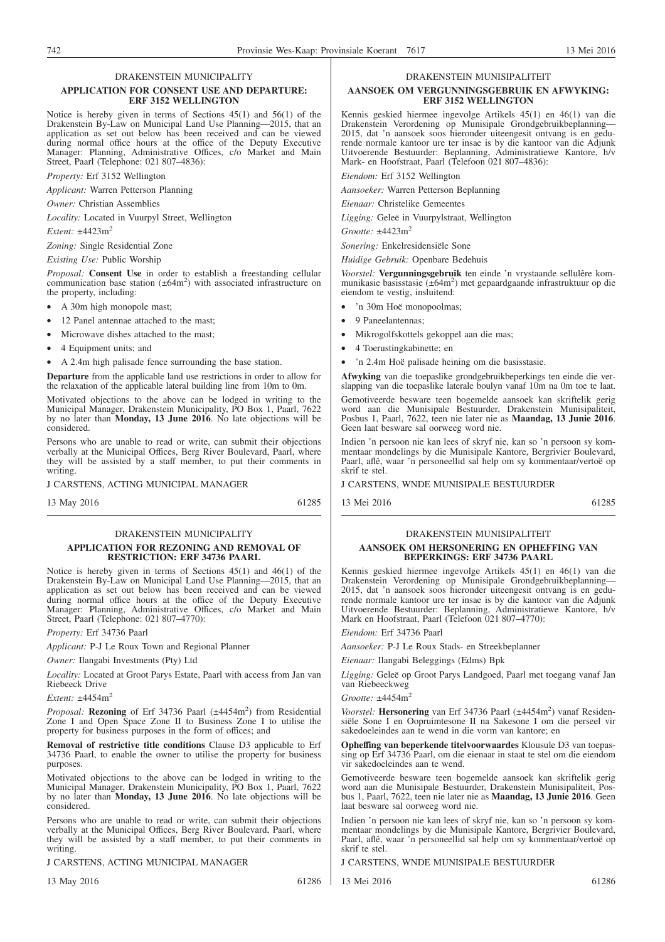#### DRAKENSTEIN MUNICIPALITY

#### **APPLICATION FOR CONSENT USE AND DEPARTURE: ERF 3152 WELLINGTON**

Notice is hereby given in terms of Sections 45(1) and 56(1) of the Drakenstein By-Law on Municipal Land Use Planning—2015, that an application as set out below has been received and can be viewed during normal office hours at the office of the Deputy Executive Manager: Planning, Administrative Offices, c/o Market and Main Street, Paarl (Telephone: 021 807–4836):

*Property:* Erf 3152 Wellington

*Applicant:* Warren Petterson Planning

*Owner:* Christian Assemblies

*Locality:* Located in Vuurpyl Street, Wellington

*Extent:* ±4423m2

*Zoning:* Single Residential Zone

*Existing Use:* Public Worship

*Proposal:* **Consent Use** in order to establish a freestanding cellular communication base station  $(\pm 64\text{m}^2)$  with associated infrastructure on the property, including:

• A 30m high monopole mast;

- 12 Panel antennae attached to the mast;
- Microwave dishes attached to the mast;
- 4 Equipment units; and
- A 2.4m high palisade fence surrounding the base station.

**Departure** from the applicable land use restrictions in order to allow for the relaxation of the applicable lateral building line from 10m to 0m.

Motivated objections to the above can be lodged in writing to the Municipal Manager, Drakenstein Municipality, PO Box 1, Paarl, 7622 by no later than **Monday, 13 June 2016**. No late objections will be considered.

Persons who are unable to read or write, can submit their objections verbally at the Municipal Offices, Berg River Boulevard, Paarl, where they will be assisted by a staff member, to put their comments in writing.

J CARSTENS, ACTING MUNICIPAL MANAGER

13 May 2016 61285

#### DRAKENSTEIN MUNICIPALITY **APPLICATION FOR REZONING AND REMOVAL OF RESTRICTION: ERF 34736 PAARL**

Notice is hereby given in terms of Sections 45(1) and 46(1) of the Drakenstein By-Law on Municipal Land Use Planning—2015, that an application as set out below has been received and can be viewed during normal office hours at the office of the Deputy Executive Manager: Planning, Administrative Offices, c/o Market and Main Street, Paarl (Telephone: 021 807–4770):

*Property:* Erf 34736 Paarl

*Applicant:* P-J Le Roux Town and Regional Planner

*Owner:* Ilangabi Investments (Pty) Ltd

*Locality:* Located at Groot Parys Estate, Paarl with access from Jan van Riebeeck Drive

*Extent:*  $+4454m^2$ 

Proposal: Rezoning of Erf 34736 Paarl (±4454m<sup>2</sup>) from Residential Zone I and Open Space Zone II to Business Zone I to utilise the property for business purposes in the form of offices; and

**Removal of restrictive title conditions** Clause D3 applicable to Erf 34736 Paarl, to enable the owner to utilise the property for business purposes.

Motivated objections to the above can be lodged in writing to the Municipal Manager, Drakenstein Municipality, PO Box 1, Paarl, 7622 by no later than **Monday, 13 June 2016**. No late objections will be considered.

Persons who are unable to read or write, can submit their objections verbally at the Municipal Offices, Berg River Boulevard, Paarl, where they will be assisted by a staff member, to put their comments in writing.

J CARSTENS, ACTING MUNICIPAL MANAGER

13 May 2016 61286

#### DRAKENSTEIN MUNISIPALITEIT

#### **AANSOEK OM VERGUNNINGSGEBRUIK EN AFWYKING: ERF 3152 WELLINGTON**

Kennis geskied hiermee ingevolge Artikels 45(1) en 46(1) van die Drakenstein Verordening op Munisipale Grondgebruikbeplanning— 2015, dat 'n aansoek soos hieronder uiteengesit ontvang is en gedurende normale kantoor ure ter insae is by die kantoor van die Adjunk Uitvoerende Bestuurder: Beplanning, Administratiewe Kantore, h/v Mark- en Hoofstraat, Paarl (Telefoon 021 807–4836):

*Eiendom:* Erf 3152 Wellington

*Aansoeker:* Warren Petterson Beplanning

*Eienaar:* Christelike Gemeentes

*Ligging:* Geleë in Vuurpylstraat, Wellington

*Grootte:* ±4423m2

*Sonering:* Enkelresidensiële Sone

*Huidige Gebruik:* Openbare Bedehuis

*Voorstel:* **Vergunningsgebruik** ten einde 'n vrystaande sellulêre kommunikasie basisstasie (±64m2 ) met gepaardgaande infrastruktuur op die eiendom te vestig, insluitend:

- 'n 30m Hoë monopoolmas;
- 9 Paneelantennas;
- Mikrogolfskottels gekoppel aan die mas;

Geen laat besware sal oorweeg word nie.

- 4 Toerustingkabinette; en
- 'n 2.4m Hoë palisade heining om die basisstasie.

**Afwyking** van die toepaslike grondgebruikbeperkings ten einde die verslapping van die toepaslike laterale boulyn vanaf 10m na 0m toe te laat. Gemotiveerde besware teen bogemelde aansoek kan skriftelik gerig word aan die Munisipale Bestuurder, Drakenstein Munisipaliteit, Posbus 1, Paarl, 7622, teen nie later nie as **Maandag, 13 Junie 2016**.

Indien 'n persoon nie kan lees of skryf nie, kan so 'n persoon sy kommentaar mondelings by die Munisipale Kantore, Bergrivier Boulevard, Paarl, aflê, waar 'n personeellid sal help om sy kommentaar/vertoë op skrif te stel.

J CARSTENS, WNDE MUNISIPALE BESTUURDER

13 Mei 2016 61285

#### DRAKENSTEIN MUNISIPALITEIT **AANSOEK OM HERSONERING EN OPHEFFING VAN BEPERKINGS: ERF 34736 PAARL**

Kennis geskied hiermee ingevolge Artikels 45(1) en 46(1) van die Drakenstein Verordening op Munisipale Grondgebruikbeplanning— 2015, dat 'n aansoek soos hieronder uiteengesit ontvang is en gedurende normale kantoor ure ter insae is by die kantoor van die Adjunk Uitvoerende Bestuurder: Beplanning, Administratiewe Kantore, h/v Mark en Hoofstraat, Paarl (Telefoon 021 807–4770):

*Eiendom:* Erf 34736 Paarl

*Aansoeker:* P-J Le Roux Stads- en Streekbeplanner

*Eienaar:* Ilangabi Beleggings (Edms) Bpk

*Ligging:* Geleë op Groot Parys Landgoed, Paarl met toegang vanaf Jan van Riebeeckweg

*Grootte*: +4454m<sup>2</sup>

Voorstel: Hersonering van Erf 34736 Paarl (±4454m<sup>2</sup>) vanaf Residensiële Sone I en Oopruimtesone II na Sakesone I om die perseel vir sakedoeleindes aan te wend in die vorm van kantore; en

**Opheffing van beperkende titelvoorwaardes** Klousule D3 van toepassing op Erf 34736 Paarl, om die eienaar in staat te stel om die eiendom vir sakedoeleindes aan te wend.

Gemotiveerde besware teen bogemelde aansoek kan skriftelik gerig word aan die Munisipale Bestuurder, Drakenstein Munisipaliteit, Posbus 1, Paarl, 7622, teen nie later nie as **Maandag, 13 Junie 2016**. Geen laat besware sal oorweeg word nie.

Indien 'n persoon nie kan lees of skryf nie, kan so 'n persoon sy kommentaar mondelings by die Munisipale Kantore, Bergrivier Boulevard, Paarl, aflê, waar 'n personeellid sal help om sy kommentaar/vertoë op skrif te stel.

J CARSTENS, WNDE MUNISIPALE BESTUURDER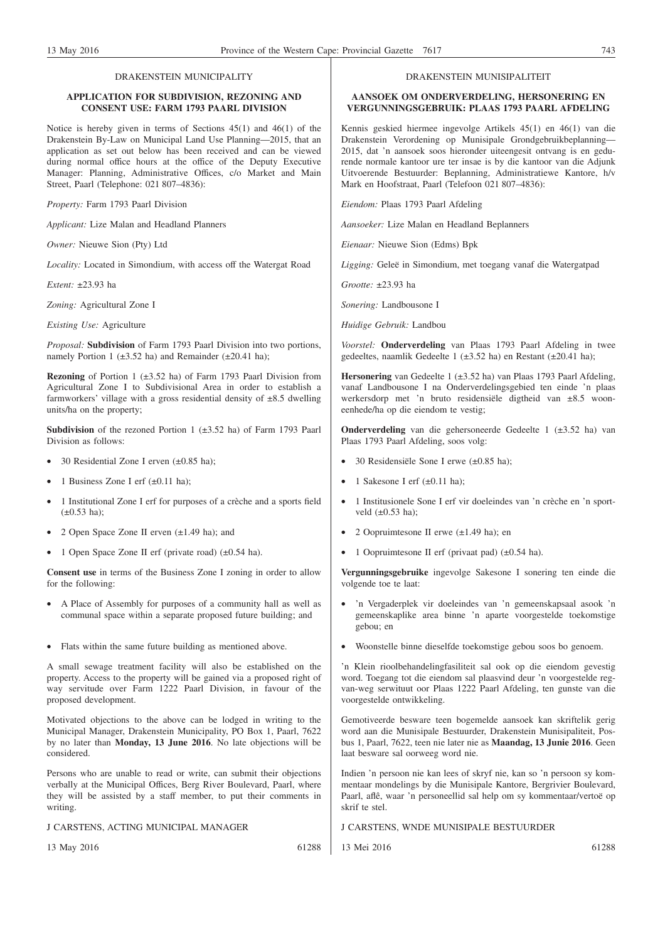#### DRAKENSTEIN MUNICIPALITY

#### **APPLICATION FOR SUBDIVISION, REZONING AND CONSENT USE: FARM 1793 PAARL DIVISION**

Notice is hereby given in terms of Sections 45(1) and 46(1) of the Drakenstein By-Law on Municipal Land Use Planning—2015, that an application as set out below has been received and can be viewed during normal office hours at the office of the Deputy Executive Manager: Planning, Administrative Offices, c/o Market and Main Street, Paarl (Telephone: 021 807–4836):

*Property:* Farm 1793 Paarl Division

*Applicant:* Lize Malan and Headland Planners

*Owner:* Nieuwe Sion (Pty) Ltd

*Locality:* Located in Simondium, with access off the Watergat Road

*Extent:* ±23.93 ha

*Zoning:* Agricultural Zone I

*Existing Use:* Agriculture

*Proposal:* **Subdivision** of Farm 1793 Paarl Division into two portions, namely Portion 1 ( $\pm$ 3.52 ha) and Remainder ( $\pm$ 20.41 ha);

**Rezoning** of Portion 1 (±3.52 ha) of Farm 1793 Paarl Division from Agricultural Zone I to Subdivisional Area in order to establish a farmworkers' village with a gross residential density of  $\pm 8.5$  dwelling units/ha on the property;

**Subdivision** of the rezoned Portion 1 (±3.52 ha) of Farm 1793 Paarl Division as follows:

- 30 Residential Zone I erven  $(\pm 0.85 \text{ ha})$ ;
- 1 Business Zone I erf  $(\pm 0.11 \text{ ha})$ ;
- 1 Institutional Zone I erf for purposes of a crèche and a sports field  $(\pm 0.53 \text{ ha})$ ;
- 2 Open Space Zone II erven (±1.49 ha); and
- 1 Open Space Zone II erf (private road) (±0.54 ha).

**Consent use** in terms of the Business Zone I zoning in order to allow for the following:

- A Place of Assembly for purposes of a community hall as well as communal space within a separate proposed future building; and
- Flats within the same future building as mentioned above.

A small sewage treatment facility will also be established on the property. Access to the property will be gained via a proposed right of way servitude over Farm 1222 Paarl Division, in favour of the proposed development.

Motivated objections to the above can be lodged in writing to the Municipal Manager, Drakenstein Municipality, PO Box 1, Paarl, 7622 by no later than **Monday, 13 June 2016**. No late objections will be considered.

Persons who are unable to read or write, can submit their objections verbally at the Municipal Offices, Berg River Boulevard, Paarl, where they will be assisted by a staff member, to put their comments in writing.

J CARSTENS, ACTING MUNICIPAL MANAGER

13 May 2016 61288

DRAKENSTEIN MUNISIPALITEIT

#### **AANSOEK OM ONDERVERDELING, HERSONERING EN VERGUNNINGSGEBRUIK: PLAAS 1793 PAARL AFDELING**

Kennis geskied hiermee ingevolge Artikels 45(1) en 46(1) van die Drakenstein Verordening op Munisipale Grondgebruikbeplanning— 2015, dat 'n aansoek soos hieronder uiteengesit ontvang is en gedurende normale kantoor ure ter insae is by die kantoor van die Adjunk Uitvoerende Bestuurder: Beplanning, Administratiewe Kantore, h/v Mark en Hoofstraat, Paarl (Telefoon 021 807–4836):

*Eiendom:* Plaas 1793 Paarl Afdeling

*Aansoeker:* Lize Malan en Headland Beplanners

*Eienaar:* Nieuwe Sion (Edms) Bpk

*Ligging:* Geleë in Simondium, met toegang vanaf die Watergatpad

*Grootte:* ±23.93 ha

*Sonering:* Landbousone I

*Huidige Gebruik:* Landbou

*Voorstel:* **Onderverdeling** van Plaas 1793 Paarl Afdeling in twee gedeeltes, naamlik Gedeelte 1 (±3.52 ha) en Restant (±20.41 ha);

**Hersonering** van Gedeelte 1 (±3.52 ha) van Plaas 1793 Paarl Afdeling, vanaf Landbousone I na Onderverdelingsgebied ten einde 'n plaas werkersdorp met 'n bruto residensiële digtheid van ±8.5 wooneenhede/ha op die eiendom te vestig;

**Onderverdeling** van die gehersoneerde Gedeelte 1 (±3.52 ha) van Plaas 1793 Paarl Afdeling, soos volg:

- 30 Residensiële Sone I erwe (±0.85 ha);
- 1 Sakesone I erf  $(\pm 0.11 \text{ ha})$ ;
- 1 Institusionele Sone I erf vir doeleindes van 'n crèche en 'n sportveld  $(\pm 0.53$  ha);
- 2 Oopruimtesone II erwe (±1.49 ha); en
- 1 Oopruimtesone II erf (privaat pad) (±0.54 ha).

**Vergunningsgebruike** ingevolge Sakesone I sonering ten einde die volgende toe te laat:

- 'n Vergaderplek vir doeleindes van 'n gemeenskapsaal asook 'n gemeenskaplike area binne 'n aparte voorgestelde toekomstige gebou; en
- Woonstelle binne dieselfde toekomstige gebou soos bo genoem.

'n Klein rioolbehandelingfasiliteit sal ook op die eiendom gevestig word. Toegang tot die eiendom sal plaasvind deur 'n voorgestelde regvan-weg serwituut oor Plaas 1222 Paarl Afdeling, ten gunste van die voorgestelde ontwikkeling.

Gemotiveerde besware teen bogemelde aansoek kan skriftelik gerig word aan die Munisipale Bestuurder, Drakenstein Munisipaliteit, Posbus 1, Paarl, 7622, teen nie later nie as **Maandag, 13 Junie 2016**. Geen laat besware sal oorweeg word nie.

Indien 'n persoon nie kan lees of skryf nie, kan so 'n persoon sy kommentaar mondelings by die Munisipale Kantore, Bergrivier Boulevard, Paarl, aflê, waar 'n personeellid sal help om sy kommentaar/vertoë op skrif te stel.

J CARSTENS, WNDE MUNISIPALE BESTUURDER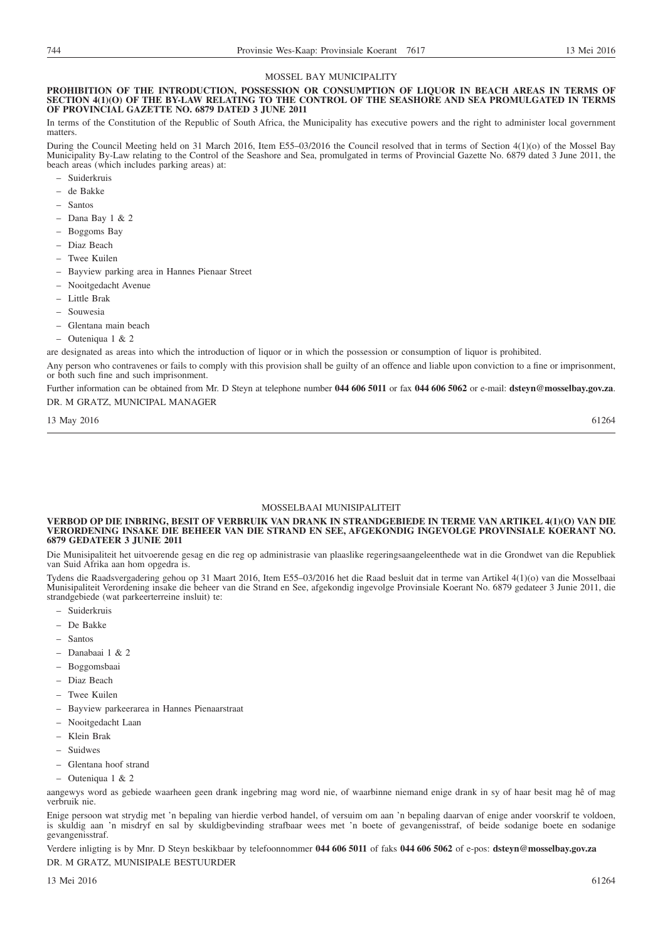#### MOSSEL BAY MUNICIPALITY

#### **PROHIBITION OF THE INTRODUCTION, POSSESSION OR CONSUMPTION OF LIQUOR IN BEACH AREAS IN TERMS OF SECTION 4(1)(O) OF THE BY-LAW RELATING TO THE CONTROL OF THE SEASHORE AND SEA PROMULGATED IN TERMS OF PROVINCIAL GAZETTE NO. 6879 DATED 3 JUNE 2011**

In terms of the Constitution of the Republic of South Africa, the Municipality has executive powers and the right to administer local government matters.

During the Council Meeting held on 31 March 2016, Item E55–03/2016 the Council resolved that in terms of Section 4(1)(o) of the Mossel Bay Municipality By-Law relating to the Control of the Seashore and Sea, promulgated in terms of Provincial Gazette No. 6879 dated 3 June 2011, the beach areas (which includes parking areas) at:

- Suiderkruis
- de Bakke
- Santos
- Dana Bay 1 & 2
- Boggoms Bay
- Diaz Beach
- Twee Kuilen
- Bayview parking area in Hannes Pienaar Street
- Nooitgedacht Avenue
- Little Brak
- Souwesia
- Glentana main beach
- Outeniqua1&2

are designated as areas into which the introduction of liquor or in which the possession or consumption of liquor is prohibited.

Any person who contravenes or fails to comply with this provision shall be guilty of an offence and liable upon conviction to a fine or imprisonment, or both such fine and such imprisonment.

Further information can be obtained from Mr. D Steyn at telephone number **044 606 5011** or fax **044 606 5062** or e-mail: **dsteyn@mosselbay.gov.za**. DR. M GRATZ, MUNICIPAL MANAGER

13 May 2016 61264

#### MOSSELBAAI MUNISIPALITEIT

#### **VERBOD OP DIE INBRING, BESIT OF VERBRUIK VAN DRANK IN STRANDGEBIEDE IN TERME VAN ARTIKEL 4(1)(O) VAN DIE VERORDENING INSAKE DIE BEHEER VAN DIE STRAND EN SEE, AFGEKONDIG INGEVOLGE PROVINSIALE KOERANT NO. 6879 GEDATEER 3 JUNIE 2011**

Die Munisipaliteit het uitvoerende gesag en die reg op administrasie van plaaslike regeringsaangeleenthede wat in die Grondwet van die Republiek van Suid Afrika aan hom opgedra is.

Tydens die Raadsvergadering gehou op 31 Maart 2016, Item E55–03/2016 het die Raad besluit dat in terme van Artikel 4(1)(o) van die Mosselbaai Munisipaliteit Verordening insake die beheer van die Strand en See, afgekondig ingevolge Provinsiale Koerant No. 6879 gedateer 3 Junie 2011, die strandgebiede (wat parkeerterreine insluit) te:

- Suiderkruis
- De Bakke
- Santos
- Danabaai1&2
- Boggomsbaai
- Diaz Beach
- Twee Kuilen
- Bayview parkeerarea in Hannes Pienaarstraat
- Nooitgedacht Laan
- Klein Brak
- Suidwes
- Glentana hoof strand
- Outeniqua1&2

aangewys word as gebiede waarheen geen drank ingebring mag word nie, of waarbinne niemand enige drank in sy of haar besit mag hê of mag verbruik nie.

Enige persoon wat strydig met 'n bepaling van hierdie verbod handel, of versuim om aan 'n bepaling daarvan of enige ander voorskrif te voldoen, is skuldig aan 'n misdryf en sal by skuldigbevinding strafbaar wees met 'n boete of gevangenisstraf, of beide sodanige boete en sodanige gevangenisstraf.

Verdere inligting is by Mnr. D Steyn beskikbaar by telefoonnommer **044 606 5011** of faks **044 606 5062** of e-pos: **dsteyn@mosselbay.gov.za**

DR. M GRATZ, MUNISIPALE BESTUURDER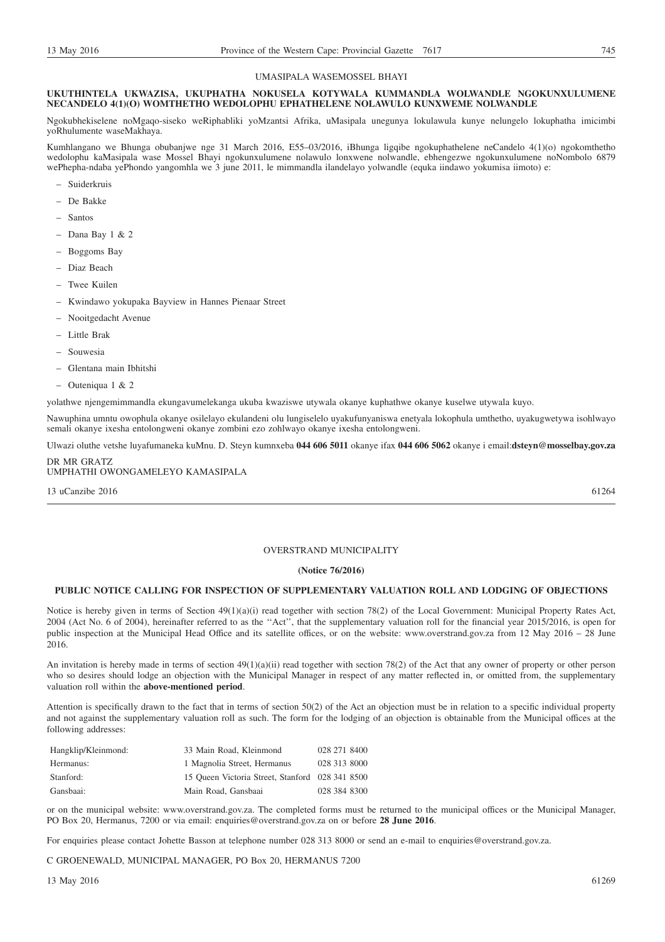#### UMASIPALA WASEMOSSEL BHAYI

#### **UKUTHINTELA UKWAZISA, UKUPHATHA NOKUSELA KOTYWALA KUMMANDLA WOLWANDLE NGOKUNXULUMENE NECANDELO 4(1)(O) WOMTHETHO WEDOLOPHU EPHATHELENE NOLAWULO KUNXWEME NOLWANDLE**

Ngokubhekiselene noMgaqo-siseko weRiphabliki yoMzantsi Afrika, uMasipala unegunya lokulawula kunye nelungelo lokuphatha imicimbi yoRhulumente waseMakhaya.

Kumhlangano we Bhunga obubanjwe nge 31 March 2016, E55–03/2016, iBhunga ligqibe ngokuphathelene neCandelo 4(1)(o) ngokomthetho wedolophu kaMasipala wase Mossel Bhayi ngokunxulumene nolawulo lonxwene nolwandle, ebhengezwe ngokunxulumene noNombolo 6879 wePhepha-ndaba yePhondo yangomhla we 3 june 2011, le mimmandla ilandelayo yolwandle (equka iindawo yokumisa iimoto) e:

- Suiderkruis
- De Bakke
- Santos
- $-$  Dana Bay 1 & 2
- Boggoms Bay
- Diaz Beach
- Twee Kuilen
- Kwindawo yokupaka Bayview in Hannes Pienaar Street
- Nooitgedacht Avenue
- Little Brak
- Souwesia
- Glentana main Ibhitshi
- Outeniqua1&2

yolathwe njengemimmandla ekungavumelekanga ukuba kwaziswe utywala okanye kuphathwe okanye kuselwe utywala kuyo.

Nawuphina umntu owophula okanye osilelayo ekulandeni olu lungiselelo uyakufunyaniswa enetyala lokophula umthetho, uyakugwetywa isohlwayo semali okanye ixesha entolongweni okanye zombini ezo zohlwayo okanye ixesha entolongweni.

Ulwazi oluthe vetshe luyafumaneka kuMnu. D. Steyn kumnxeba **044 606 5011** okanye ifax **044 606 5062** okanye i email:**dsteyn@mosselbay.gov.za**

#### DR MR GRATZ UMPHATHI OWONGAMELEYO KAMASIPALA

 $13 \text{ uCanzibe } 2016$  61264

#### OVERSTRAND MUNICIPALITY

#### **(Notice 76/2016)**

#### **PUBLIC NOTICE CALLING FOR INSPECTION OF SUPPLEMENTARY VALUATION ROLL AND LODGING OF OBJECTIONS**

Notice is hereby given in terms of Section 49(1)(a)(i) read together with section 78(2) of the Local Government: Municipal Property Rates Act, 2004 (Act No. 6 of 2004), hereinafter referred to as the ''Act'', that the supplementary valuation roll for the financial year 2015/2016, is open for public inspection at the Municipal Head Office and its satellite offices, or on the website: www.overstrand.gov.za from 12 May 2016 – 28 June 2016.

An invitation is hereby made in terms of section 49(1)(a)(ii) read together with section 78(2) of the Act that any owner of property or other person who so desires should lodge an objection with the Municipal Manager in respect of any matter reflected in, or omitted from, the supplementary valuation roll within the **above-mentioned period**.

Attention is specifically drawn to the fact that in terms of section 50(2) of the Act an objection must be in relation to a specific individual property and not against the supplementary valuation roll as such. The form for the lodging of an objection is obtainable from the Municipal offices at the following addresses:

| Hangklip/Kleinmond: | 33 Main Road, Kleinmond                         | 028 271 8400 |
|---------------------|-------------------------------------------------|--------------|
| Hermanus:           | 1 Magnolia Street, Hermanus                     | 028 313 8000 |
| Stanford:           | 15 Queen Victoria Street, Stanford 028 341 8500 |              |
| Gansbaai:           | Main Road, Gansbaai                             | 028 384 8300 |

or on the municipal website: www.overstrand.gov.za. The completed forms must be returned to the municipal offices or the Municipal Manager, PO Box 20, Hermanus, 7200 or via email: enquiries@overstrand.gov.za on or before **28 June 2016**.

For enquiries please contact Johette Basson at telephone number 028 313 8000 or send an e-mail to enquiries@overstrand.gov.za.

C GROENEWALD, MUNICIPAL MANAGER, PO Box 20, HERMANUS 7200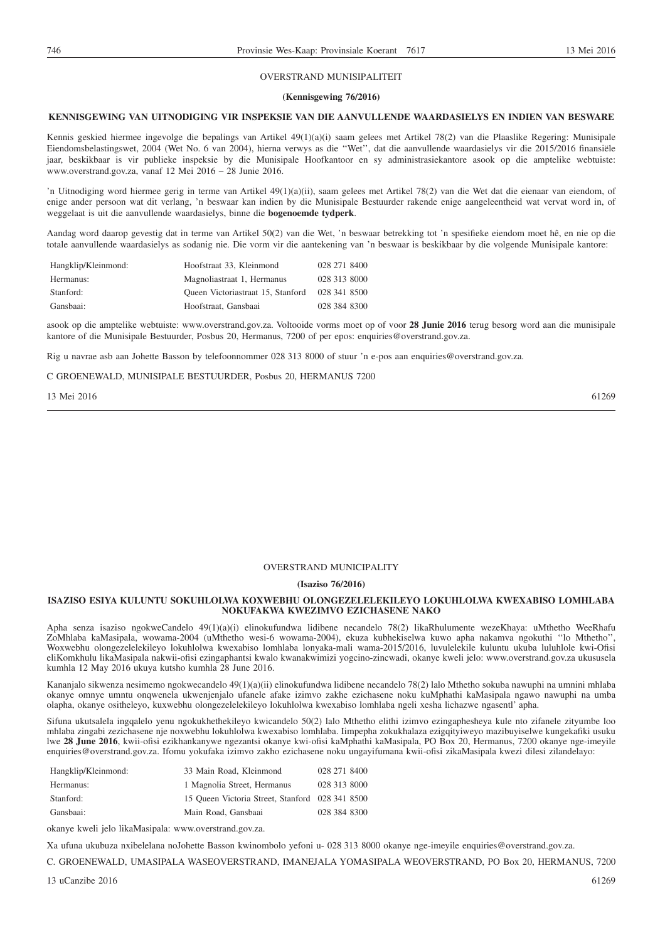#### OVERSTRAND MUNISIPALITEIT

#### **(Kennisgewing 76/2016)**

### **KENNISGEWING VAN UITNODIGING VIR INSPEKSIE VAN DIE AANVULLENDE WAARDASIELYS EN INDIEN VAN BESWARE**

Kennis geskied hiermee ingevolge die bepalings van Artikel 49(1)(a)(i) saam gelees met Artikel 78(2) van die Plaaslike Regering: Munisipale Eiendomsbelastingswet, 2004 (Wet No. 6 van 2004), hierna verwys as die ''Wet'', dat die aanvullende waardasielys vir die 2015/2016 finansiële jaar, beskikbaar is vir publieke inspeksie by die Munisipale Hoofkantoor en sy administrasiekantore asook op die amptelike webtuiste: www.overstrand.gov.za, vanaf 12 Mei 2016 – 28 Junie 2016.

'n Uitnodiging word hiermee gerig in terme van Artikel 49(1)(a)(ii), saam gelees met Artikel 78(2) van die Wet dat die eienaar van eiendom, of enige ander persoon wat dit verlang, 'n beswaar kan indien by die Munisipale Bestuurder rakende enige aangeleentheid wat vervat word in, of weggelaat is uit die aanvullende waardasielys, binne die **bogenoemde tydperk**.

Aandag word daarop gevestig dat in terme van Artikel 50(2) van die Wet, 'n beswaar betrekking tot 'n spesifieke eiendom moet hê, en nie op die totale aanvullende waardasielys as sodanig nie. Die vorm vir die aantekening van 'n beswaar is beskikbaar by die volgende Munisipale kantore:

| Hangklip/Kleinmond: | Hoofstraat 33, Kleinmond          | 028 271 8400 |
|---------------------|-----------------------------------|--------------|
| Hermanus:           | Magnoliastraat 1, Hermanus        | 028 313 8000 |
| Stanford:           | Queen Victoriastraat 15, Stanford | 028 341 8500 |
| Gansbaai:           | Hoofstraat, Gansbaai              | 028 384 8300 |

asook op die amptelike webtuiste: www.overstrand.gov.za. Voltooide vorms moet op of voor **28 Junie 2016** terug besorg word aan die munisipale kantore of die Munisipale Bestuurder, Posbus 20, Hermanus, 7200 of per epos: enquiries@overstrand.gov.za.

Rig u navrae asb aan Johette Basson by telefoonnommer 028 313 8000 of stuur 'n e-pos aan enquiries@overstrand.gov.za.

C GROENEWALD, MUNISIPALE BESTUURDER, Posbus 20, HERMANUS 7200

13 Mei 2016 61269 61269 61269 61269 61269 61269 61269 61269 61269 61269 61269 61269 61269 61269 61269 61269 61

#### OVERSTRAND MUNICIPALITY

#### **(Isaziso 76/2016)**

#### **ISAZISO ESIYA KULUNTU SOKUHLOLWA KOXWEBHU OLONGEZELELEKILEYO LOKUHLOLWA KWEXABISO LOMHLABA NOKUFAKWA KWEZIMVO EZICHASENE NAKO**

Apha senza isaziso ngokweCandelo 49(1)(a)(i) elinokufundwa lidibene necandelo 78(2) likaRhulumente wezeKhaya: uMthetho WeeRhafu ZoMhlaba kaMasipala, wowama-2004 (uMthetho wesi-6 wowama-2004), ekuza kubhekiselwa kuwo apha nakamva ngokuthi ''lo Mthetho'', Woxwebhu olongezelelekileyo lokuhlolwa kwexabiso lomhlaba lonyaka-mali wama-2015/2016, luvulelekile kuluntu ukuba luluhlole kwi-Ofisi eliKomkhulu likaMasipala nakwii-ofisi ezingaphantsi kwalo kwanakwimizi yogcino-zincwadi, okanye kweli jelo: www.overstrand.gov.za ukususela kumhla 12 May 2016 ukuya kutsho kumhla 28 June 2016.

Kananjalo sikwenza nesimemo ngokwecandelo 49(1)(a)(ii) elinokufundwa lidibene necandelo 78(2) lalo Mthetho sokuba nawuphi na umnini mhlaba okanye omnye umntu onqwenela ukwenjenjalo ufanele afake izimvo zakhe ezichasene noku kuMphathi kaMasipala ngawo nawuphi na umba olapha, okanye ositheleyo, kuxwebhu olongezelelekileyo lokuhlolwa kwexabiso lomhlaba ngeli xesha lichazwe ngasentl' apha.

Sifuna ukutsalela ingqalelo yenu ngokukhethekileyo kwicandelo 50(2) lalo Mthetho elithi izimvo ezingaphesheya kule nto zifanele zityumbe loo mhlaba zingabi zezichasene nje noxwebhu lokuhlolwa kwexabiso lomhlaba. Iimpepha zokukhalaza ezigqityiweyo mazibuyiselwe kungekafiki usuku lwe **28 June 2016**, kwii-ofisi ezikhankanywe ngezantsi okanye kwi-ofisi kaMphathi kaMasipala, PO Box 20, Hermanus, 7200 okanye nge-imeyile enquiries@overstrand.gov.za. Ifomu yokufaka izimvo zakho ezichasene noku ungayifumana kwii-ofisi zikaMasipala kwezi dilesi zilandelayo:

| Hangklip/Kleinmond: | 33 Main Road, Kleinmond                         | 028 271 8400 |
|---------------------|-------------------------------------------------|--------------|
| Hermanus:           | 1 Magnolia Street, Hermanus                     | 028 313 8000 |
| Stanford:           | 15 Queen Victoria Street, Stanford 028 341 8500 |              |
| Gansbaai:           | Main Road, Gansbaai                             | 028 384 8300 |

okanye kweli jelo likaMasipala: www.overstrand.gov.za.

Xa ufuna ukubuza nxibelelana noJohette Basson kwinombolo yefoni u- 028 313 8000 okanye nge-imeyile enquiries@overstrand.gov.za.

C. GROENEWALD, UMASIPALA WASEOVERSTRAND, IMANEJALA YOMASIPALA WEOVERSTRAND, PO Box 20, HERMANUS, 7200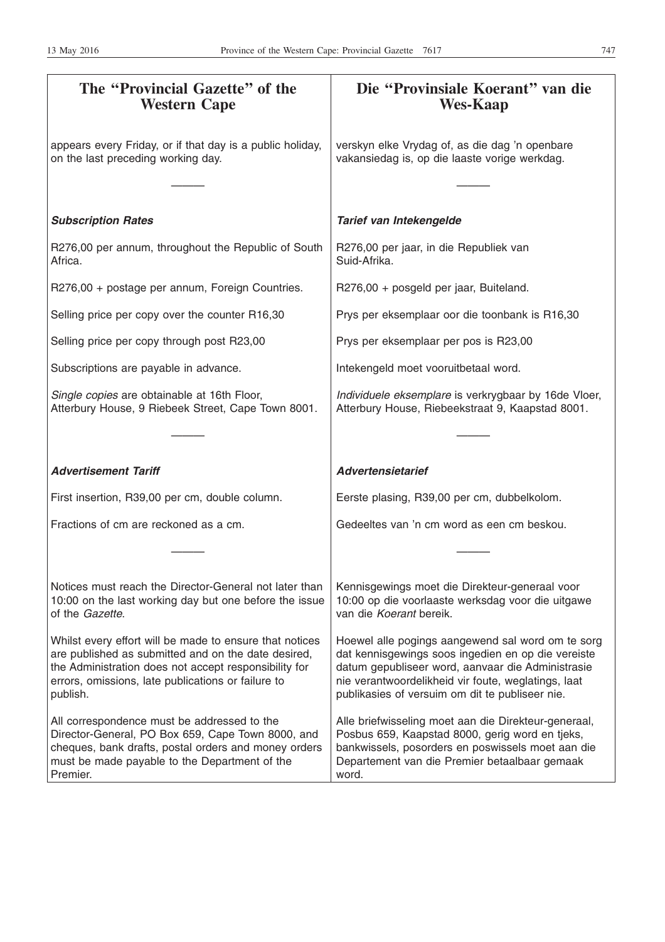| The "Provincial Gazette" of the<br><b>Western Cape</b>                                                                                                                                                                                    | Die "Provinsiale Koerant" van die<br><b>Wes-Kaap</b>                                                                                                                                                                                                                   |
|-------------------------------------------------------------------------------------------------------------------------------------------------------------------------------------------------------------------------------------------|------------------------------------------------------------------------------------------------------------------------------------------------------------------------------------------------------------------------------------------------------------------------|
| appears every Friday, or if that day is a public holiday,<br>on the last preceding working day.                                                                                                                                           | verskyn elke Vrydag of, as die dag 'n openbare<br>vakansiedag is, op die laaste vorige werkdag.                                                                                                                                                                        |
|                                                                                                                                                                                                                                           |                                                                                                                                                                                                                                                                        |
| <b>Subscription Rates</b>                                                                                                                                                                                                                 | Tarief van Intekengelde                                                                                                                                                                                                                                                |
| R276,00 per annum, throughout the Republic of South<br>Africa.                                                                                                                                                                            | R276,00 per jaar, in die Republiek van<br>Suid-Afrika.                                                                                                                                                                                                                 |
| R276,00 + postage per annum, Foreign Countries.                                                                                                                                                                                           | R276,00 + posgeld per jaar, Buiteland.                                                                                                                                                                                                                                 |
| Selling price per copy over the counter R16,30                                                                                                                                                                                            | Prys per eksemplaar oor die toonbank is R16,30                                                                                                                                                                                                                         |
| Selling price per copy through post R23,00                                                                                                                                                                                                | Prys per eksemplaar per pos is R23,00                                                                                                                                                                                                                                  |
| Subscriptions are payable in advance.                                                                                                                                                                                                     | Intekengeld moet vooruitbetaal word.                                                                                                                                                                                                                                   |
| Single copies are obtainable at 16th Floor,<br>Atterbury House, 9 Riebeek Street, Cape Town 8001.                                                                                                                                         | Individuele eksemplare is verkrygbaar by 16de Vloer,<br>Atterbury House, Riebeekstraat 9, Kaapstad 8001.                                                                                                                                                               |
|                                                                                                                                                                                                                                           |                                                                                                                                                                                                                                                                        |
| <b>Advertisement Tariff</b>                                                                                                                                                                                                               | <b>Advertensietarief</b>                                                                                                                                                                                                                                               |
| First insertion, R39,00 per cm, double column.                                                                                                                                                                                            | Eerste plasing, R39,00 per cm, dubbelkolom.                                                                                                                                                                                                                            |
| Fractions of cm are reckoned as a cm.                                                                                                                                                                                                     | Gedeeltes van 'n cm word as een cm beskou.                                                                                                                                                                                                                             |
|                                                                                                                                                                                                                                           |                                                                                                                                                                                                                                                                        |
| Notices must reach the Director-General not later than<br>10:00 on the last working day but one before the issue<br>of the Gazette.                                                                                                       | Kennisgewings moet die Direkteur-generaal voor<br>10:00 op die voorlaaste werksdag voor die uitgawe<br>van die Koerant bereik.                                                                                                                                         |
| Whilst every effort will be made to ensure that notices<br>are published as submitted and on the date desired,<br>the Administration does not accept responsibility for<br>errors, omissions, late publications or failure to<br>publish. | Hoewel alle pogings aangewend sal word om te sorg<br>dat kennisgewings soos ingedien en op die vereiste<br>datum gepubliseer word, aanvaar die Administrasie<br>nie verantwoordelikheid vir foute, weglatings, laat<br>publikasies of versuim om dit te publiseer nie. |
| All correspondence must be addressed to the<br>Director-General, PO Box 659, Cape Town 8000, and<br>cheques, bank drafts, postal orders and money orders<br>must be made payable to the Department of the<br>Premier.                     | Alle briefwisseling moet aan die Direkteur-generaal,<br>Posbus 659, Kaapstad 8000, gerig word en tjeks,<br>bankwissels, posorders en poswissels moet aan die<br>Departement van die Premier betaalbaar gemaak<br>word.                                                 |